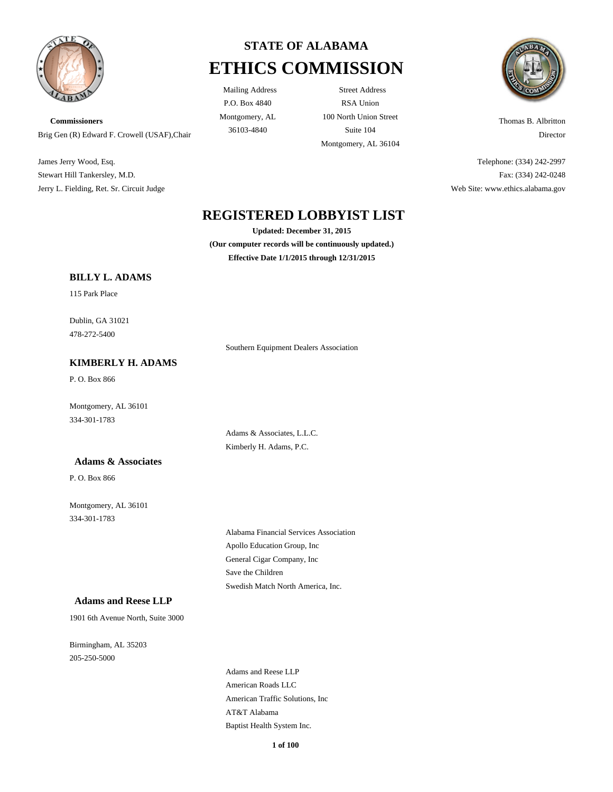

**Commissioners** Brig Gen (R) Edward F. Crowell (USAF),Chair

James Jerry Wood, Esq. Stewart Hill Tankersley, M.D. Jerry L. Fielding, Ret. Sr. Circuit Judge

# **STATE OF ALABAMA ETHICS COMMISSION**

P.O. Box 4840 Montgomery, AL

Mailing Address Street Address RSA Union 100 North Union Street 36103-4840 Suite 104 Montgomery, AL 36104



Thomas B. Albritton Director

Telephone: (334) 242-2997 Fax: (334) 242-0248 Web Site: www.ethics.alabama.gov

# **REGISTERED LOBBYIST LIST**

**Updated: December 31, 2015 (Our computer records will be continuously updated.) Effective Date 1/1/2015 through 12/31/2015**

Southern Equipment Dealers Association

### **BILLY L. ADAMS**

115 Park Place

478-272-5400 Dublin, GA 31021

### **KIMBERLY H. ADAMS**

P. O. Box 866

334-301-1783 Montgomery, AL 36101

### **Adams & Associates**

P. O. Box 866

334-301-1783 Montgomery, AL 36101 Adams & Associates, L.L.C. Kimberly H. Adams, P.C.

Apollo Education Group, Inc Alabama Financial Services Association General Cigar Company, Inc Swedish Match North America, Inc. Save the Children

#### **Adams and Reese LLP**

1901 6th Avenue North, Suite 3000

205-250-5000 Birmingham, AL 35203

> American Traffic Solutions, Inc American Roads LLC AT&T Alabama Baptist Health System Inc. Adams and Reese LLP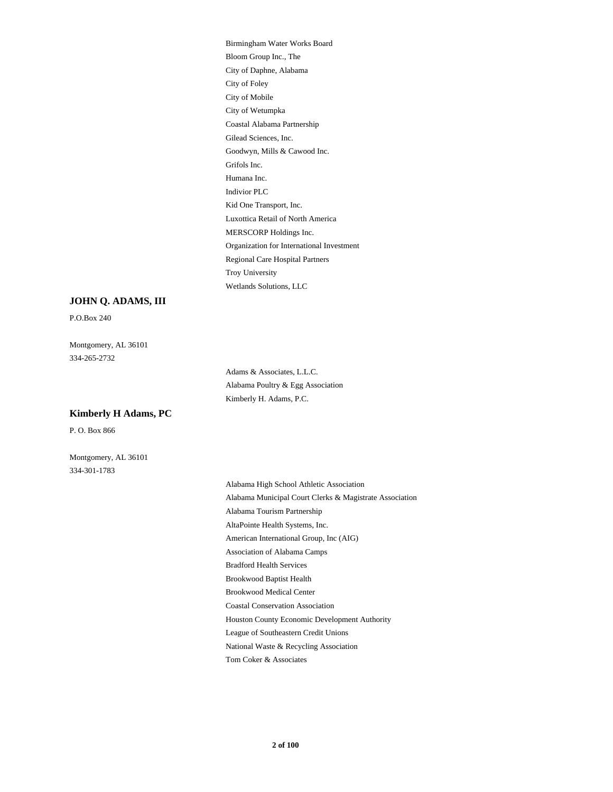Coastal Alabama Partnership City of Wetumpka Goodwyn, Mills & Cawood Inc. Gilead Sciences, Inc. City of Mobile Bloom Group Inc., The Birmingham Water Works Board City of Foley City of Daphne, Alabama Grifols Inc. Regional Care Hospital Partners Organization for International Investment Wetlands Solutions, LLC Troy University MERSCORP Holdings Inc. Indivior PLC Humana Inc. Luxottica Retail of North America Kid One Transport, Inc.

#### **JOHN Q. ADAMS, III**

P.O.Box 240

334-265-2732 Montgomery, AL 36101

> Adams & Associates, L.L.C. Alabama Poultry & Egg Association Kimberly H. Adams, P.C.

**Kimberly H Adams, PC**

P. O. Box 866

Montgomery, AL 36101 334-301-1783

> American International Group, Inc (AIG) Association of Alabama Camps Bradford Health Services AltaPointe Health Systems, Inc. Alabama High School Athletic Association Alabama Municipal Court Clerks & Magistrate Association Alabama Tourism Partnership League of Southeastern Credit Unions National Waste & Recycling Association Tom Coker & Associates Houston County Economic Development Authority Brookwood Baptist Health Brookwood Medical Center Coastal Conservation Association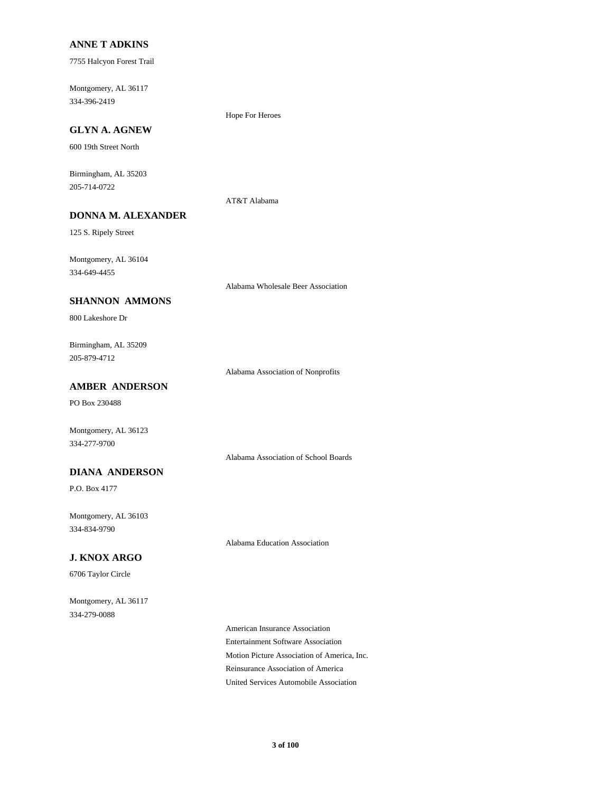#### **ANNE T ADKINS**

7755 Halcyon Forest Trail

334-396-2419 Montgomery, AL 36117

### **GLYN A. AGNEW**

600 19th Street North

205-714-0722 Birmingham, AL 35203

#### AT&T Alabama

Hope For Heroes

125 S. Ripely Street

334-649-4455 Montgomery, AL 36104

Alabama Wholesale Beer Association

# **SHANNON AMMONS**

**DONNA M. ALEXANDER**

800 Lakeshore Dr

205-879-4712 Birmingham, AL 35209

Alabama Association of Nonprofits

## **AMBER ANDERSON**

PO Box 230488

Montgomery, AL 36123 334-277-9700

Alabama Association of School Boards

### **DIANA ANDERSON**

P.O. Box 4177

334-834-9790 Montgomery, AL 36103

Alabama Education Association

### **J. KNOX ARGO**

6706 Taylor Circle

334-279-0088 Montgomery, AL 36117

> Entertainment Software Association American Insurance Association Motion Picture Association of America, Inc. United Services Automobile Association Reinsurance Association of America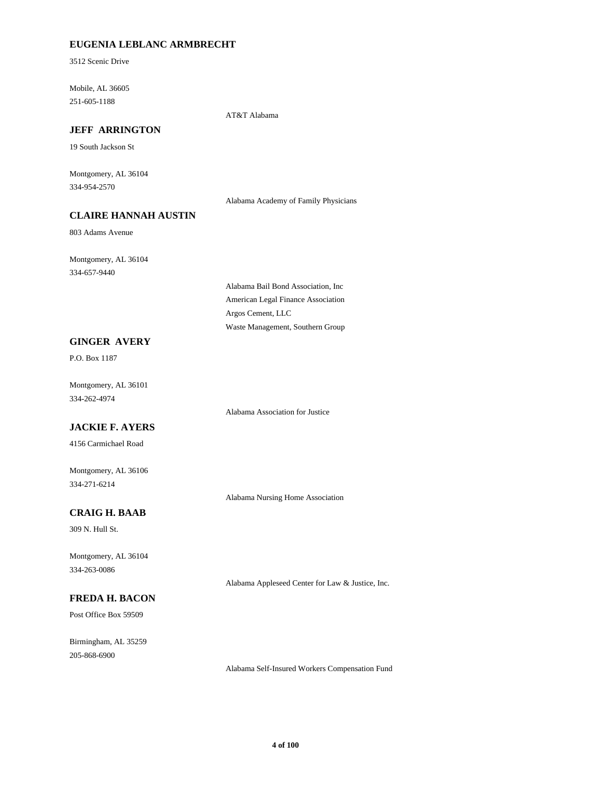### **EUGENIA LEBLANC ARMBRECHT**

3512 Scenic Drive

251-605-1188 Mobile, AL 36605

AT&T Alabama

# **JEFF ARRINGTON**

19 South Jackson St

334-954-2570 Montgomery, AL 36104

Alabama Academy of Family Physicians

# **CLAIRE HANNAH AUSTIN**

803 Adams Avenue

334-657-9440 Montgomery, AL 36104

> American Legal Finance Association Alabama Bail Bond Association, Inc Waste Management, Southern Group Argos Cement, LLC

### **GINGER AVERY**

P.O. Box 1187

334-262-4974 Montgomery, AL 36101

# **JACKIE F. AYERS**

4156 Carmichael Road

334-271-6214 Montgomery, AL 36106

Alabama Nursing Home Association

Alabama Association for Justice

# **CRAIG H. BAAB**

309 N. Hull St.

334-263-0086 Montgomery, AL 36104

### **FREDA H. BACON**

Post Office Box 59509

205-868-6900 Birmingham, AL 35259

Alabama Appleseed Center for Law & Justice, Inc.

Alabama Self-Insured Workers Compensation Fund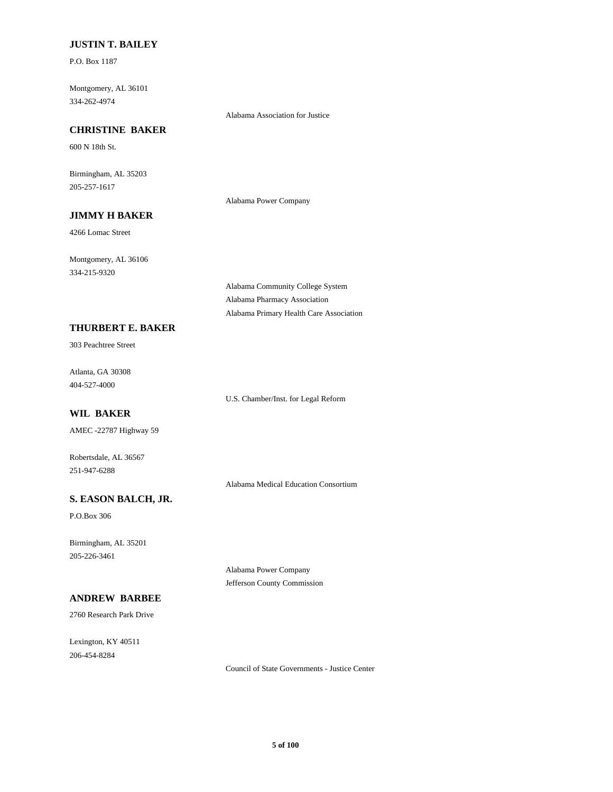### **JUSTIN T. BAILEY**

P.O. Box 1187

334-262-4974 Montgomery, AL 36101

Alabama Association for Justice

# **CHRISTINE BAKER**

600 N 18th St.

205-257-1617 Birmingham, AL 35203

Alabama Power Company

# **JIMMY H BAKER**

4266 Lomac Street

334-215-9320 Montgomery, AL 36106

**THURBERT E. BAKER**

303 Peachtree Street

404-527-4000 Atlanta, GA 30308

U.S. Chamber/Inst. for Legal Reform

Alabama Community College System Alabama Pharmacy Association

Alabama Primary Health Care Association

# **WIL BAKER**

AMEC -22787 Highway 59

251-947-6288 Robertsdale, AL 36567

Alabama Medical Education Consortium

Alabama Power Company Jefferson County Commission

### **S. EASON BALCH, JR.**

P.O.Box 306

205-226-3461 Birmingham, AL 35201

# **ANDREW BARBEE**

2760 Research Park Drive

206-454-8284 Lexington, KY 40511

Council of State Governments - Justice Center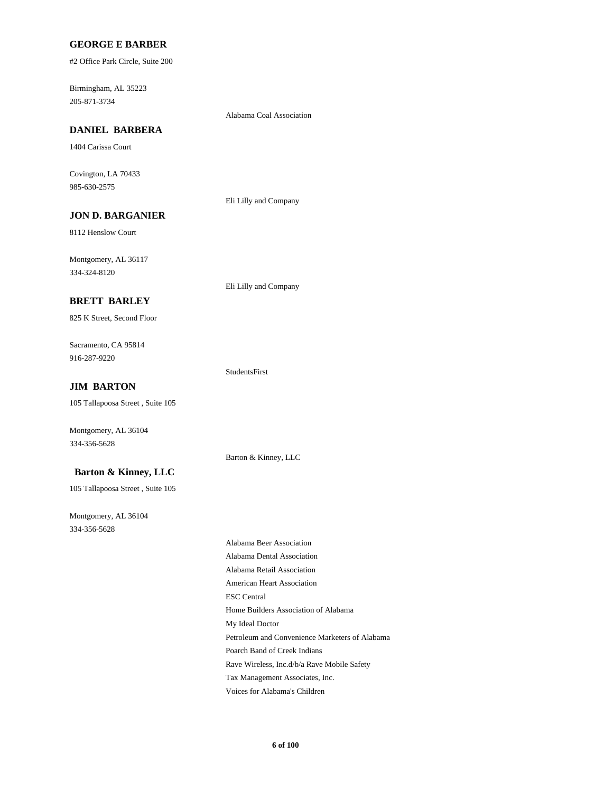#### **GEORGE E BARBER**

#2 Office Park Circle, Suite 200

205-871-3734 Birmingham, AL 35223

#### Alabama Coal Association

**DANIEL BARBERA**

1404 Carissa Court

985-630-2575 Covington, LA 70433

Eli Lilly and Company

Eli Lilly and Company

Barton & Kinney, LLC

StudentsFirst

# **JON D. BARGANIER**

8112 Henslow Court

334-324-8120 Montgomery, AL 36117

#### **BRETT BARLEY**

825 K Street, Second Floor

916-287-9220 Sacramento, CA 95814

#### **JIM BARTON**

105 Tallapoosa Street , Suite 105

Montgomery, AL 36104 334-356-5628

#### **Barton & Kinney, LLC**

105 Tallapoosa Street , Suite 105

334-356-5628 Montgomery, AL 36104

American Heart Association ESC Central Home Builders Association of Alabama Alabama Beer Association Alabama Dental Association Alabama Retail Association Rave Wireless, Inc.d/b/a Rave Mobile Safety Tax Management Associates, Inc. Voices for Alabama's Children My Ideal Doctor Petroleum and Convenience Marketers of Alabama Poarch Band of Creek Indians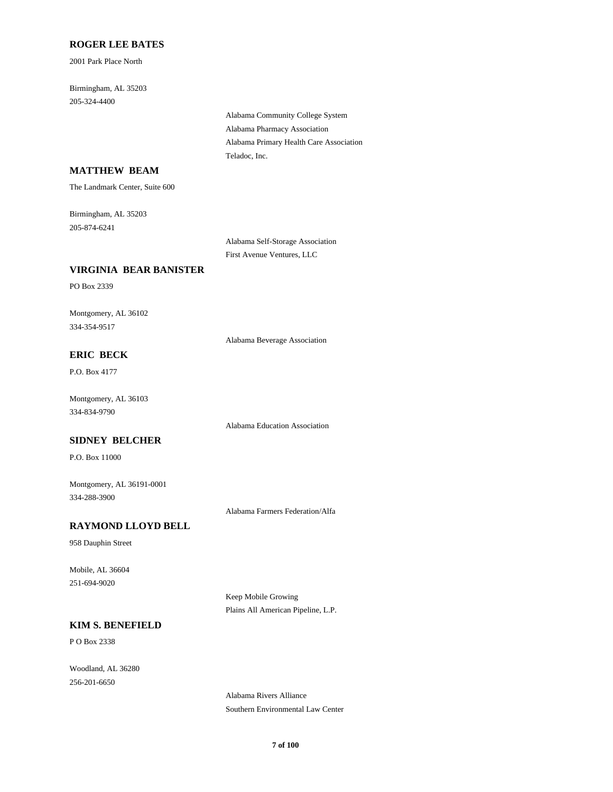#### **ROGER LEE BATES**

2001 Park Place North

205-324-4400 Birmingham, AL 35203

> Alabama Pharmacy Association Alabama Community College System Teladoc, Inc. Alabama Primary Health Care Association

### **MATTHEW BEAM**

The Landmark Center, Suite 600

205-874-6241 Birmingham, AL 35203

> Alabama Self-Storage Association First Avenue Ventures, LLC

#### **VIRGINIA BEAR BANISTER**

PO Box 2339

334-354-9517 Montgomery, AL 36102

Alabama Beverage Association

# **ERIC BECK**

P.O. Box 4177

334-834-9790 Montgomery, AL 36103

Alabama Education Association

#### **SIDNEY BELCHER**

P.O. Box 11000

334-288-3900 Montgomery, AL 36191-0001

Alabama Farmers Federation/Alfa

# **RAYMOND LLOYD BELL**

958 Dauphin Street

251-694-9020 Mobile, AL 36604

> Keep Mobile Growing Plains All American Pipeline, L.P.

### **KIM S. BENEFIELD**

P O Box 2338

256-201-6650 Woodland, AL 36280

> Alabama Rivers Alliance Southern Environmental Law Center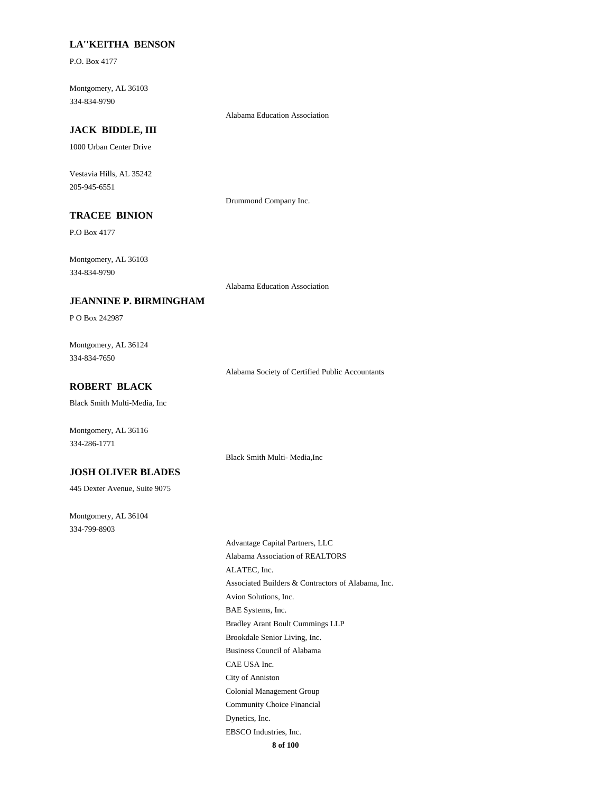### **LA''KEITHA BENSON**

P.O. Box 4177

334-834-9790 Montgomery, AL 36103

#### Alabama Education Association

# **JACK BIDDLE, III**

1000 Urban Center Drive

205-945-6551 Vestavia Hills, AL 35242

Drummond Company Inc.

# **TRACEE BINION**

P.O Box 4177

334-834-9790 Montgomery, AL 36103

Alabama Education Association

Black Smith Multi- Media,Inc

#### **JEANNINE P. BIRMINGHAM**

P O Box 242987

334-834-7650 Montgomery, AL 36124

Alabama Society of Certified Public Accountants

## **ROBERT BLACK**

Black Smith Multi-Media, Inc

Montgomery, AL 36116 334-286-1771

#### **JOSH OLIVER BLADES**

445 Dexter Avenue, Suite 9075

334-799-8903 Montgomery, AL 36104

> BAE Systems, Inc. Avion Solutions, Inc. Brookdale Senior Living, Inc. Bradley Arant Boult Cummings LLP Alabama Association of REALTORS Advantage Capital Partners, LLC Associated Builders & Contractors of Alabama, Inc. ALATEC, Inc. Business Council of Alabama EBSCO Industries, Inc. Dynetics, Inc. City of Anniston CAE USA Inc. Community Choice Financial Colonial Management Group

**8 of 100**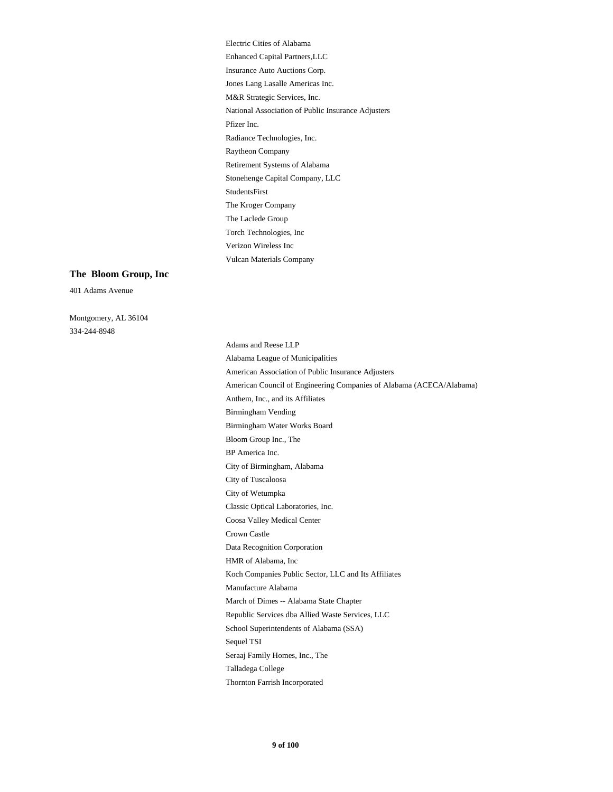National Association of Public Insurance Adjusters M&R Strategic Services, Inc. Radiance Technologies, Inc. Pfizer Inc. Enhanced Capital Partners,LLC Electric Cities of Alabama Jones Lang Lasalle Americas Inc. Insurance Auto Auctions Corp. Raytheon Company Torch Technologies, Inc The Laclede Group Vulcan Materials Company Verizon Wireless Inc Stonehenge Capital Company, LLC Retirement Systems of Alabama The Kroger Company StudentsFirst

#### **The Bloom Group, Inc**

401 Adams Avenue

334-244-8948 Montgomery, AL 36104

> City of Wetumpka City of Tuscaloosa Classic Optical Laboratories, Inc. Crown Castle Coosa Valley Medical Center Birmingham Water Works Board Birmingham Vending Bloom Group Inc., The City of Birmingham, Alabama BP America Inc. Data Recognition Corporation Sequel TSI School Superintendents of Alabama (SSA) Seraaj Family Homes, Inc., The Thornton Farrish Incorporated Talladega College Koch Companies Public Sector, LLC and Its Affiliates HMR of Alabama, Inc Manufacture Alabama Republic Services dba Allied Waste Services, LLC March of Dimes -- Alabama State Chapter Alabama League of Municipalities Adams and Reese LLP American Association of Public Insurance Adjusters Anthem, Inc., and its Affiliates American Council of Engineering Companies of Alabama (ACECA/Alabama)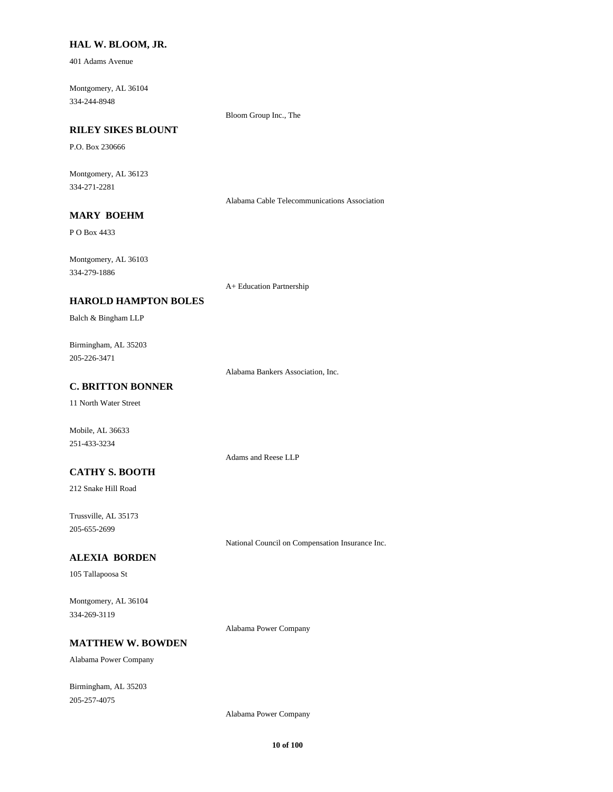#### **HAL W. BLOOM, JR.**

401 Adams Avenue

334-244-8948 Montgomery, AL 36104

Bloom Group Inc., The

### **RILEY SIKES BLOUNT**

P.O. Box 230666

334-271-2281 Montgomery, AL 36123

Alabama Cable Telecommunications Association

### **MARY BOEHM**

P O Box 4433

334-279-1886 Montgomery, AL 36103

A+ Education Partnership

### **HAROLD HAMPTON BOLES**

Balch & Bingham LLP

205-226-3471 Birmingham, AL 35203

Alabama Bankers Association, Inc.

## **C. BRITTON BONNER**

11 North Water Street

Mobile, AL 36633 251-433-3234

Adams and Reese LLP

#### **CATHY S. BOOTH**

212 Snake Hill Road

205-655-2699 Trussville, AL 35173

National Council on Compensation Insurance Inc.

#### **ALEXIA BORDEN**

105 Tallapoosa St

334-269-3119 Montgomery, AL 36104

Alabama Power Company

### **MATTHEW W. BOWDEN**

Alabama Power Company

205-257-4075 Birmingham, AL 35203

Alabama Power Company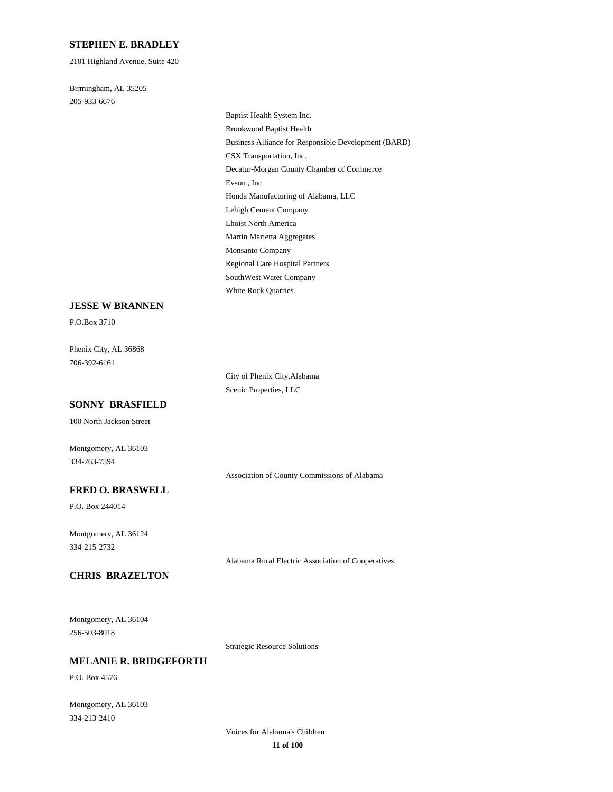#### **STEPHEN E. BRADLEY**

2101 Highland Avenue, Suite 420

205-933-6676 Birmingham, AL 35205

> Decatur-Morgan County Chamber of Commerce Evson , Inc Honda Manufacturing of Alabama, LLC CSX Transportation, Inc. Baptist Health System Inc. Brookwood Baptist Health Business Alliance for Responsible Development (BARD) Regional Care Hospital Partners SouthWest Water Company White Rock Quarries Monsanto Company Lehigh Cement Company Lhoist North America Martin Marietta Aggregates

#### **JESSE W BRANNEN**

P.O.Box 3710

706-392-6161 Phenix City, AL 36868

> City of Phenix City.Alabama Scenic Properties, LLC

#### **SONNY BRASFIELD**

100 North Jackson Street

Montgomery, AL 36103 334-263-7594

Association of County Commissions of Alabama

#### **FRED O. BRASWELL**

P.O. Box 244014

334-215-2732 Montgomery, AL 36124

Alabama Rural Electric Association of Cooperatives

### **CHRIS BRAZELTON**

256-503-8018 Montgomery, AL 36104

Strategic Resource Solutions

### **MELANIE R. BRIDGEFORTH**

P.O. Box 4576

334-213-2410 Montgomery, AL 36103

> **11 of 100** Voices for Alabama's Children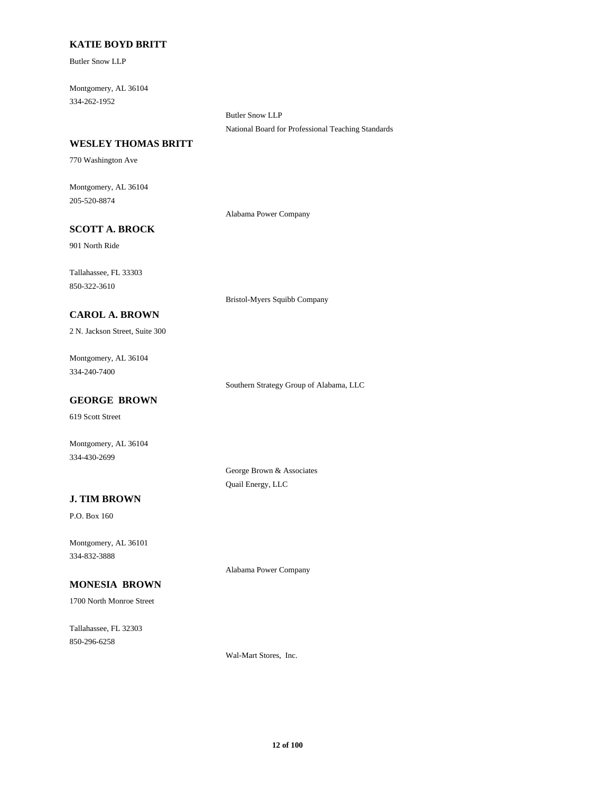### **KATIE BOYD BRITT**

Butler Snow LLP

334-262-1952 Montgomery, AL 36104

> Butler Snow LLP National Board for Professional Teaching Standards

#### **WESLEY THOMAS BRITT**

770 Washington Ave

205-520-8874 Montgomery, AL 36104

Alabama Power Company

Bristol-Myers Squibb Company

### **SCOTT A. BROCK**

901 North Ride

850-322-3610 Tallahassee, FL 33303

### **CAROL A. BROWN**

2 N. Jackson Street, Suite 300

334-240-7400 Montgomery, AL 36104

Southern Strategy Group of Alabama, LLC

### **GEORGE BROWN**

619 Scott Street

Montgomery, AL 36104 334-430-2699

> George Brown & Associates Quail Energy, LLC

### **J. TIM BROWN**

P.O. Box 160

334-832-3888 Montgomery, AL 36101

Alabama Power Company

# **MONESIA BROWN**

1700 North Monroe Street

850-296-6258 Tallahassee, FL 32303

Wal-Mart Stores, Inc.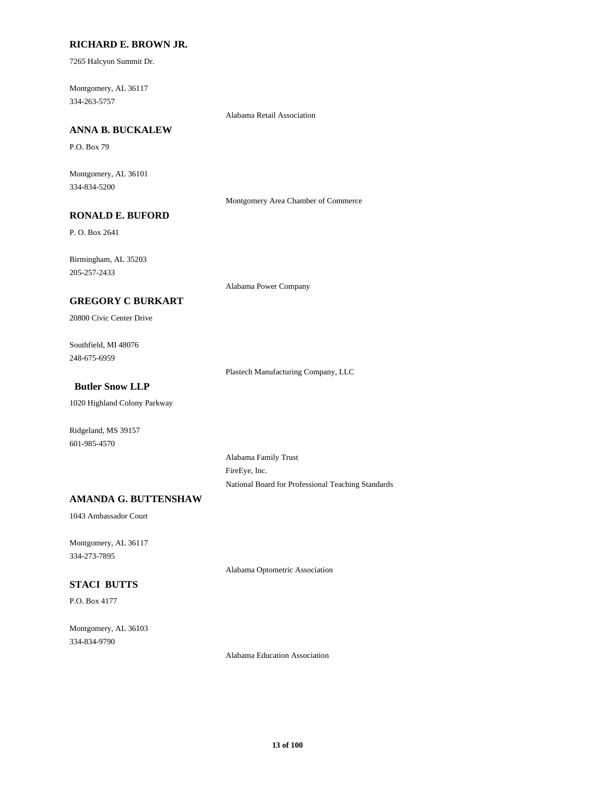#### **RICHARD E. BROWN JR.**

7265 Halcyon Summit Dr.

334-263-5757 Montgomery, AL 36117

Alabama Retail Association

### **ANNA B. BUCKALEW**

P.O. Box 79

334-834-5200 Montgomery, AL 36101

Montgomery Area Chamber of Commerce

# **RONALD E. BUFORD**

P. O. Box 2641

205-257-2433 Birmingham, AL 35203

Alabama Power Company

### **GREGORY C BURKART**

20800 Civic Center Drive

248-675-6959 Southfield, MI 48076

Plastech Manufacturing Company, LLC

## **Butler Snow LLP**

1020 Highland Colony Parkway

601-985-4570 Ridgeland, MS 39157

> Alabama Family Trust FireEye, Inc. National Board for Professional Teaching Standards

# **AMANDA G. BUTTENSHAW**

1043 Ambassador Court

334-273-7895 Montgomery, AL 36117

Alabama Optometric Association

# **STACI BUTTS**

P.O. Box 4177

334-834-9790 Montgomery, AL 36103

Alabama Education Association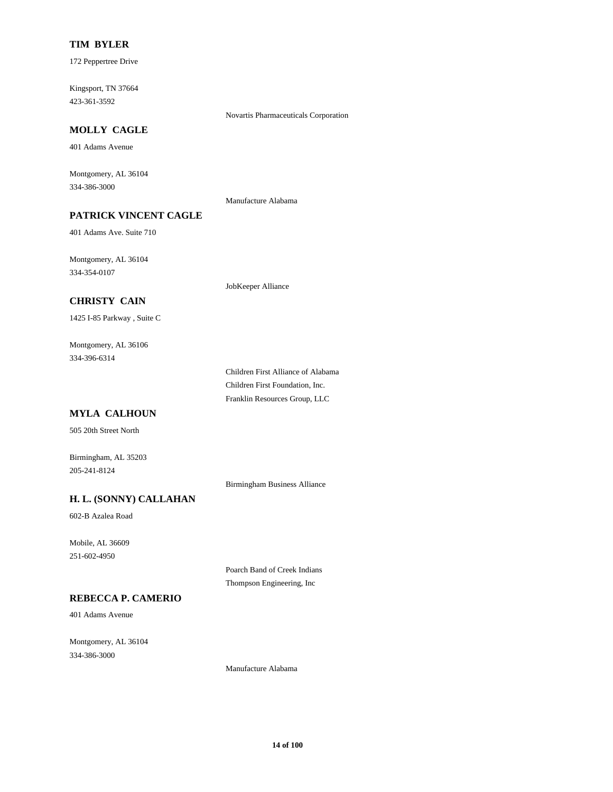#### **TIM BYLER**

172 Peppertree Drive

423-361-3592 Kingsport, TN 37664

### **MOLLY CAGLE**

401 Adams Avenue

334-386-3000 Montgomery, AL 36104

Manufacture Alabama

Novartis Pharmaceuticals Corporation

# **PATRICK VINCENT CAGLE**

401 Adams Ave. Suite 710

334-354-0107 Montgomery, AL 36104

JobKeeper Alliance

### **CHRISTY CAIN**

1425 I-85 Parkway , Suite C

334-396-6314 Montgomery, AL 36106

> Franklin Resources Group, LLC Children First Alliance of Alabama Children First Foundation, Inc.

# **MYLA CALHOUN**

505 20th Street North

205-241-8124 Birmingham, AL 35203

Birmingham Business Alliance

# **H. L. (SONNY) CALLAHAN**

602-B Azalea Road

251-602-4950 Mobile, AL 36609

> Poarch Band of Creek Indians Thompson Engineering, Inc

# **REBECCA P. CAMERIO**

401 Adams Avenue

334-386-3000 Montgomery, AL 36104

Manufacture Alabama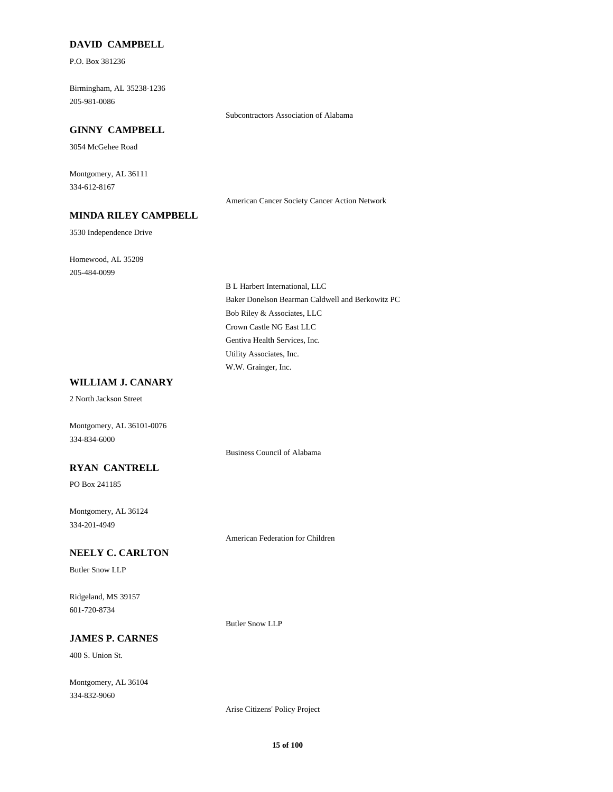#### **DAVID CAMPBELL**

P.O. Box 381236

205-981-0086 Birmingham, AL 35238-1236

#### **GINNY CAMPBELL**

3054 McGehee Road

334-612-8167 Montgomery, AL 36111

American Cancer Society Cancer Action Network

Subcontractors Association of Alabama

### **MINDA RILEY CAMPBELL**

3530 Independence Drive

205-484-0099 Homewood, AL 35209

> Bob Riley & Associates, LLC Baker Donelson Bearman Caldwell and Berkowitz PC B L Harbert International, LLC Crown Castle NG East LLC W.W. Grainger, Inc. Utility Associates, Inc. Gentiva Health Services, Inc.

# **WILLIAM J. CANARY**

2 North Jackson Street

Montgomery, AL 36101-0076 334-834-6000

Business Council of Alabama

### **RYAN CANTRELL**

PO Box 241185

334-201-4949 Montgomery, AL 36124

American Federation for Children

### **NEELY C. CARLTON**

Butler Snow LLP

601-720-8734 Ridgeland, MS 39157

Butler Snow LLP

#### **JAMES P. CARNES**

400 S. Union St.

334-832-9060 Montgomery, AL 36104

Arise Citizens' Policy Project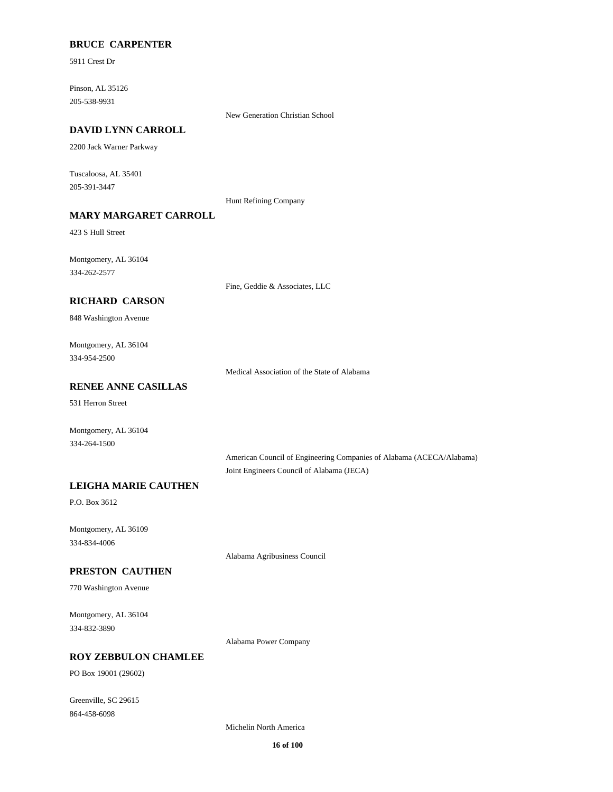### **BRUCE CARPENTER**

5911 Crest Dr

205-538-9931 Pinson, AL 35126

New Generation Christian School

### **DAVID LYNN CARROLL**

2200 Jack Warner Parkway

205-391-3447 Tuscaloosa, AL 35401

Hunt Refining Company

# **MARY MARGARET CARROLL**

423 S Hull Street

334-262-2577 Montgomery, AL 36104

Fine, Geddie & Associates, LLC

### **RICHARD CARSON**

848 Washington Avenue

334-954-2500 Montgomery, AL 36104

Medical Association of the State of Alabama

### **RENEE ANNE CASILLAS**

531 Herron Street

334-264-1500 Montgomery, AL 36104

> American Council of Engineering Companies of Alabama (ACECA/Alabama) Joint Engineers Council of Alabama (JECA)

### **LEIGHA MARIE CAUTHEN**

P.O. Box 3612

334-834-4006 Montgomery, AL 36109

Alabama Agribusiness Council

### **PRESTON CAUTHEN**

770 Washington Avenue

334-832-3890 Montgomery, AL 36104

Alabama Power Company

#### **ROY ZEBBULON CHAMLEE**

PO Box 19001 (29602)

864-458-6098 Greenville, SC 29615

Michelin North America

**16 of 100**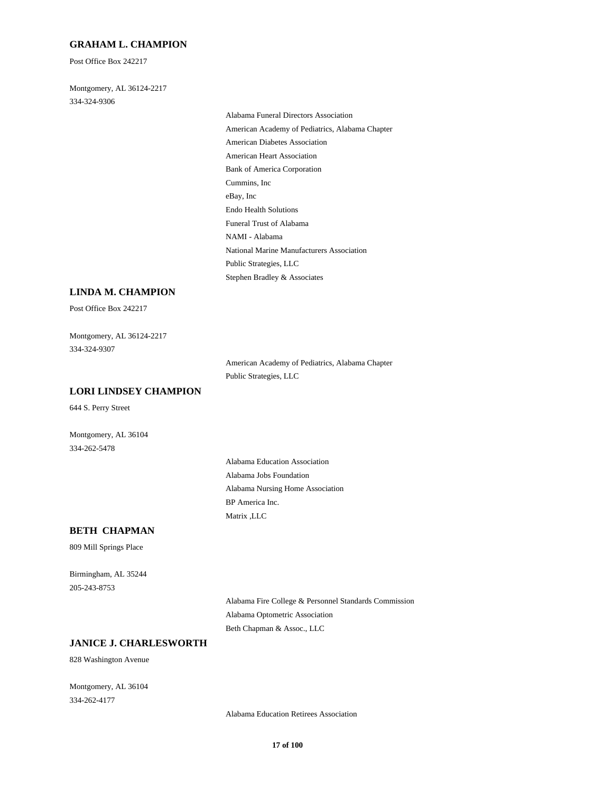#### **GRAHAM L. CHAMPION**

Post Office Box 242217

334-324-9306 Montgomery, AL 36124-2217

> American Heart Association Bank of America Corporation Cummins, Inc Alabama Funeral Directors Association American Academy of Pediatrics, Alabama Chapter American Diabetes Association eBay, Inc National Marine Manufacturers Association Public Strategies, LLC Stephen Bradley & Associates Endo Health Solutions Funeral Trust of Alabama NAMI - Alabama

#### **LINDA M. CHAMPION**

Post Office Box 242217

334-324-9307 Montgomery, AL 36124-2217

> American Academy of Pediatrics, Alabama Chapter Public Strategies, LLC

#### **LORI LINDSEY CHAMPION**

644 S. Perry Street

Montgomery, AL 36104 334-262-5478

> Alabama Jobs Foundation Alabama Education Association Alabama Nursing Home Association Matrix ,LLC BP America Inc.

#### **BETH CHAPMAN**

809 Mill Springs Place

205-243-8753 Birmingham, AL 35244

> Alabama Fire College & Personnel Standards Commission Alabama Optometric Association Beth Chapman & Assoc., LLC

# **JANICE J. CHARLESWORTH**

828 Washington Avenue

334-262-4177 Montgomery, AL 36104

Alabama Education Retirees Association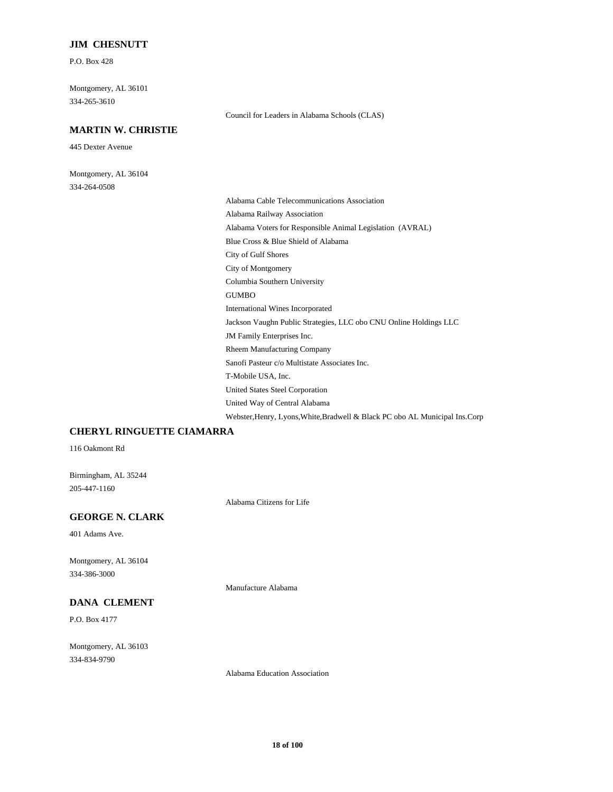#### **JIM CHESNUTT**

P.O. Box 428

334-265-3610 Montgomery, AL 36101

### **MARTIN W. CHRISTIE**

445 Dexter Avenue

334-264-0508 Montgomery, AL 36104 Council for Leaders in Alabama Schools (CLAS)

United Way of Central Alabama Webster,Henry, Lyons,White,Bradwell & Black PC obo AL Municipal Ins.Corp City of Gulf Shores City of Montgomery Columbia Southern University Blue Cross & Blue Shield of Alabama Alabama Cable Telecommunications Association Alabama Railway Association Alabama Voters for Responsible Animal Legislation (AVRAL) GUMBO Sanofi Pasteur c/o Multistate Associates Inc. T-Mobile USA, Inc. United States Steel Corporation Rheem Manufacturing Company International Wines Incorporated Jackson Vaughn Public Strategies, LLC obo CNU Online Holdings LLC JM Family Enterprises Inc.

### **CHERYL RINGUETTE CIAMARRA**

116 Oakmont Rd

205-447-1160 Birmingham, AL 35244

Alabama Citizens for Life

### **GEORGE N. CLARK**

401 Adams Ave.

334-386-3000 Montgomery, AL 36104

#### **DANA CLEMENT**

P.O. Box 4177

334-834-9790 Montgomery, AL 36103 Manufacture Alabama

Alabama Education Association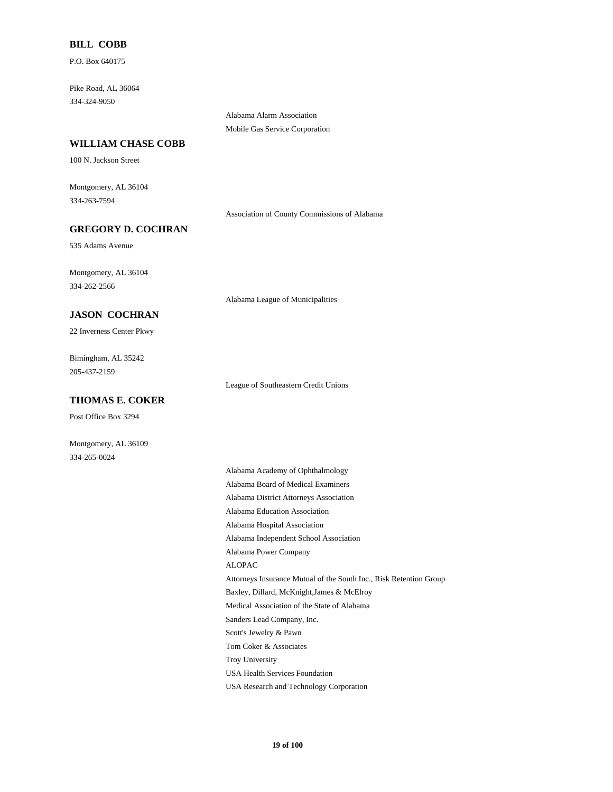#### **BILL COBB**

P.O. Box 640175

334-324-9050 Pike Road, AL 36064

> Alabama Alarm Association Mobile Gas Service Corporation

#### **WILLIAM CHASE COBB**

100 N. Jackson Street

334-263-7594 Montgomery, AL 36104

Association of County Commissions of Alabama

# **GREGORY D. COCHRAN**

535 Adams Avenue

334-262-2566 Montgomery, AL 36104

#### **JASON COCHRAN**

22 Inverness Center Pkwy

205-437-2159 Bimingham, AL 35242

#### **THOMAS E. COKER**

Post Office Box 3294

Montgomery, AL 36109 334-265-0024

Alabama League of Municipalities

League of Southeastern Credit Unions

Alabama Independent School Association Alabama Hospital Association ALOPAC Alabama Power Company Alabama Board of Medical Examiners Alabama Academy of Ophthalmology Alabama Education Association Alabama District Attorneys Association Attorneys Insurance Mutual of the South Inc., Risk Retention Group Troy University Tom Coker & Associates USA Health Services Foundation Medical Association of the State of Alabama Baxley, Dillard, McKnight,James & McElroy Scott's Jewelry & Pawn Sanders Lead Company, Inc.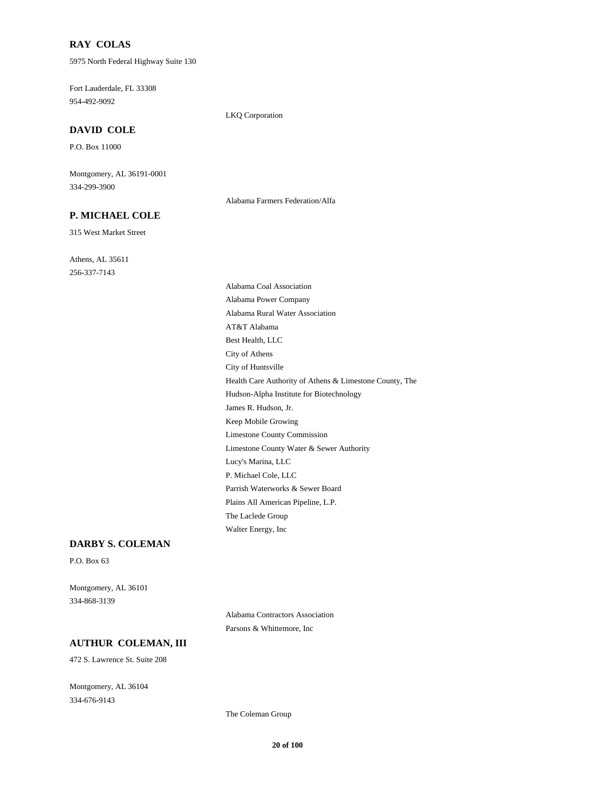#### **RAY COLAS**

5975 North Federal Highway Suite 130

954-492-9092 Fort Lauderdale, FL 33308

LKQ Corporation

### **DAVID COLE**

P.O. Box 11000

334-299-3900 Montgomery, AL 36191-0001

#### **P. MICHAEL COLE**

315 West Market Street

256-337-7143 Athens, AL 35611 Alabama Farmers Federation/Alfa

Lucy's Marina, LLC P. Michael Cole, LLC Limestone County Commission Limestone County Water & Sewer Authority The Laclede Group Walter Energy, Inc Parrish Waterworks & Sewer Board Plains All American Pipeline, L.P. Keep Mobile Growing AT&T Alabama Best Health, LLC Alabama Rural Water Association Alabama Coal Association Alabama Power Company Hudson-Alpha Institute for Biotechnology James R. Hudson, Jr. Health Care Authority of Athens & Limestone County, The City of Athens City of Huntsville

#### **DARBY S. COLEMAN**

P.O. Box 63

334-868-3139 Montgomery, AL 36101

> Alabama Contractors Association Parsons & Whittemore, Inc

### **AUTHUR COLEMAN, III**

472 S. Lawrence St. Suite 208

334-676-9143 Montgomery, AL 36104

The Coleman Group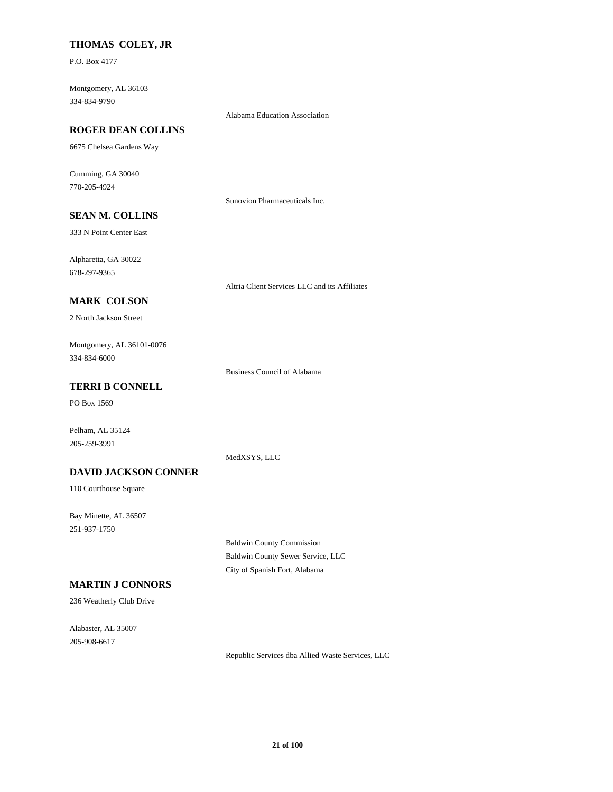### **THOMAS COLEY, JR**

P.O. Box 4177

334-834-9790 Montgomery, AL 36103

#### Alabama Education Association

### **ROGER DEAN COLLINS**

6675 Chelsea Gardens Way

770-205-4924 Cumming, GA 30040

Sunovion Pharmaceuticals Inc.

# **SEAN M. COLLINS**

333 N Point Center East

678-297-9365 Alpharetta, GA 30022

Altria Client Services LLC and its Affiliates

# **MARK COLSON**

2 North Jackson Street

334-834-6000 Montgomery, AL 36101-0076

Business Council of Alabama

## **TERRI B CONNELL**

PO Box 1569

Pelham, AL 35124 205-259-3991

#### MedXSYS, LLC

#### **DAVID JACKSON CONNER**

110 Courthouse Square

251-937-1750 Bay Minette, AL 36507

> Baldwin County Commission Baldwin County Sewer Service, LLC City of Spanish Fort, Alabama

# **MARTIN J CONNORS**

236 Weatherly Club Drive

205-908-6617 Alabaster, AL 35007

Republic Services dba Allied Waste Services, LLC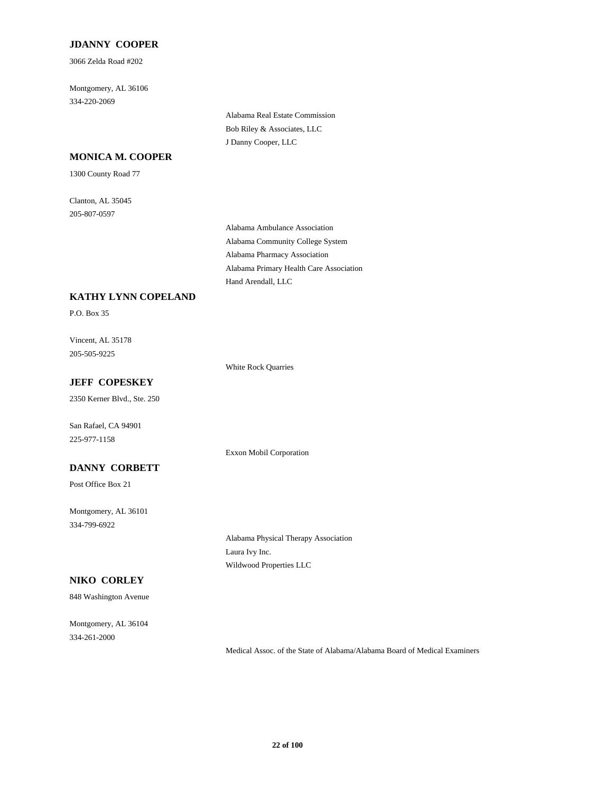### **JDANNY COOPER**

3066 Zelda Road #202

334-220-2069 Montgomery, AL 36106

> Alabama Real Estate Commission Bob Riley & Associates, LLC J Danny Cooper, LLC

### **MONICA M. COOPER**

1300 County Road 77

205-807-0597 Clanton, AL 35045

> Alabama Community College System Alabama Ambulance Association Alabama Pharmacy Association Hand Arendall, LLC Alabama Primary Health Care Association

## **KATHY LYNN COPELAND**

P.O. Box 35

205-505-9225 Vincent, AL 35178

White Rock Quarries

Exxon Mobil Corporation

# **JEFF COPESKEY**

2350 Kerner Blvd., Ste. 250

225-977-1158 San Rafael, CA 94901

### **DANNY CORBETT**

Post Office Box 21

334-799-6922 Montgomery, AL 36101

### **NIKO CORLEY**

848 Washington Avenue

334-261-2000 Montgomery, AL 36104 Alabama Physical Therapy Association Laura Ivy Inc. Wildwood Properties LLC

Medical Assoc. of the State of Alabama/Alabama Board of Medical Examiners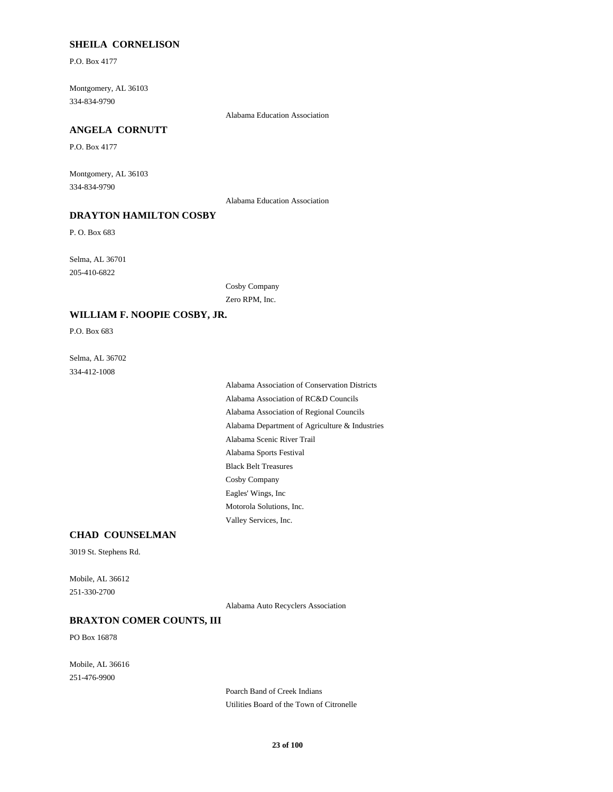### **SHEILA CORNELISON**

P.O. Box 4177

334-834-9790 Montgomery, AL 36103

Alabama Education Association

### **ANGELA CORNUTT**

P.O. Box 4177

334-834-9790 Montgomery, AL 36103

Alabama Education Association

### **DRAYTON HAMILTON COSBY**

P. O. Box 683

205-410-6822 Selma, AL 36701

> Cosby Company Zero RPM, Inc.

#### **WILLIAM F. NOOPIE COSBY, JR.**

P.O. Box 683

334-412-1008 Selma, AL 36702

> Alabama Sports Festival Black Belt Treasures Alabama Department of Agriculture & Industries Alabama Scenic River Trail Motorola Solutions, Inc. Valley Services, Inc. Cosby Company Eagles' Wings, Inc Alabama Association of Conservation Districts Alabama Association of RC&D Councils Alabama Association of Regional Councils

#### **CHAD COUNSELMAN**

3019 St. Stephens Rd.

251-330-2700 Mobile, AL 36612

Alabama Auto Recyclers Association

#### **BRAXTON COMER COUNTS, III**

PO Box 16878

251-476-9900 Mobile, AL 36616

> Poarch Band of Creek Indians Utilities Board of the Town of Citronelle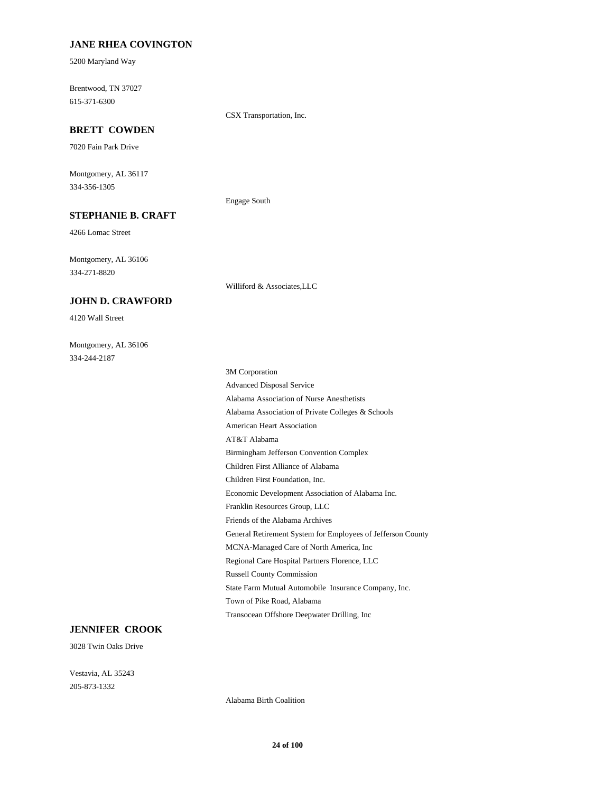### **JANE RHEA COVINGTON**

5200 Maryland Way

615-371-6300 Brentwood, TN 37027

CSX Transportation, Inc.

# **BRETT COWDEN**

7020 Fain Park Drive

334-356-1305 Montgomery, AL 36117

Engage South

Williford & Associates,LLC

# **STEPHANIE B. CRAFT**

4266 Lomac Street

334-271-8820 Montgomery, AL 36106

#### **JOHN D. CRAWFORD**

4120 Wall Street

334-244-2187 Montgomery, AL 36106

> Children First Foundation, Inc. Economic Development Association of Alabama Inc. Franklin Resources Group, LLC Children First Alliance of Alabama American Heart Association AT&T Alabama Birmingham Jefferson Convention Complex Friends of the Alabama Archives State Farm Mutual Automobile Insurance Company, Inc. Town of Pike Road, Alabama Transocean Offshore Deepwater Drilling, Inc Russell County Commission General Retirement System for Employees of Jefferson County MCNA-Managed Care of North America, Inc Regional Care Hospital Partners Florence, LLC Advanced Disposal Service 3M Corporation Alabama Association of Private Colleges & Schools Alabama Association of Nurse Anesthetists

### **JENNIFER CROOK**

3028 Twin Oaks Drive

205-873-1332 Vestavia, AL 35243

Alabama Birth Coalition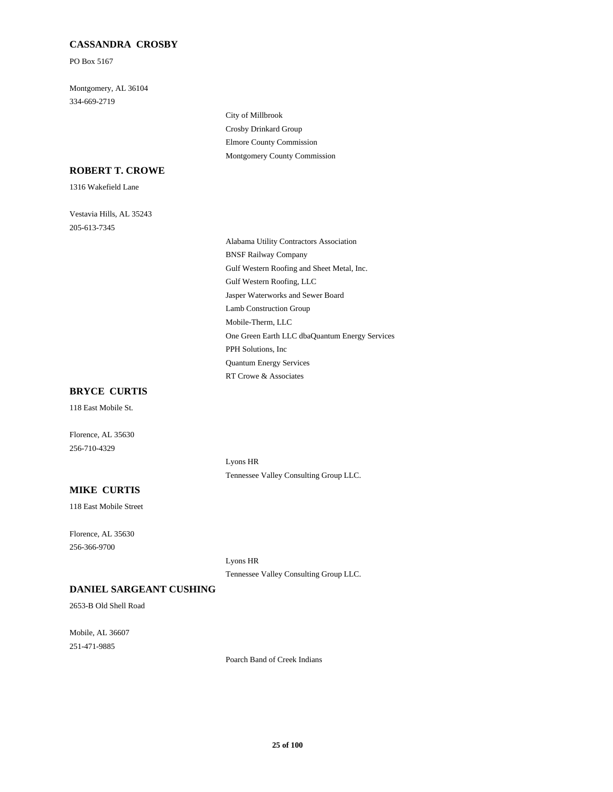### **CASSANDRA CROSBY**

PO Box 5167

334-669-2719 Montgomery, AL 36104

> Crosby Drinkard Group City of Millbrook Montgomery County Commission Elmore County Commission

#### **ROBERT T. CROWE**

1316 Wakefield Lane

205-613-7345 Vestavia Hills, AL 35243

> Gulf Western Roofing, LLC Jasper Waterworks and Sewer Board Gulf Western Roofing and Sheet Metal, Inc. Alabama Utility Contractors Association BNSF Railway Company Lamb Construction Group Quantum Energy Services RT Crowe & Associates PPH Solutions, Inc Mobile-Therm, LLC One Green Earth LLC dbaQuantum Energy Services

#### **BRYCE CURTIS**

118 East Mobile St.

256-710-4329 Florence, AL 35630

> Lyons HR Tennessee Valley Consulting Group LLC.

### **MIKE CURTIS**

118 East Mobile Street

256-366-9700 Florence, AL 35630

> Lyons HR Tennessee Valley Consulting Group LLC.

#### **DANIEL SARGEANT CUSHING**

2653-B Old Shell Road

251-471-9885 Mobile, AL 36607

Poarch Band of Creek Indians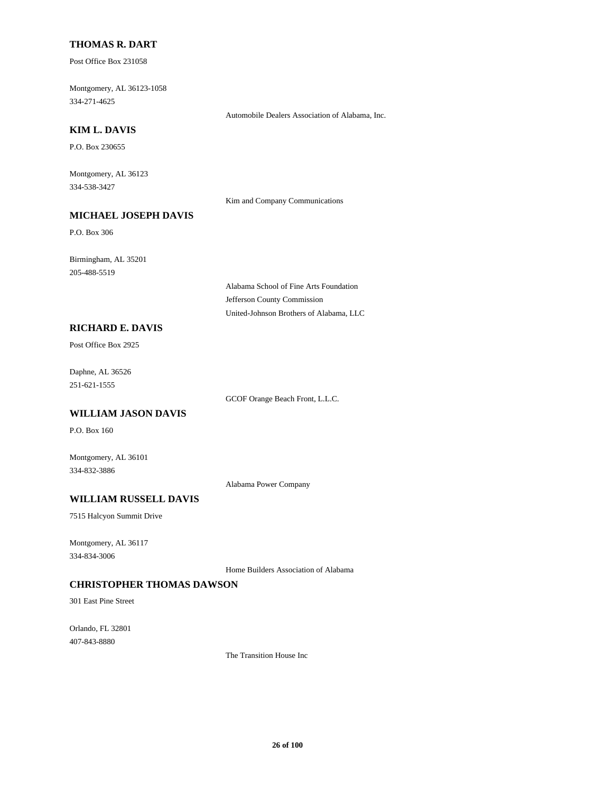#### **THOMAS R. DART**

Post Office Box 231058

334-271-4625 Montgomery, AL 36123-1058

Automobile Dealers Association of Alabama, Inc.

### **KIM L. DAVIS**

P.O. Box 230655

334-538-3427 Montgomery, AL 36123

Kim and Company Communications

# **MICHAEL JOSEPH DAVIS**

P.O. Box 306

205-488-5519 Birmingham, AL 35201

> Alabama School of Fine Arts Foundation Jefferson County Commission United-Johnson Brothers of Alabama, LLC

### **RICHARD E. DAVIS**

Post Office Box 2925

251-621-1555 Daphne, AL 36526

GCOF Orange Beach Front, L.L.C.

### **WILLIAM JASON DAVIS**

P.O. Box 160

Montgomery, AL 36101 334-832-3886

Alabama Power Company

### **WILLIAM RUSSELL DAVIS**

7515 Halcyon Summit Drive

334-834-3006 Montgomery, AL 36117

Home Builders Association of Alabama

### **CHRISTOPHER THOMAS DAWSON**

301 East Pine Street

407-843-8880 Orlando, FL 32801

The Transition House Inc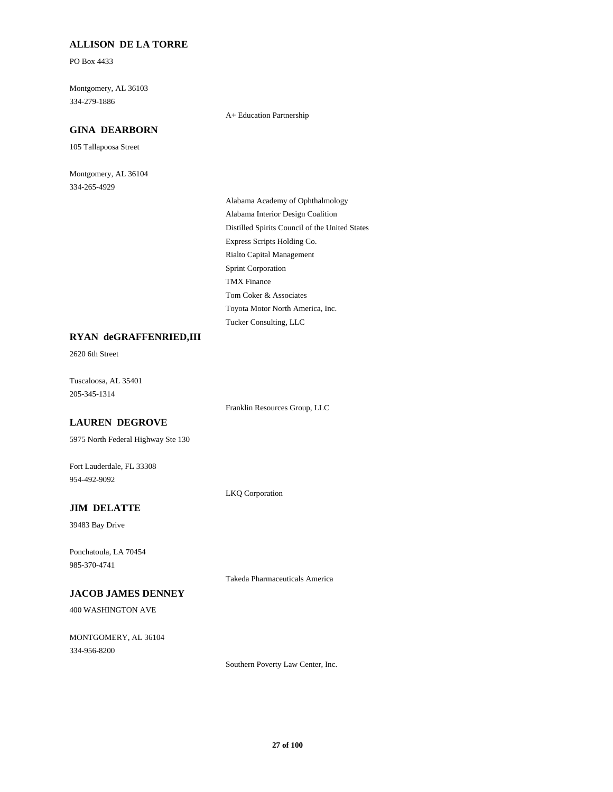### **ALLISON DE LA TORRE**

PO Box 4433

334-279-1886 Montgomery, AL 36103

### **GINA DEARBORN**

105 Tallapoosa Street

334-265-4929 Montgomery, AL 36104

#### A+ Education Partnership

Express Scripts Holding Co. Rialto Capital Management Distilled Spirits Council of the United States Alabama Academy of Ophthalmology Alabama Interior Design Coalition Toyota Motor North America, Inc. Tucker Consulting, LLC Tom Coker & Associates Sprint Corporation TMX Finance

#### **RYAN deGRAFFENRIED,III**

2620 6th Street

205-345-1314 Tuscaloosa, AL 35401

Franklin Resources Group, LLC

### **LAUREN DEGROVE**

5975 North Federal Highway Ste 130

954-492-9092 Fort Lauderdale, FL 33308

LKQ Corporation

### **JIM DELATTE**

39483 Bay Drive

985-370-4741 Ponchatoula, LA 70454

Takeda Pharmaceuticals America

### **JACOB JAMES DENNEY**

400 WASHINGTON AVE

334-956-8200 MONTGOMERY, AL 36104

Southern Poverty Law Center, Inc.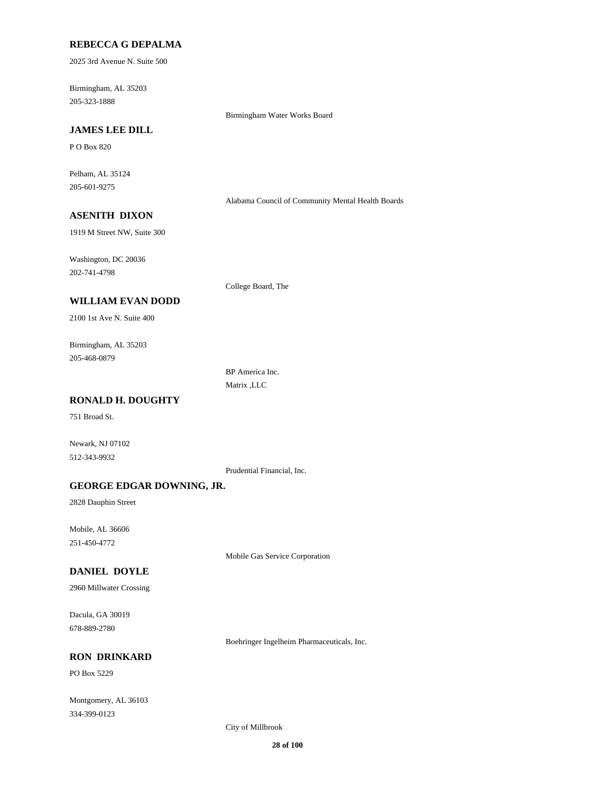#### **REBECCA G DEPALMA**

2025 3rd Avenue N. Suite 500

205-323-1888 Birmingham, AL 35203

Birmingham Water Works Board

# **JAMES LEE DILL**

P O Box 820

205-601-9275 Pelham, AL 35124

Alabama Council of Community Mental Health Boards

# **ASENITH DIXON**

1919 M Street NW, Suite 300

202-741-4798 Washington, DC 20036

**WILLIAM EVAN DODD**

2100 1st Ave N. Suite 400

205-468-0879 Birmingham, AL 35203

> BP America Inc. Matrix ,LLC

College Board, The

# **RONALD H. DOUGHTY**

751 Broad St.

512-343-9932 Newark, NJ 07102

Prudential Financial, Inc.

#### **GEORGE EDGAR DOWNING, JR.**

2828 Dauphin Street

251-450-4772 Mobile, AL 36606

Mobile Gas Service Corporation

# **DANIEL DOYLE**

2960 Millwater Crossing

678-889-2780 Dacula, GA 30019

Boehringer Ingelheim Pharmaceuticals, Inc.

#### **RON DRINKARD**

PO Box 5229

334-399-0123 Montgomery, AL 36103

City of Millbrook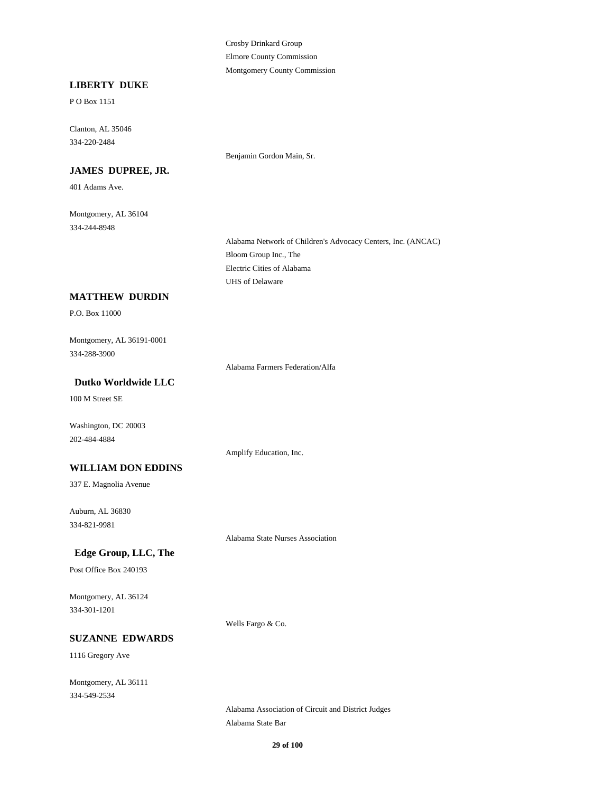Crosby Drinkard Group Elmore County Commission Montgomery County Commission

Benjamin Gordon Main, Sr.

#### **LIBERTY DUKE**

P O Box 1151

334-220-2484 Clanton, AL 35046

**JAMES DUPREE, JR.**

401 Adams Ave.

334-244-8948 Montgomery, AL 36104

> Bloom Group Inc., The Alabama Network of Children's Advocacy Centers, Inc. (ANCAC) UHS of Delaware Electric Cities of Alabama

#### **MATTHEW DURDIN**

P.O. Box 11000

334-288-3900 Montgomery, AL 36191-0001

Alabama Farmers Federation/Alfa

Amplify Education, Inc.

### **Dutko Worldwide LLC**

100 M Street SE

Washington, DC 20003 202-484-4884

#### **WILLIAM DON EDDINS**

337 E. Magnolia Avenue

334-821-9981 Auburn, AL 36830

Alabama State Nurses Association

# **Edge Group, LLC, The**

Post Office Box 240193

334-301-1201 Montgomery, AL 36124

Wells Fargo & Co.

#### **SUZANNE EDWARDS**

1116 Gregory Ave

334-549-2534 Montgomery, AL 36111

> Alabama State Bar Alabama Association of Circuit and District Judges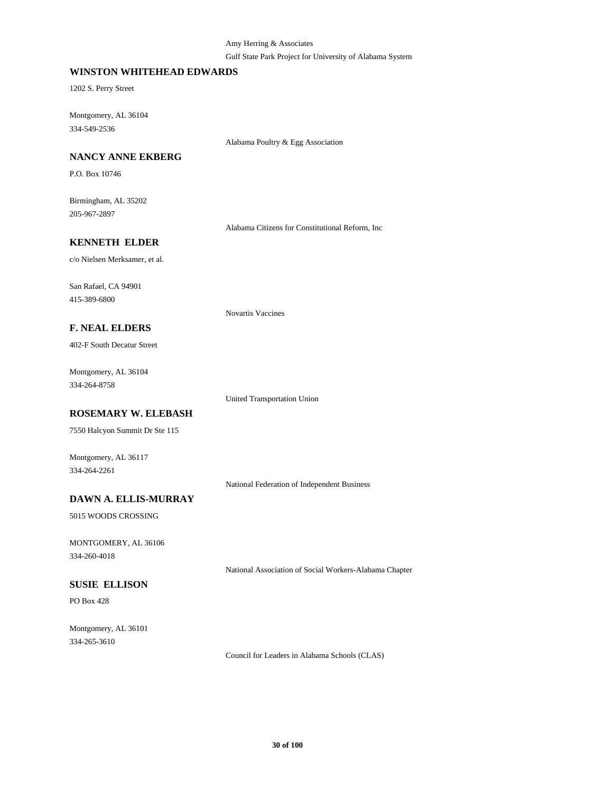#### Amy Herring & Associates

#### Gulf State Park Project for University of Alabama System

#### **WINSTON WHITEHEAD EDWARDS**

1202 S. Perry Street

334-549-2536 Montgomery, AL 36104

Alabama Poultry & Egg Association

### **NANCY ANNE EKBERG**

P.O. Box 10746

205-967-2897 Birmingham, AL 35202

Alabama Citizens for Constitutional Reform, Inc

#### **KENNETH ELDER**

c/o Nielsen Merksamer, et al.

415-389-6800 San Rafael, CA 94901

Novartis Vaccines

# **F. NEAL ELDERS**

402-F South Decatur Street

334-264-8758 Montgomery, AL 36104

United Transportation Union

# **ROSEMARY W. ELEBASH**

7550 Halcyon Summit Dr Ste 115

Montgomery, AL 36117 334-264-2261

National Federation of Independent Business

# **DAWN A. ELLIS-MURRAY**

5015 WOODS CROSSING

334-260-4018 MONTGOMERY, AL 36106

National Association of Social Workers-Alabama Chapter

# **SUSIE ELLISON**

PO Box 428

334-265-3610 Montgomery, AL 36101

Council for Leaders in Alabama Schools (CLAS)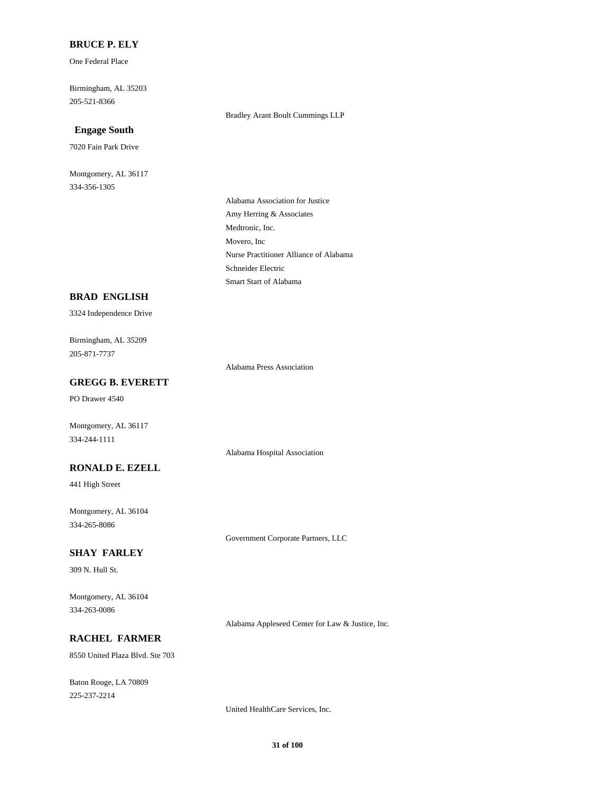#### **BRUCE P. ELY**

One Federal Place

205-521-8366 Birmingham, AL 35203

#### **Engage South**

7020 Fain Park Drive

334-356-1305 Montgomery, AL 36117 Bradley Arant Boult Cummings LLP

Medtronic, Inc. Amy Herring & Associates Alabama Association for Justice Movero, Inc Smart Start of Alabama Schneider Electric Nurse Practitioner Alliance of Alabama

#### **BRAD ENGLISH**

3324 Independence Drive

205-871-7737 Birmingham, AL 35209

Alabama Press Association

Alabama Hospital Association

# **GREGG B. EVERETT**

PO Drawer 4540

Montgomery, AL 36117 334-244-1111

### **RONALD E. EZELL**

441 High Street

334-265-8086 Montgomery, AL 36104

Government Corporate Partners, LLC

# **SHAY FARLEY**

309 N. Hull St.

334-263-0086 Montgomery, AL 36104

Alabama Appleseed Center for Law & Justice, Inc.

### **RACHEL FARMER**

8550 United Plaza Blvd. Ste 703

225-237-2214 Baton Rouge, LA 70809

United HealthCare Services, Inc.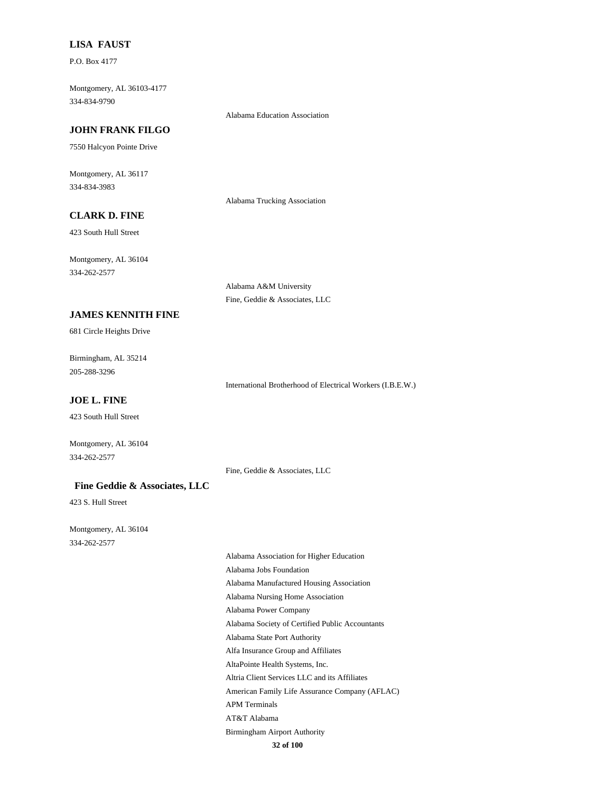#### **LISA FAUST**

P.O. Box 4177

334-834-9790 Montgomery, AL 36103-4177

#### Alabama Education Association

# **JOHN FRANK FILGO**

7550 Halcyon Pointe Drive

334-834-3983 Montgomery, AL 36117

Alabama Trucking Association

# **CLARK D. FINE**

423 South Hull Street

334-262-2577 Montgomery, AL 36104

> Alabama A&M University Fine, Geddie & Associates, LLC

### **JAMES KENNITH FINE**

681 Circle Heights Drive

205-288-3296 Birmingham, AL 35214

International Brotherhood of Electrical Workers (I.B.E.W.)

### **JOE L. FINE**

423 South Hull Street

334-262-2577 Montgomery, AL 36104

Fine, Geddie & Associates, LLC

#### **Fine Geddie & Associates, LLC**

423 S. Hull Street

334-262-2577 Montgomery, AL 36104

> Alabama Society of Certified Public Accountants Alabama Power Company Alfa Insurance Group and Affiliates Alabama State Port Authority Alabama Jobs Foundation Alabama Association for Higher Education Alabama Nursing Home Association Alabama Manufactured Housing Association Birmingham Airport Authority AT&T Alabama Altria Client Services LLC and its Affiliates AltaPointe Health Systems, Inc. APM Terminals American Family Life Assurance Company (AFLAC)

**32 of 100**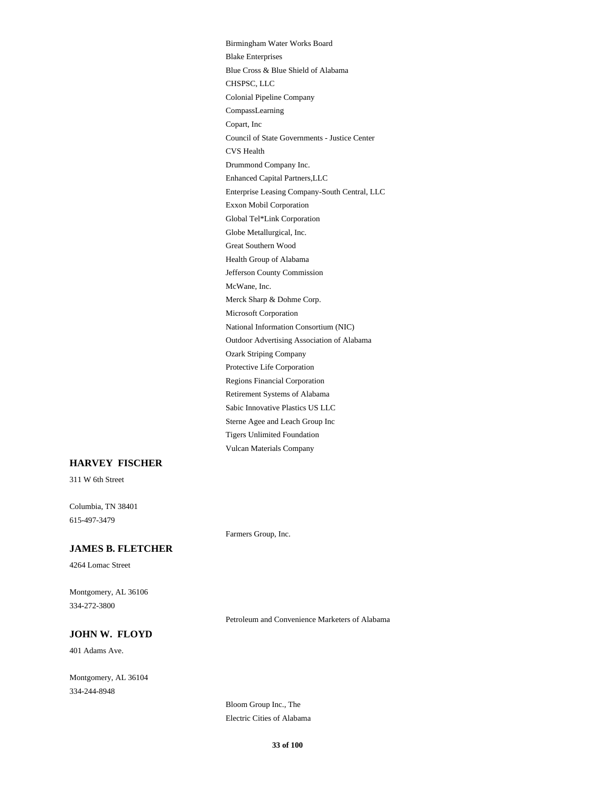Tigers Unlimited Foundation Vulcan Materials Company Birmingham Water Works Board Sterne Agee and Leach Group Inc Enhanced Capital Partners,LLC Drummond Company Inc. CVS Health Global Tel\*Link Corporation Exxon Mobil Corporation Enterprise Leasing Company-South Central, LLC Council of State Governments - Justice Center CHSPSC, LLC Blue Cross & Blue Shield of Alabama Blake Enterprises Copart, Inc CompassLearning Colonial Pipeline Company Globe Metallurgical, Inc. Protective Life Corporation Ozark Striping Company Outdoor Advertising Association of Alabama Sabic Innovative Plastics US LLC Retirement Systems of Alabama Regions Financial Corporation National Information Consortium (NIC) Jefferson County Commission Health Group of Alabama Great Southern Wood Microsoft Corporation Merck Sharp & Dohme Corp. McWane, Inc.

### **HARVEY FISCHER**

311 W 6th Street

615-497-3479 Columbia, TN 38401

#### **JAMES B. FLETCHER**

4264 Lomac Street

334-272-3800 Montgomery, AL 36106

#### Petroleum and Convenience Marketers of Alabama

### **JOHN W. FLOYD**

401 Adams Ave.

334-244-8948 Montgomery, AL 36104

> Bloom Group Inc., The Electric Cities of Alabama

Farmers Group, Inc.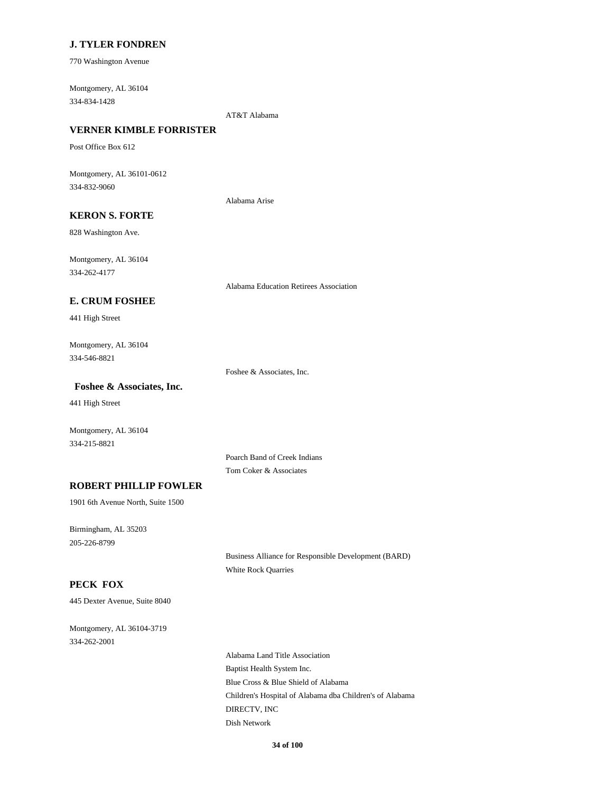#### **J. TYLER FONDREN**

770 Washington Avenue

334-834-1428 Montgomery, AL 36104

AT&T Alabama

# **VERNER KIMBLE FORRISTER**

Post Office Box 612

334-832-9060 Montgomery, AL 36101-0612

Alabama Arise

# **KERON S. FORTE**

828 Washington Ave.

334-262-4177 Montgomery, AL 36104

Alabama Education Retirees Association

### **E. CRUM FOSHEE**

441 High Street

334-546-8821 Montgomery, AL 36104

Foshee & Associates, Inc.

#### **Foshee & Associates, Inc.**

441 High Street

Montgomery, AL 36104 334-215-8821

> Poarch Band of Creek Indians Tom Coker & Associates

#### **ROBERT PHILLIP FOWLER**

1901 6th Avenue North, Suite 1500

205-226-8799 Birmingham, AL 35203

> Business Alliance for Responsible Development (BARD) White Rock Quarries

# **PECK FOX**

445 Dexter Avenue, Suite 8040

334-262-2001 Montgomery, AL 36104-3719

> Blue Cross & Blue Shield of Alabama Children's Hospital of Alabama dba Children's of Alabama Alabama Land Title Association Baptist Health System Inc. DIRECTV, INC Dish Network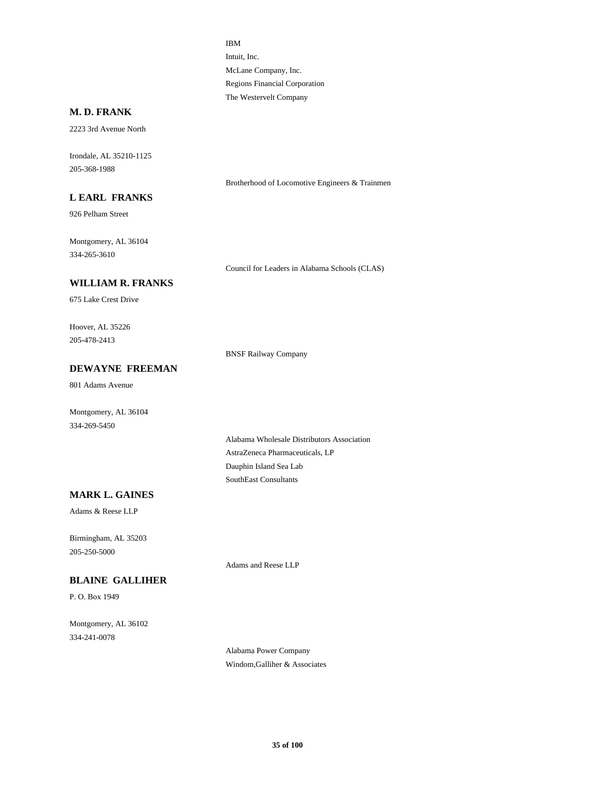Intuit, Inc. IBM McLane Company, Inc. The Westervelt Company Regions Financial Corporation

### **M. D. FRANK**

2223 3rd Avenue North

205-368-1988 Irondale, AL 35210-1125

#### **L EARL FRANKS**

926 Pelham Street

334-265-3610 Montgomery, AL 36104

Council for Leaders in Alabama Schools (CLAS)

Brotherhood of Locomotive Engineers & Trainmen

### **WILLIAM R. FRANKS**

675 Lake Crest Drive

205-478-2413 Hoover, AL 35226

BNSF Railway Company

# **DEWAYNE FREEMAN**

801 Adams Avenue

Montgomery, AL 36104 334-269-5450

> AstraZeneca Pharmaceuticals, LP Alabama Wholesale Distributors Association SouthEast Consultants Dauphin Island Sea Lab

### **MARK L. GAINES**

Adams & Reese LLP

205-250-5000 Birmingham, AL 35203

Adams and Reese LLP

# **BLAINE GALLIHER**

P. O. Box 1949

334-241-0078 Montgomery, AL 36102

> Alabama Power Company Windom,Galliher & Associates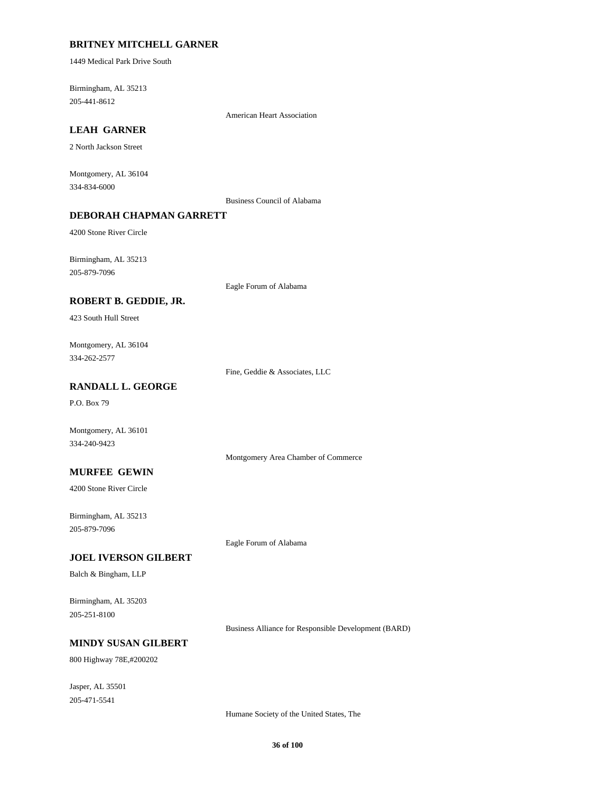### **BRITNEY MITCHELL GARNER**

1449 Medical Park Drive South

205-441-8612 Birmingham, AL 35213

American Heart Association

# **LEAH GARNER**

2 North Jackson Street

334-834-6000 Montgomery, AL 36104

Business Council of Alabama

### **DEBORAH CHAPMAN GARRETT**

4200 Stone River Circle

205-879-7096 Birmingham, AL 35213

Eagle Forum of Alabama

### **ROBERT B. GEDDIE, JR.**

423 South Hull Street

334-262-2577 Montgomery, AL 36104

Fine, Geddie & Associates, LLC

### **RANDALL L. GEORGE**

P.O. Box 79

Montgomery, AL 36101 334-240-9423

Montgomery Area Chamber of Commerce

#### **MURFEE GEWIN**

4200 Stone River Circle

205-879-7096 Birmingham, AL 35213

Eagle Forum of Alabama

#### **JOEL IVERSON GILBERT**

Balch & Bingham, LLP

205-251-8100 Birmingham, AL 35203

Business Alliance for Responsible Development (BARD)

# **MINDY SUSAN GILBERT**

800 Highway 78E,#200202

205-471-5541 Jasper, AL 35501

Humane Society of the United States, The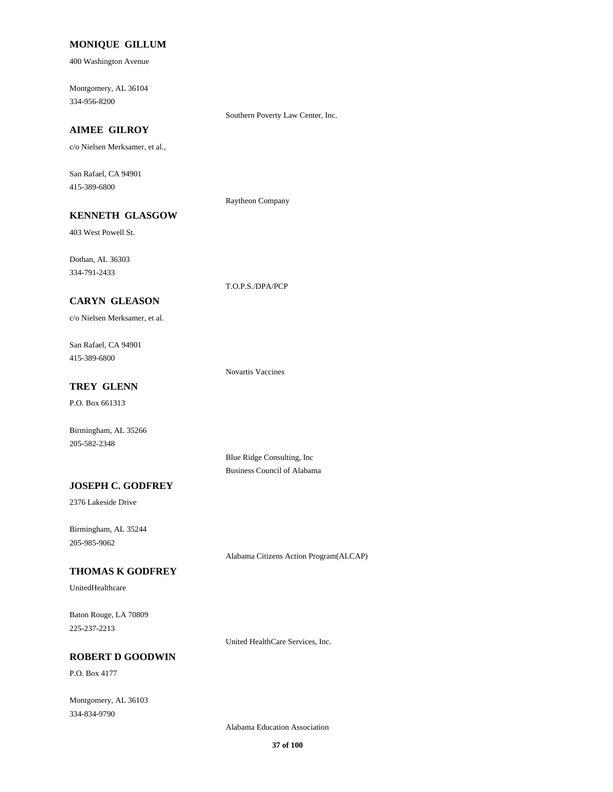#### **MONIQUE GILLUM**

400 Washington Avenue

334-956-8200 Montgomery, AL 36104

Southern Poverty Law Center, Inc.

# **AIMEE GILROY**

c/o Nielsen Merksamer, et al.,

**KENNETH GLASGOW**

415-389-6800 San Rafael, CA 94901

#### Raytheon Company

T.O.P.S./DPA/PCP

403 West Powell St.

334-791-2433 Dothan, AL 36303

### **CARYN GLEASON**

c/o Nielsen Merksamer, et al.

415-389-6800 San Rafael, CA 94901

Novartis Vaccines

# **TREY GLENN**

P.O. Box 661313

205-582-2348 Birmingham, AL 35266

> Blue Ridge Consulting, Inc Business Council of Alabama

### **JOSEPH C. GODFREY**

2376 Lakeside Drive

205-985-9062 Birmingham, AL 35244

Alabama Citizens Action Program(ALCAP)

### **THOMAS K GODFREY**

UnitedHealthcare

225-237-2213 Baton Rouge, LA 70809

United HealthCare Services, Inc.

### **ROBERT D GOODWIN**

P.O. Box 4177

334-834-9790 Montgomery, AL 36103

Alabama Education Association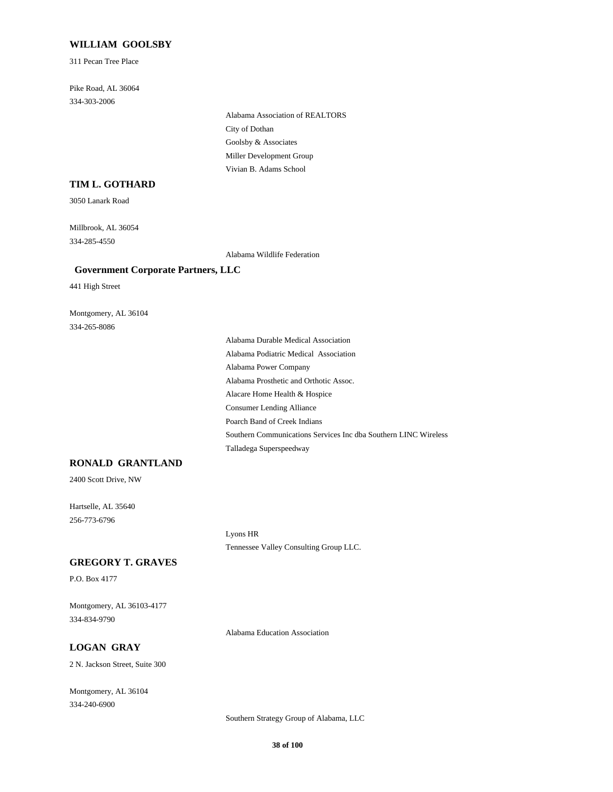#### **WILLIAM GOOLSBY**

311 Pecan Tree Place

334-303-2006 Pike Road, AL 36064

> City of Dothan Alabama Association of REALTORS Goolsby & Associates Vivian B. Adams School Miller Development Group

# **TIM L. GOTHARD**

3050 Lanark Road

334-285-4550 Millbrook, AL 36054

Alabama Wildlife Federation

#### **Government Corporate Partners, LLC**

441 High Street

334-265-8086 Montgomery, AL 36104

> Southern Communications Services Inc dba Southern LINC Wireless Talladega Superspeedway Poarch Band of Creek Indians Alabama Power Company Alabama Podiatric Medical Association Alabama Durable Medical Association Consumer Lending Alliance Alacare Home Health & Hospice Alabama Prosthetic and Orthotic Assoc.

### **RONALD GRANTLAND**

2400 Scott Drive, NW

256-773-6796 Hartselle, AL 35640

> Lyons HR Tennessee Valley Consulting Group LLC.

### **GREGORY T. GRAVES**

P.O. Box 4177

334-834-9790 Montgomery, AL 36103-4177

Alabama Education Association

# **LOGAN GRAY**

2 N. Jackson Street, Suite 300

334-240-6900 Montgomery, AL 36104

Southern Strategy Group of Alabama, LLC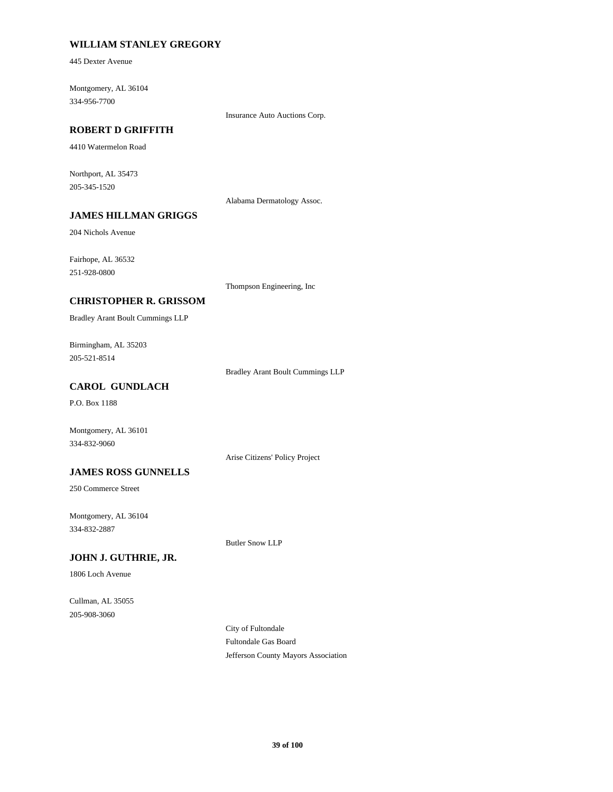### **WILLIAM STANLEY GREGORY**

445 Dexter Avenue

334-956-7700 Montgomery, AL 36104

Insurance Auto Auctions Corp.

### **ROBERT D GRIFFITH**

4410 Watermelon Road

205-345-1520 Northport, AL 35473

Alabama Dermatology Assoc.

# **JAMES HILLMAN GRIGGS**

204 Nichols Avenue

251-928-0800 Fairhope, AL 36532

Thompson Engineering, Inc

### **CHRISTOPHER R. GRISSOM**

Bradley Arant Boult Cummings LLP

205-521-8514 Birmingham, AL 35203

Bradley Arant Boult Cummings LLP

# **CAROL GUNDLACH**

P.O. Box 1188

Montgomery, AL 36101 334-832-9060

Arise Citizens' Policy Project

### **JAMES ROSS GUNNELLS**

250 Commerce Street

334-832-2887 Montgomery, AL 36104

Butler Snow LLP

### **JOHN J. GUTHRIE, JR.**

1806 Loch Avenue

205-908-3060 Cullman, AL 35055

> City of Fultondale Fultondale Gas Board Jefferson County Mayors Association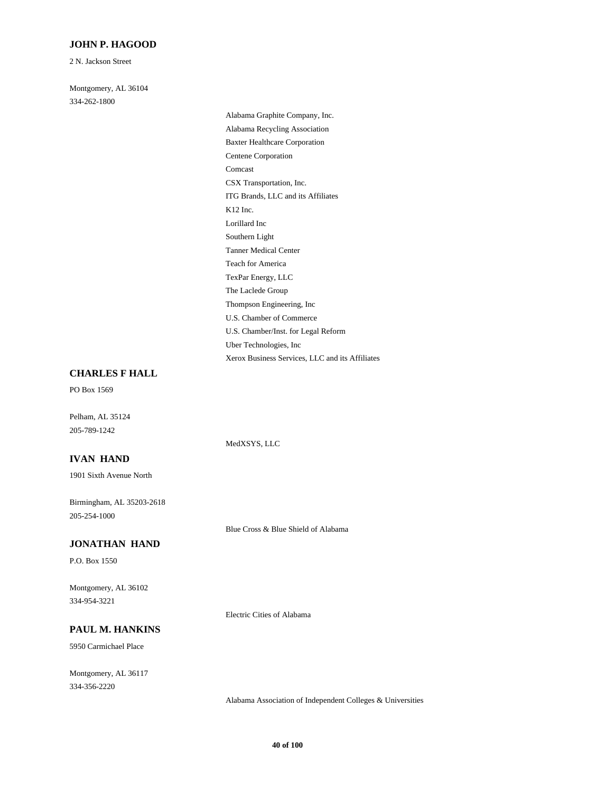#### **JOHN P. HAGOOD**

2 N. Jackson Street

334-262-1800 Montgomery, AL 36104

> ITG Brands, LLC and its Affiliates CSX Transportation, Inc. Lorillard Inc K12 Inc. Comcast Alabama Recycling Association Alabama Graphite Company, Inc. Centene Corporation Baxter Healthcare Corporation Southern Light U.S. Chamber/Inst. for Legal Reform U.S. Chamber of Commerce Xerox Business Services, LLC and its Affiliates Uber Technologies, Inc Thompson Engineering, Inc Teach for America Tanner Medical Center The Laclede Group TexPar Energy, LLC

#### **CHARLES F HALL**

PO Box 1569

Pelham, AL 35124 205-789-1242

#### **IVAN HAND**

1901 Sixth Avenue North

205-254-1000 Birmingham, AL 35203-2618

#### **JONATHAN HAND**

P.O. Box 1550

334-954-3221 Montgomery, AL 36102

Electric Cities of Alabama

MedXSYS, LLC

Blue Cross & Blue Shield of Alabama

# **PAUL M. HANKINS**

5950 Carmichael Place

334-356-2220 Montgomery, AL 36117

Alabama Association of Independent Colleges & Universities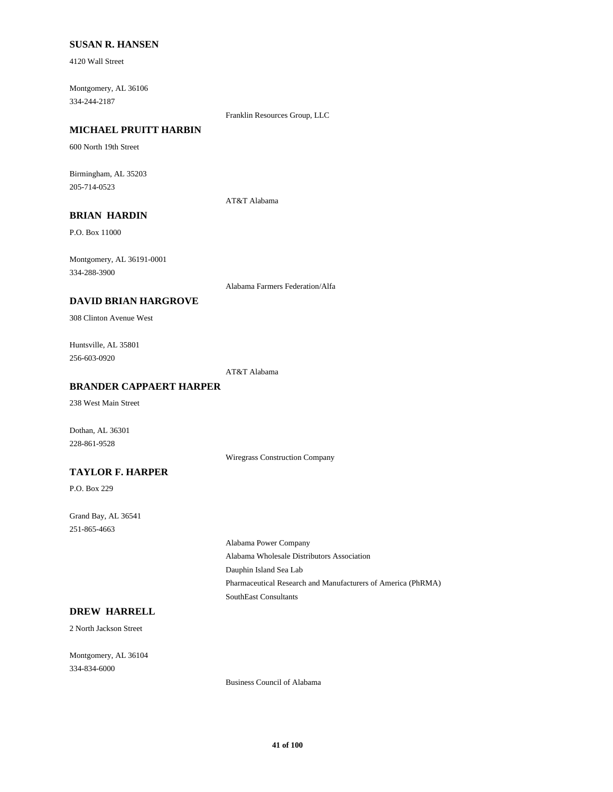#### **SUSAN R. HANSEN**

4120 Wall Street

334-244-2187 Montgomery, AL 36106

Franklin Resources Group, LLC

# **MICHAEL PRUITT HARBIN**

600 North 19th Street

205-714-0523 Birmingham, AL 35203

AT&T Alabama

# **BRIAN HARDIN**

P.O. Box 11000

334-288-3900 Montgomery, AL 36191-0001

Alabama Farmers Federation/Alfa

### **DAVID BRIAN HARGROVE**

308 Clinton Avenue West

256-603-0920 Huntsville, AL 35801

AT&T Alabama

#### **BRANDER CAPPAERT HARPER**

238 West Main Street

Dothan, AL 36301 228-861-9528

Wiregrass Construction Company

### **TAYLOR F. HARPER**

P.O. Box 229

251-865-4663 Grand Bay, AL 36541

> Alabama Wholesale Distributors Association Alabama Power Company Dauphin Island Sea Lab SouthEast Consultants Pharmaceutical Research and Manufacturers of America (PhRMA)

# **DREW HARRELL**

2 North Jackson Street

334-834-6000 Montgomery, AL 36104

Business Council of Alabama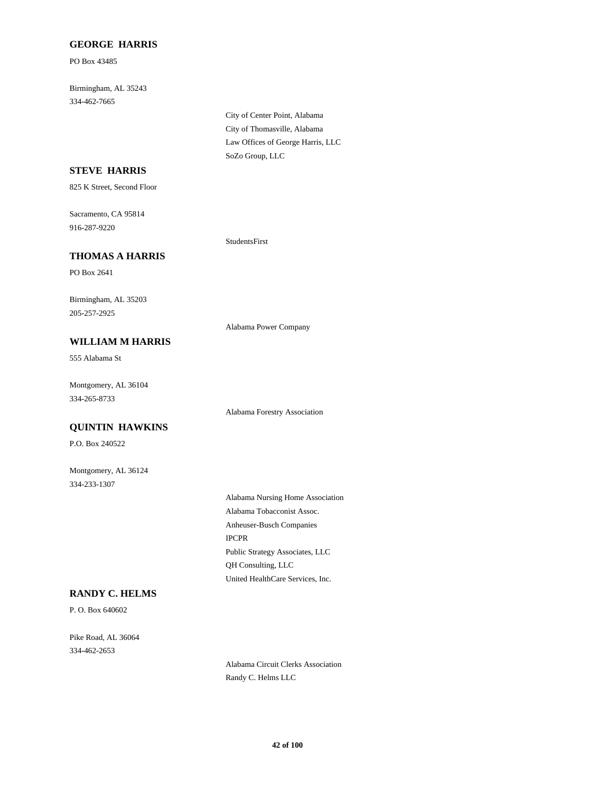#### **GEORGE HARRIS**

PO Box 43485

334-462-7665 Birmingham, AL 35243

> City of Thomasville, Alabama City of Center Point, Alabama SoZo Group, LLC Law Offices of George Harris, LLC

### **STEVE HARRIS**

825 K Street, Second Floor

916-287-9220 Sacramento, CA 95814

#### **THOMAS A HARRIS**

PO Box 2641

205-257-2925 Birmingham, AL 35203

**WILLIAM M HARRIS**

#### Alabama Power Company

StudentsFirst

Alabama Forestry Association

555 Alabama St

334-265-8733 Montgomery, AL 36104

## **QUINTIN HAWKINS**

P.O. Box 240522

334-233-1307 Montgomery, AL 36124

> Anheuser-Busch Companies Alabama Tobacconist Assoc. Alabama Nursing Home Association IPCPR United HealthCare Services, Inc. QH Consulting, LLC Public Strategy Associates, LLC

#### **RANDY C. HELMS**

P. O. Box 640602

334-462-2653 Pike Road, AL 36064

> Alabama Circuit Clerks Association Randy C. Helms LLC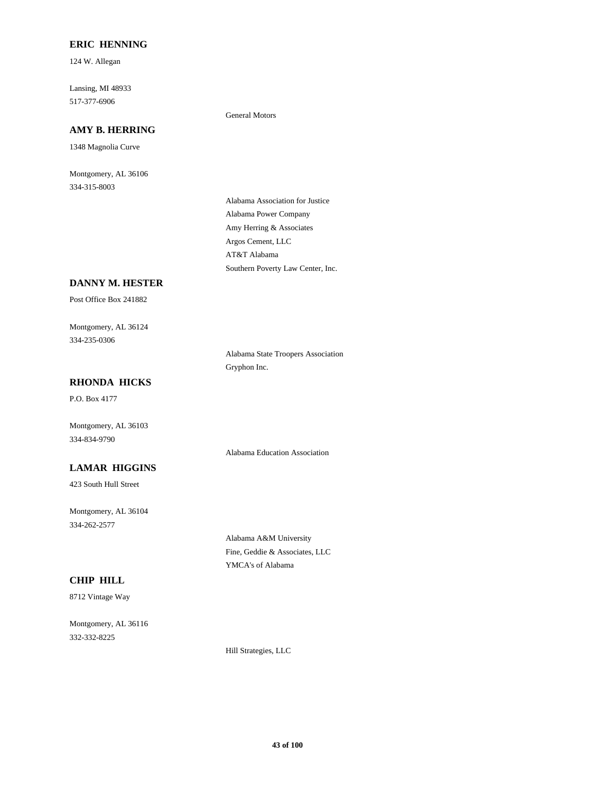### **ERIC HENNING**

124 W. Allegan

517-377-6906 Lansing, MI 48933

# **AMY B. HERRING**

1348 Magnolia Curve

334-315-8003 Montgomery, AL 36106

#### General Motors

Amy Herring & Associates Alabama Power Company Alabama Association for Justice Southern Poverty Law Center, Inc. AT&T Alabama Argos Cement, LLC

### **DANNY M. HESTER**

Post Office Box 241882

334-235-0306 Montgomery, AL 36124

> Alabama State Troopers Association Gryphon Inc.

# **RHONDA HICKS**

P.O. Box 4177

334-834-9790 Montgomery, AL 36103

# **LAMAR HIGGINS**

423 South Hull Street

334-262-2577 Montgomery, AL 36104

> Alabama A&M University Fine, Geddie & Associates, LLC YMCA's of Alabama

Alabama Education Association

# **CHIP HILL**

8712 Vintage Way

332-332-8225 Montgomery, AL 36116

Hill Strategies, LLC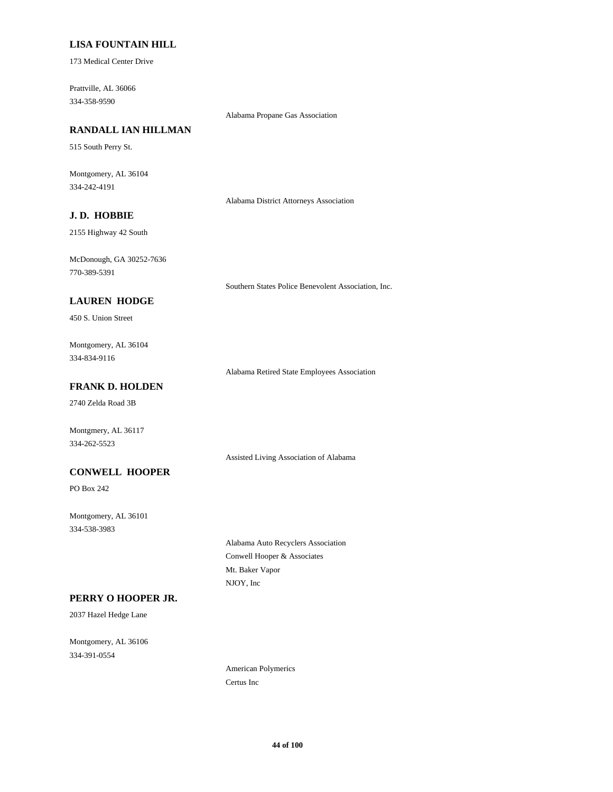### **LISA FOUNTAIN HILL**

173 Medical Center Drive

334-358-9590 Prattville, AL 36066

Alabama Propane Gas Association

# **RANDALL IAN HILLMAN**

515 South Perry St.

334-242-4191 Montgomery, AL 36104

Alabama District Attorneys Association

# **J. D. HOBBIE**

2155 Highway 42 South

770-389-5391 McDonough, GA 30252-7636

Southern States Police Benevolent Association, Inc.

### **LAUREN HODGE**

450 S. Union Street

334-834-9116 Montgomery, AL 36104

Alabama Retired State Employees Association

# **FRANK D. HOLDEN**

2740 Zelda Road 3B

Montgmery, AL 36117 334-262-5523

Assisted Living Association of Alabama

#### **CONWELL HOOPER**

PO Box 242

334-538-3983 Montgomery, AL 36101

> Conwell Hooper & Associates Alabama Auto Recyclers Association NJOY, Inc Mt. Baker Vapor

# **PERRY O HOOPER JR.**

2037 Hazel Hedge Lane

334-391-0554 Montgomery, AL 36106

> American Polymerics Certus Inc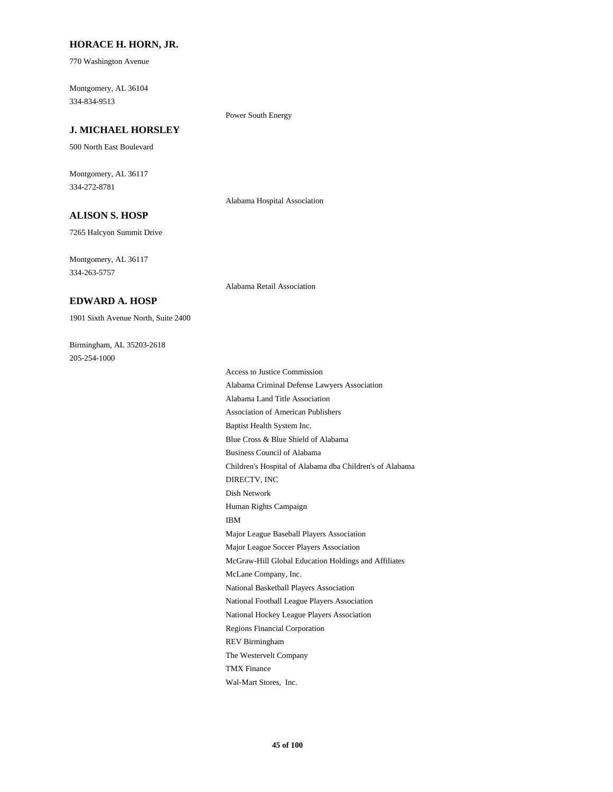#### **HORACE H. HORN, JR.**

770 Washington Avenue

334-834-9513 Montgomery, AL 36104

Power South Energy

# **J. MICHAEL HORSLEY**

500 North East Boulevard

334-272-8781 Montgomery, AL 36117

Alabama Hospital Association

# **ALISON S. HOSP**

7265 Halcyon Summit Drive

334-263-5757 Montgomery, AL 36117

**EDWARD A. HOSP**

Alabama Retail Association

205-254-1000 Birmingham, AL 35203-2618

1901 Sixth Avenue North, Suite 2400

Human Rights Campaign Dish Network IBM Major League Soccer Players Association Major League Baseball Players Association Blue Cross & Blue Shield of Alabama Baptist Health System Inc. Business Council of Alabama DIRECTV, INC Children's Hospital of Alabama dba Children's of Alabama REV Birmingham Regions Financial Corporation The Westervelt Company Wal-Mart Stores, Inc. TMX Finance McLane Company, Inc. McGraw-Hill Global Education Holdings and Affiliates National Basketball Players Association National Hockey League Players Association National Football League Players Association Association of American Publishers Access to Justice Commission Alabama Criminal Defense Lawyers Association Alabama Land Title Association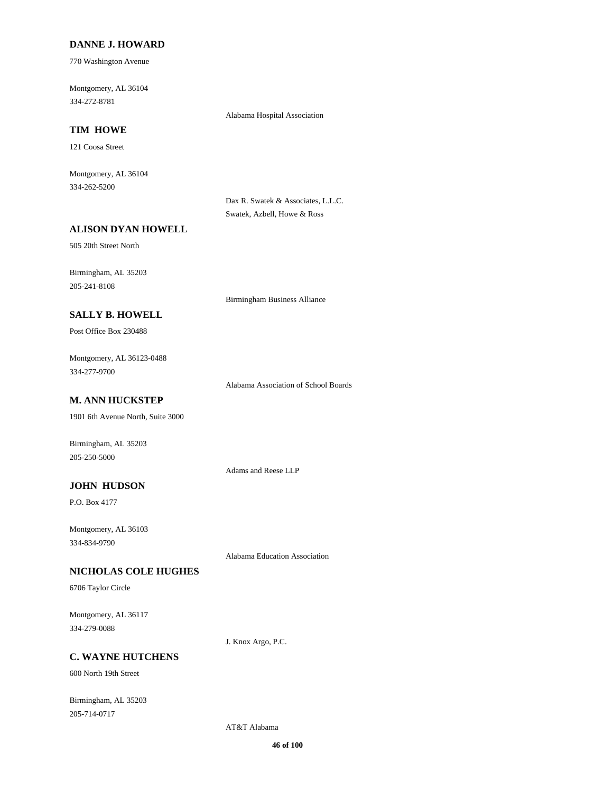#### **DANNE J. HOWARD**

770 Washington Avenue

334-272-8781 Montgomery, AL 36104

Alabama Hospital Association

# **TIM HOWE**

121 Coosa Street

334-262-5200 Montgomery, AL 36104

> Dax R. Swatek & Associates, L.L.C. Swatek, Azbell, Howe & Ross

### **ALISON DYAN HOWELL**

505 20th Street North

205-241-8108 Birmingham, AL 35203

Birmingham Business Alliance

# **SALLY B. HOWELL**

Post Office Box 230488

334-277-9700 Montgomery, AL 36123-0488

Alabama Association of School Boards

# **M. ANN HUCKSTEP**

1901 6th Avenue North, Suite 3000

Birmingham, AL 35203 205-250-5000

Adams and Reese LLP

### **JOHN HUDSON**

P.O. Box 4177

334-834-9790 Montgomery, AL 36103

Alabama Education Association

# **NICHOLAS COLE HUGHES**

6706 Taylor Circle

334-279-0088 Montgomery, AL 36117

J. Knox Argo, P.C.

### **C. WAYNE HUTCHENS**

600 North 19th Street

205-714-0717 Birmingham, AL 35203

AT&T Alabama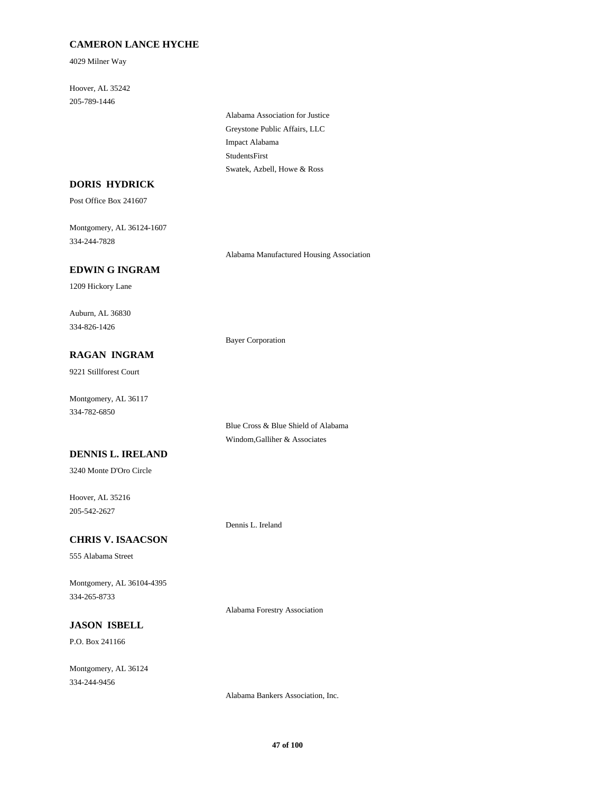# **CAMERON LANCE HYCHE**

4029 Milner Way

205-789-1446 Hoover, AL 35242

> Greystone Public Affairs, LLC Alabama Association for Justice Impact Alabama Swatek, Azbell, Howe & Ross StudentsFirst

# **DORIS HYDRICK**

Post Office Box 241607

334-244-7828 Montgomery, AL 36124-1607

Alabama Manufactured Housing Association

Blue Cross & Blue Shield of Alabama Windom,Galliher & Associates

# **EDWIN G INGRAM**

1209 Hickory Lane

334-826-1426 Auburn, AL 36830

Bayer Corporation

# **RAGAN INGRAM**

9221 Stillforest Court

334-782-6850 Montgomery, AL 36117

### **DENNIS L. IRELAND**

3240 Monte D'Oro Circle

205-542-2627 Hoover, AL 35216

Dennis L. Ireland

### **CHRIS V. ISAACSON**

555 Alabama Street

334-265-8733 Montgomery, AL 36104-4395

Alabama Forestry Association

# **JASON ISBELL**

P.O. Box 241166

334-244-9456 Montgomery, AL 36124

Alabama Bankers Association, Inc.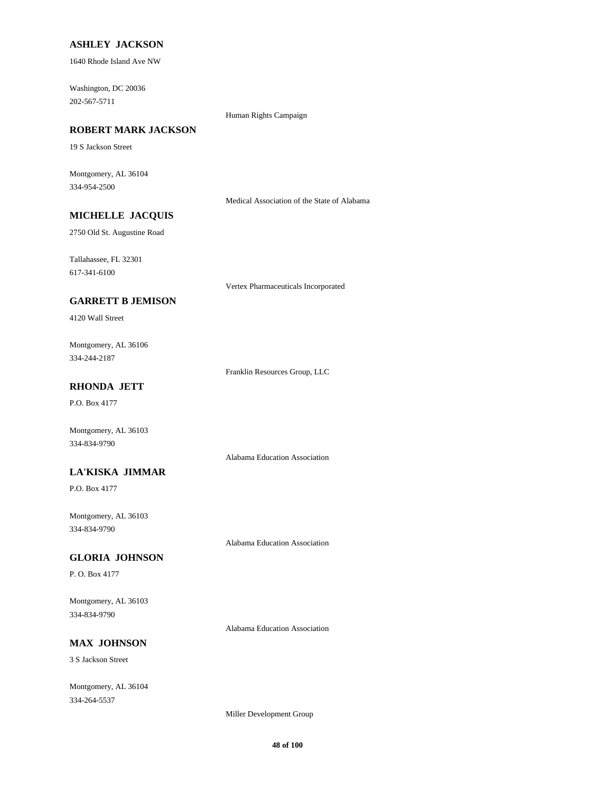### **ASHLEY JACKSON**

1640 Rhode Island Ave NW

202-567-5711 Washington, DC 20036

#### Human Rights Campaign

# **ROBERT MARK JACKSON**

19 S Jackson Street

334-954-2500 Montgomery, AL 36104

Medical Association of the State of Alabama

# **MICHELLE JACQUIS**

2750 Old St. Augustine Road

617-341-6100 Tallahassee, FL 32301

Vertex Pharmaceuticals Incorporated

# **GARRETT B JEMISON**

4120 Wall Street

334-244-2187 Montgomery, AL 36106

Franklin Resources Group, LLC

# **RHONDA JETT**

P.O. Box 4177

Montgomery, AL 36103 334-834-9790

Alabama Education Association

#### **LA'KISKA JIMMAR**

P.O. Box 4177

334-834-9790 Montgomery, AL 36103

Alabama Education Association

#### **GLORIA JOHNSON**

P. O. Box 4177

334-834-9790 Montgomery, AL 36103

Alabama Education Association

# **MAX JOHNSON**

3 S Jackson Street

334-264-5537 Montgomery, AL 36104

Miller Development Group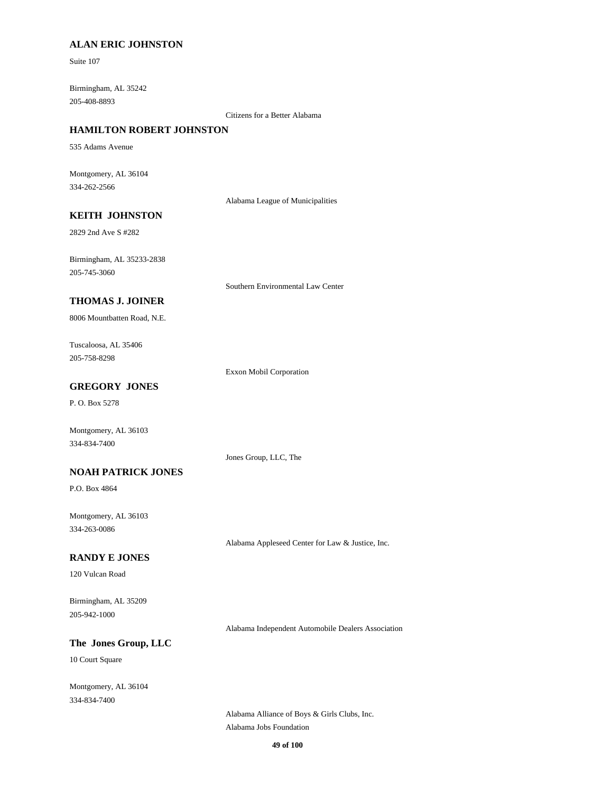### **ALAN ERIC JOHNSTON**

Suite 107

205-408-8893 Birmingham, AL 35242

Citizens for a Better Alabama

### **HAMILTON ROBERT JOHNSTON**

535 Adams Avenue

334-262-2566 Montgomery, AL 36104

Alabama League of Municipalities

### **KEITH JOHNSTON**

2829 2nd Ave S #282

205-745-3060 Birmingham, AL 35233-2838

Southern Environmental Law Center

### **THOMAS J. JOINER**

8006 Mountbatten Road, N.E.

205-758-8298 Tuscaloosa, AL 35406

Exxon Mobil Corporation

# **GREGORY JONES**

P. O. Box 5278

Montgomery, AL 36103 334-834-7400

Jones Group, LLC, The

#### **NOAH PATRICK JONES**

P.O. Box 4864

334-263-0086 Montgomery, AL 36103

Alabama Appleseed Center for Law & Justice, Inc.

#### **RANDY E JONES**

120 Vulcan Road

205-942-1000 Birmingham, AL 35209

Alabama Independent Automobile Dealers Association

# **The Jones Group, LLC**

10 Court Square

334-834-7400 Montgomery, AL 36104

> Alabama Jobs Foundation Alabama Alliance of Boys & Girls Clubs, Inc.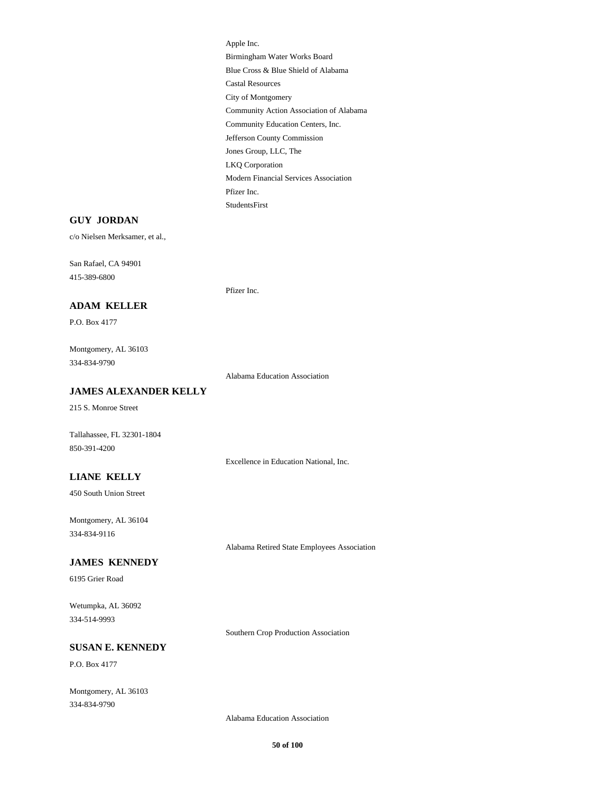Castal Resources City of Montgomery Community Action Association of Alabama Apple Inc. Birmingham Water Works Board Blue Cross & Blue Shield of Alabama Community Education Centers, Inc. Modern Financial Services Association Pfizer Inc. StudentsFirst Jefferson County Commission Jones Group, LLC, The LKQ Corporation

#### **GUY JORDAN**

c/o Nielsen Merksamer, et al.,

415-389-6800 San Rafael, CA 94901

Pfizer Inc.

# **ADAM KELLER**

P.O. Box 4177

334-834-9790 Montgomery, AL 36103

Alabama Education Association

#### **JAMES ALEXANDER KELLY**

215 S. Monroe Street

Tallahassee, FL 32301-1804 850-391-4200

Excellence in Education National, Inc.

# **LIANE KELLY**

450 South Union Street

334-834-9116 Montgomery, AL 36104

Alabama Retired State Employees Association

# **JAMES KENNEDY**

6195 Grier Road

334-514-9993 Wetumpka, AL 36092

Southern Crop Production Association

# **SUSAN E. KENNEDY**

P.O. Box 4177

334-834-9790 Montgomery, AL 36103

Alabama Education Association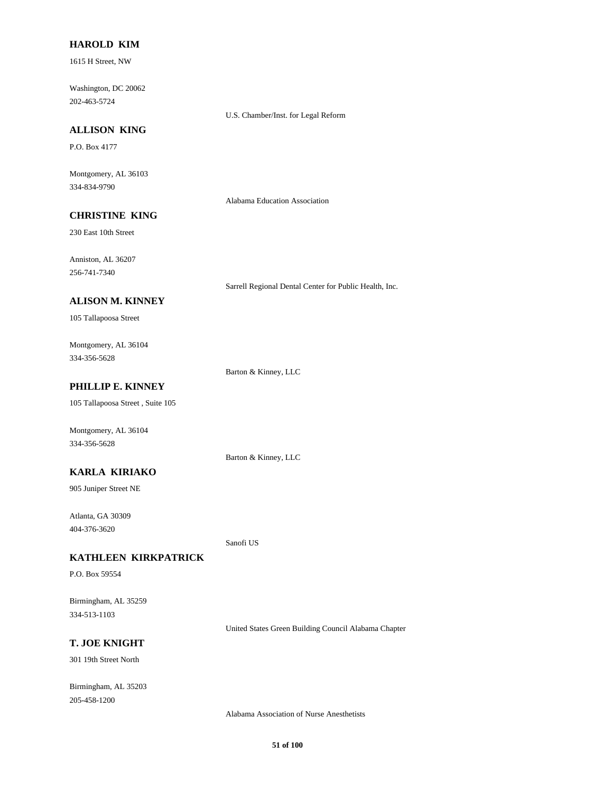#### **HAROLD KIM**

1615 H Street, NW

202-463-5724 Washington, DC 20062

U.S. Chamber/Inst. for Legal Reform

#### **ALLISON KING**

P.O. Box 4177

334-834-9790 Montgomery, AL 36103

Alabama Education Association

# **CHRISTINE KING**

230 East 10th Street

256-741-7340 Anniston, AL 36207

Sarrell Regional Dental Center for Public Health, Inc.

#### **ALISON M. KINNEY**

105 Tallapoosa Street

334-356-5628 Montgomery, AL 36104

Barton & Kinney, LLC

# **PHILLIP E. KINNEY**

105 Tallapoosa Street , Suite 105

Montgomery, AL 36104 334-356-5628

Barton & Kinney, LLC

### **KARLA KIRIAKO**

905 Juniper Street NE

404-376-3620 Atlanta, GA 30309

Sanofi US

# **KATHLEEN KIRKPATRICK**

P.O. Box 59554

334-513-1103 Birmingham, AL 35259

United States Green Building Council Alabama Chapter

# **T. JOE KNIGHT**

301 19th Street North

205-458-1200 Birmingham, AL 35203

Alabama Association of Nurse Anesthetists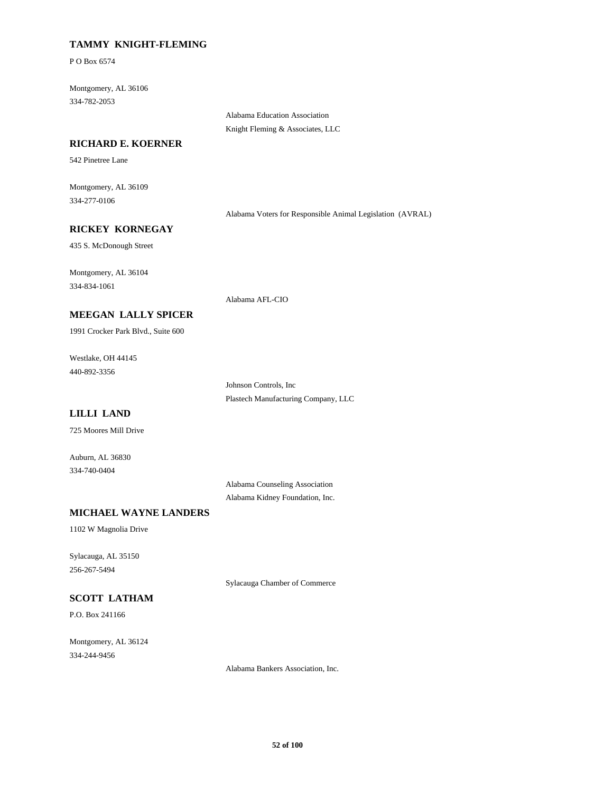### **TAMMY KNIGHT-FLEMING**

P O Box 6574

334-782-2053 Montgomery, AL 36106

> Alabama Education Association Knight Fleming & Associates, LLC

#### **RICHARD E. KOERNER**

542 Pinetree Lane

334-277-0106 Montgomery, AL 36109

Alabama Voters for Responsible Animal Legislation (AVRAL)

### **RICKEY KORNEGAY**

435 S. McDonough Street

334-834-1061 Montgomery, AL 36104

Alabama AFL-CIO

1991 Crocker Park Blvd., Suite 600 **MEEGAN LALLY SPICER**

440-892-3356 Westlake, OH 44145

> Plastech Manufacturing Company, LLC Johnson Controls, Inc

# **LILLI LAND**

725 Moores Mill Drive

334-740-0404 Auburn, AL 36830

> Alabama Counseling Association Alabama Kidney Foundation, Inc.

# **MICHAEL WAYNE LANDERS**

1102 W Magnolia Drive

256-267-5494 Sylacauga, AL 35150

# **SCOTT LATHAM**

P.O. Box 241166

334-244-9456 Montgomery, AL 36124 Sylacauga Chamber of Commerce

Alabama Bankers Association, Inc.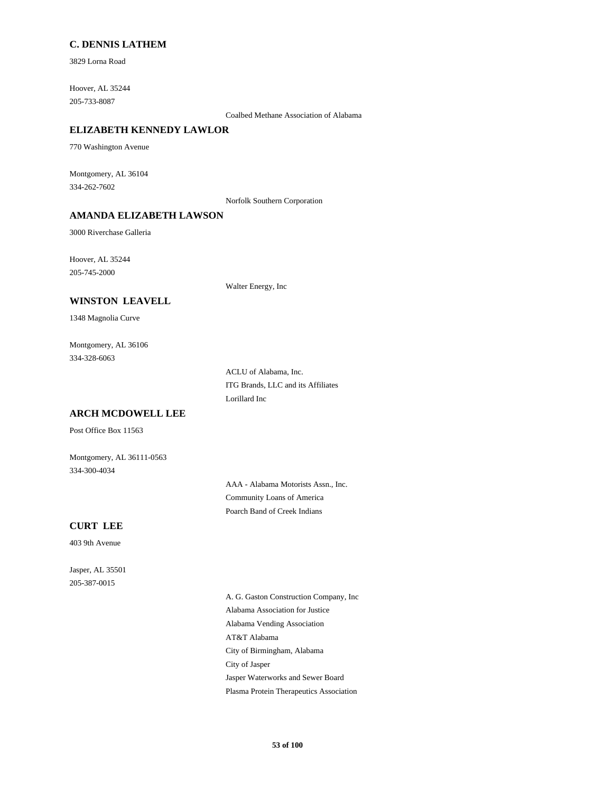### **C. DENNIS LATHEM**

3829 Lorna Road

205-733-8087 Hoover, AL 35244

Coalbed Methane Association of Alabama

### **ELIZABETH KENNEDY LAWLOR**

770 Washington Avenue

334-262-7602 Montgomery, AL 36104

Norfolk Southern Corporation

### **AMANDA ELIZABETH LAWSON**

3000 Riverchase Galleria

205-745-2000 Hoover, AL 35244

Walter Energy, Inc

#### **WINSTON LEAVELL**

1348 Magnolia Curve

334-328-6063 Montgomery, AL 36106

> ACLU of Alabama, Inc. ITG Brands, LLC and its Affiliates Lorillard Inc

# **ARCH MCDOWELL LEE**

Post Office Box 11563

334-300-4034 Montgomery, AL 36111-0563

> AAA - Alabama Motorists Assn., Inc. Community Loans of America Poarch Band of Creek Indians

### **CURT LEE**

403 9th Avenue

205-387-0015 Jasper, AL 35501

> Alabama Vending Association AT&T Alabama A. G. Gaston Construction Company, Inc Alabama Association for Justice Jasper Waterworks and Sewer Board Plasma Protein Therapeutics Association City of Birmingham, Alabama City of Jasper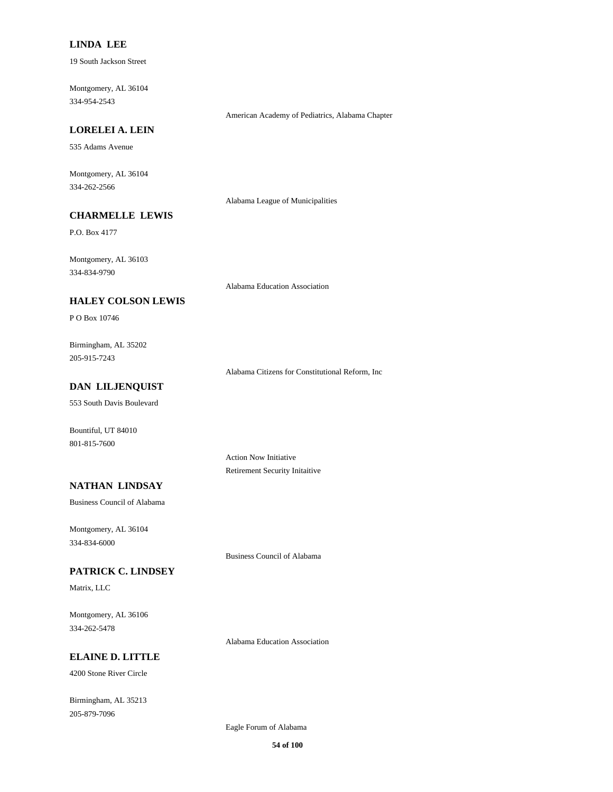#### **LINDA LEE**

19 South Jackson Street

334-954-2543 Montgomery, AL 36104

American Academy of Pediatrics, Alabama Chapter

# **LORELEI A. LEIN**

535 Adams Avenue

334-262-2566 Montgomery, AL 36104

Alabama League of Municipalities

# **CHARMELLE LEWIS**

P.O. Box 4177

334-834-9790 Montgomery, AL 36103

Alabama Education Association

### **HALEY COLSON LEWIS**

P O Box 10746

205-915-7243 Birmingham, AL 35202

Alabama Citizens for Constitutional Reform, Inc

# **DAN LILJENQUIST**

553 South Davis Boulevard

801-815-7600 Bountiful, UT 84010

> Action Now Initiative Retirement Security Initaitive

# **NATHAN LINDSAY**

Business Council of Alabama

334-834-6000 Montgomery, AL 36104

Business Council of Alabama

# **PATRICK C. LINDSEY**

Matrix, LLC

334-262-5478 Montgomery, AL 36106

Alabama Education Association

#### **ELAINE D. LITTLE**

4200 Stone River Circle

205-879-7096 Birmingham, AL 35213

Eagle Forum of Alabama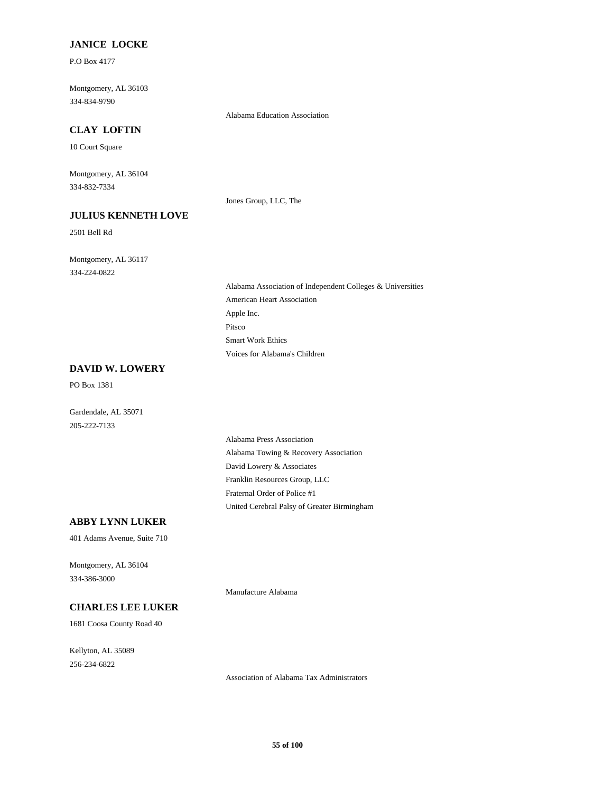### **JANICE LOCKE**

P.O Box 4177

334-834-9790 Montgomery, AL 36103

Alabama Education Association

# **CLAY LOFTIN**

10 Court Square

334-832-7334 Montgomery, AL 36104

**JULIUS KENNETH LOVE**

#### Jones Group, LLC, The

2501 Bell Rd

334-224-0822 Montgomery, AL 36117

> Apple Inc. American Heart Association Alabama Association of Independent Colleges & Universities Voices for Alabama's Children Smart Work Ethics Pitsco

### **DAVID W. LOWERY**

PO Box 1381

Gardendale, AL 35071 205-222-7133

> David Lowery & Associates Alabama Towing & Recovery Association Alabama Press Association United Cerebral Palsy of Greater Birmingham Fraternal Order of Police #1 Franklin Resources Group, LLC

# **ABBY LYNN LUKER**

401 Adams Avenue, Suite 710

334-386-3000 Montgomery, AL 36104

Manufacture Alabama

#### **CHARLES LEE LUKER**

1681 Coosa County Road 40

256-234-6822 Kellyton, AL 35089

Association of Alabama Tax Administrators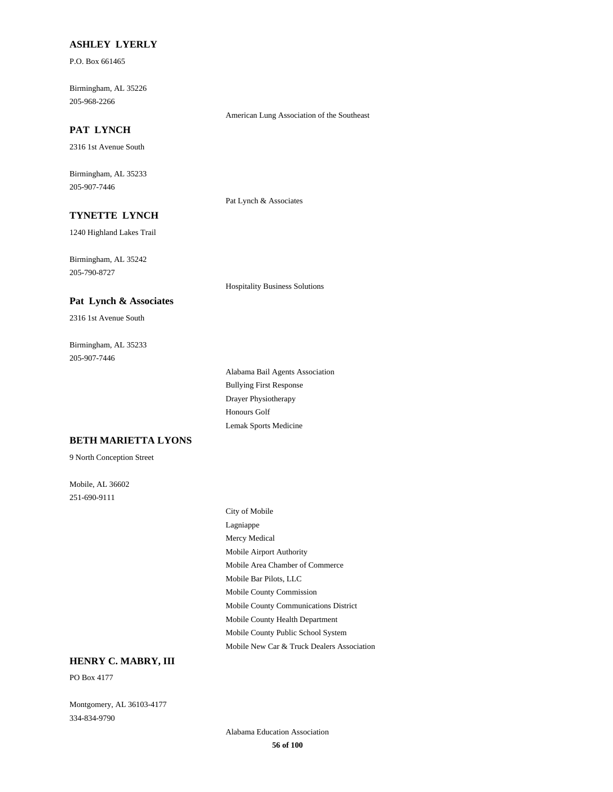#### **ASHLEY LYERLY**

P.O. Box 661465

205-968-2266 Birmingham, AL 35226

#### **PAT LYNCH**

2316 1st Avenue South

205-907-7446 Birmingham, AL 35233

Pat Lynch & Associates

American Lung Association of the Southeast

Hospitality Business Solutions

# **TYNETTE LYNCH**

1240 Highland Lakes Trail

205-790-8727 Birmingham, AL 35242

#### **Pat Lynch & Associates**

2316 1st Avenue South

205-907-7446 Birmingham, AL 35233

> Bullying First Response Alabama Bail Agents Association Drayer Physiotherapy Lemak Sports Medicine Honours Golf

#### **BETH MARIETTA LYONS**

9 North Conception Street

251-690-9111 Mobile, AL 36602

Mobile Airport Authority Mobile Area Chamber of Commerce Mercy Medical City of Mobile Lagniappe Mobile Bar Pilots, LLC Mobile County Public School System Mobile New Car & Truck Dealers Association Mobile County Health Department Mobile County Commission Mobile County Communications District

# **HENRY C. MABRY, III**

PO Box 4177

334-834-9790 Montgomery, AL 36103-4177

> **56 of 100** Alabama Education Association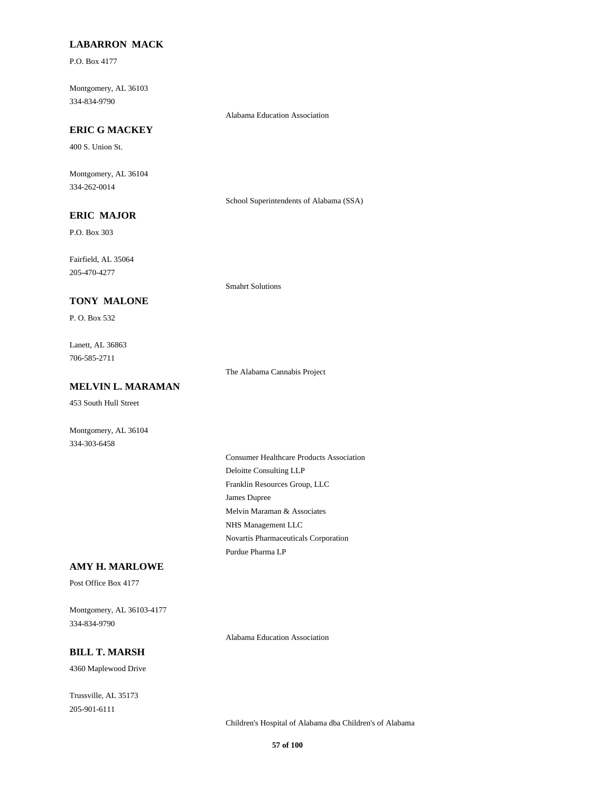### **LABARRON MACK**

P.O. Box 4177

334-834-9790 Montgomery, AL 36103

Alabama Education Association

# **ERIC G MACKEY**

400 S. Union St.

334-262-0014 Montgomery, AL 36104

School Superintendents of Alabama (SSA)

# **ERIC MAJOR**

P.O. Box 303

205-470-4277 Fairfield, AL 35064

#### **TONY MALONE**

P. O. Box 532

706-585-2711 Lanett, AL 36863

The Alabama Cannabis Project

Smahrt Solutions

# **MELVIN L. MARAMAN**

453 South Hull Street

334-303-6458 Montgomery, AL 36104

> Franklin Resources Group, LLC James Dupree Consumer Healthcare Products Association Deloitte Consulting LLP Novartis Pharmaceuticals Corporation Purdue Pharma LP Melvin Maraman & Associates NHS Management LLC

### **AMY H. MARLOWE**

Post Office Box 4177

334-834-9790 Montgomery, AL 36103-4177

#### **BILL T. MARSH**

4360 Maplewood Drive

205-901-6111 Trussville, AL 35173

Children's Hospital of Alabama dba Children's of Alabama

Alabama Education Association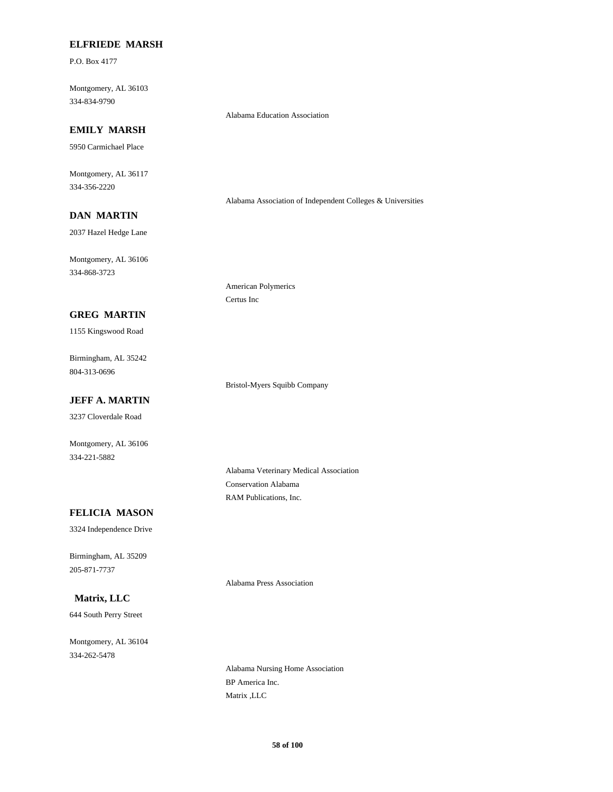#### **ELFRIEDE MARSH**

P.O. Box 4177

334-834-9790 Montgomery, AL 36103

### Alabama Education Association

# **EMILY MARSH**

5950 Carmichael Place

334-356-2220 Montgomery, AL 36117

Alabama Association of Independent Colleges & Universities

# **DAN MARTIN**

2037 Hazel Hedge Lane

334-868-3723 Montgomery, AL 36106

#### **GREG MARTIN**

1155 Kingswood Road

804-313-0696 Birmingham, AL 35242

### **JEFF A. MARTIN**

3237 Cloverdale Road

Montgomery, AL 36106 334-221-5882

American Polymerics

Certus Inc

Bristol-Myers Squibb Company

Alabama Veterinary Medical Association Conservation Alabama RAM Publications, Inc.

### **FELICIA MASON**

3324 Independence Drive

205-871-7737 Birmingham, AL 35209

Alabama Press Association

# **Matrix, LLC**

644 South Perry Street

334-262-5478 Montgomery, AL 36104

> Alabama Nursing Home Association BP America Inc. Matrix ,LLC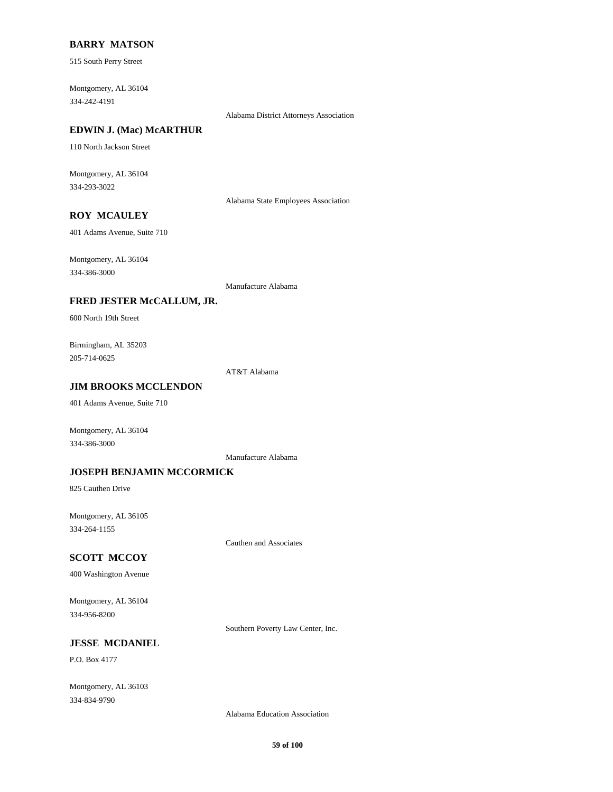#### **BARRY MATSON**

515 South Perry Street

334-242-4191 Montgomery, AL 36104

Alabama District Attorneys Association

# **EDWIN J. (Mac) McARTHUR**

110 North Jackson Street

334-293-3022 Montgomery, AL 36104

Alabama State Employees Association

# **ROY MCAULEY**

401 Adams Avenue, Suite 710

334-386-3000 Montgomery, AL 36104

Manufacture Alabama

### **FRED JESTER McCALLUM, JR.**

600 North 19th Street

205-714-0625 Birmingham, AL 35203

AT&T Alabama

# **JIM BROOKS MCCLENDON**

401 Adams Avenue, Suite 710

Montgomery, AL 36104 334-386-3000

Manufacture Alabama

### **JOSEPH BENJAMIN MCCORMICK**

825 Cauthen Drive

334-264-1155 Montgomery, AL 36105

Cauthen and Associates

#### **SCOTT MCCOY**

400 Washington Avenue

334-956-8200 Montgomery, AL 36104

Southern Poverty Law Center, Inc.

# **JESSE MCDANIEL**

P.O. Box 4177

334-834-9790 Montgomery, AL 36103

Alabama Education Association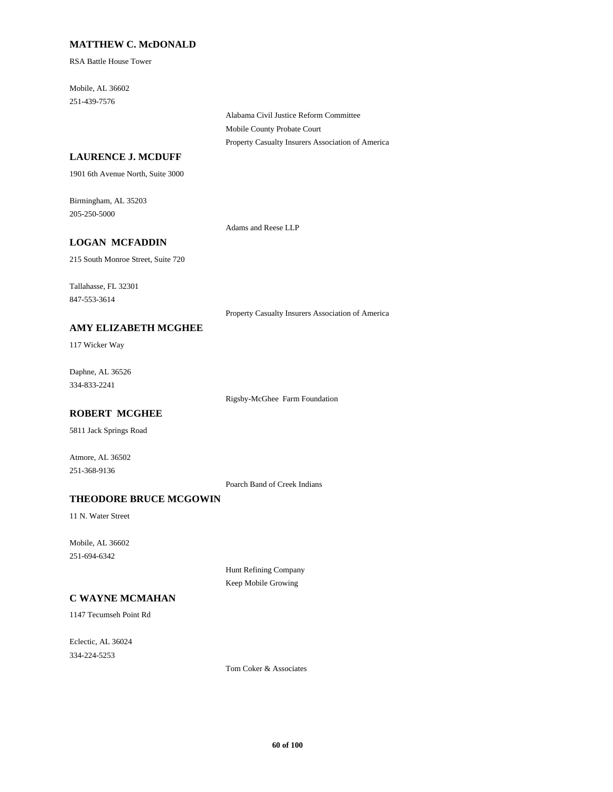### **MATTHEW C. McDONALD**

RSA Battle House Tower

251-439-7576 Mobile, AL 36602

> Alabama Civil Justice Reform Committee Mobile County Probate Court Property Casualty Insurers Association of America

### **LAURENCE J. MCDUFF**

1901 6th Avenue North, Suite 3000

205-250-5000 Birmingham, AL 35203

Adams and Reese LLP

# **LOGAN MCFADDIN**

215 South Monroe Street, Suite 720

847-553-3614 Tallahasse, FL 32301

Property Casualty Insurers Association of America

# **AMY ELIZABETH MCGHEE**

117 Wicker Way

334-833-2241 Daphne, AL 36526

Rigsby-McGhee Farm Foundation

# **ROBERT MCGHEE**

5811 Jack Springs Road

251-368-9136 Atmore, AL 36502

Poarch Band of Creek Indians

# **THEODORE BRUCE MCGOWIN**

11 N. Water Street

251-694-6342 Mobile, AL 36602

> Hunt Refining Company Keep Mobile Growing

# **C WAYNE MCMAHAN**

1147 Tecumseh Point Rd

334-224-5253 Eclectic, AL 36024

Tom Coker & Associates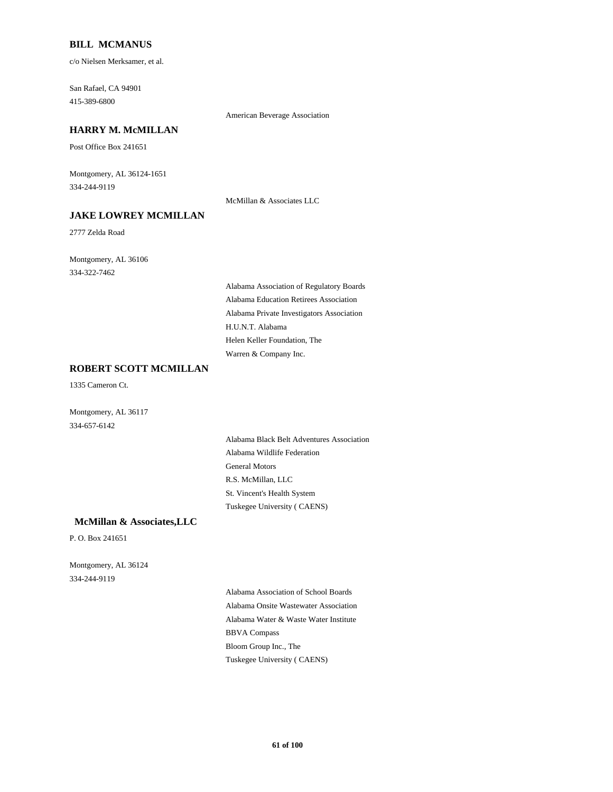#### **BILL MCMANUS**

c/o Nielsen Merksamer, et al.

415-389-6800 San Rafael, CA 94901

### **HARRY M. McMILLAN**

Post Office Box 241651

334-244-9119 Montgomery, AL 36124-1651

## **JAKE LOWREY MCMILLAN** McMillan & Associates LLC

2777 Zelda Road

334-322-7462 Montgomery, AL 36106

> Alabama Private Investigators Association Alabama Education Retirees Association Alabama Association of Regulatory Boards Warren & Company Inc. Helen Keller Foundation, The H.U.N.T. Alabama

American Beverage Association

# **ROBERT SCOTT MCMILLAN**

1335 Cameron Ct.

334-657-6142 Montgomery, AL 36117

> General Motors Alabama Wildlife Federation R.S. McMillan, LLC Tuskegee University ( CAENS) St. Vincent's Health System Alabama Black Belt Adventures Association

#### **McMillan & Associates,LLC**

P. O. Box 241651

334-244-9119 Montgomery, AL 36124

> Alabama Water & Waste Water Institute Alabama Onsite Wastewater Association Alabama Association of School Boards Tuskegee University ( CAENS) Bloom Group Inc., The BBVA Compass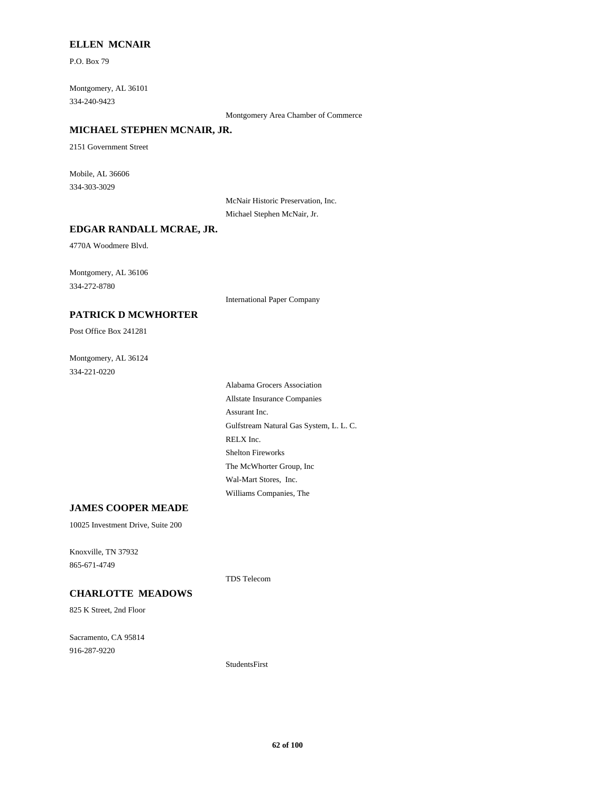#### **ELLEN MCNAIR**

P.O. Box 79

334-240-9423 Montgomery, AL 36101

Montgomery Area Chamber of Commerce

### **MICHAEL STEPHEN MCNAIR, JR.**

2151 Government Street

334-303-3029 Mobile, AL 36606

> McNair Historic Preservation, Inc. Michael Stephen McNair, Jr.

#### **EDGAR RANDALL MCRAE, JR.**

4770A Woodmere Blvd.

334-272-8780 Montgomery, AL 36106

International Paper Company

# **PATRICK D MCWHORTER**

Post Office Box 241281

334-221-0220 Montgomery, AL 36124

> RELX Inc. Gulfstream Natural Gas System, L. L. C. Assurant Inc. Shelton Fireworks Williams Companies, The Wal-Mart Stores, Inc. The McWhorter Group, Inc Allstate Insurance Companies Alabama Grocers Association

#### **JAMES COOPER MEADE**

10025 Investment Drive, Suite 200

865-671-4749 Knoxville, TN 37932

#### **CHARLOTTE MEADOWS**

825 K Street, 2nd Floor

916-287-9220 Sacramento, CA 95814

TDS Telecom

StudentsFirst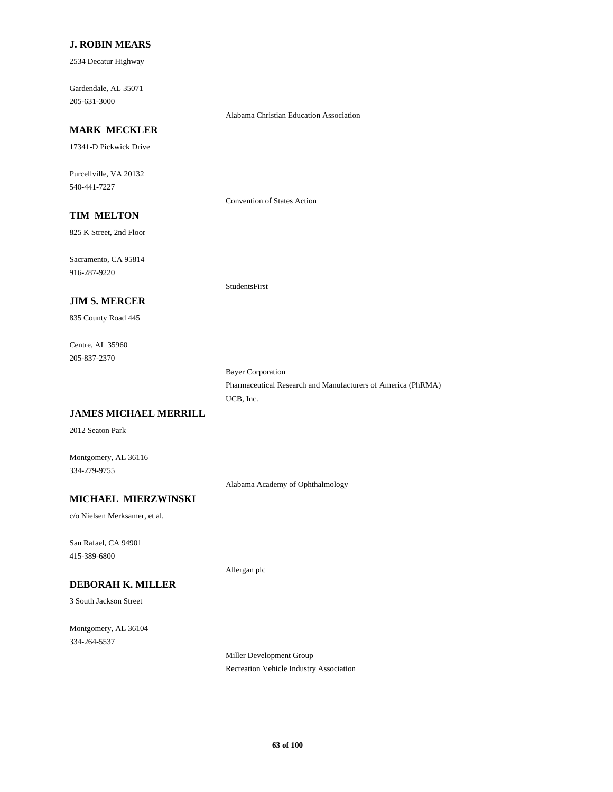#### **J. ROBIN MEARS**

2534 Decatur Highway

205-631-3000 Gardendale, AL 35071

# Alabama Christian Education Association

# **MARK MECKLER**

17341-D Pickwick Drive

540-441-7227 Purcellville, VA 20132

Convention of States Action

# **TIM MELTON**

825 K Street, 2nd Floor

916-287-9220 Sacramento, CA 95814

#### **JIM S. MERCER**

835 County Road 445

205-837-2370 Centre, AL 35960 StudentsFirst

UCB, Inc. Bayer Corporation Pharmaceutical Research and Manufacturers of America (PhRMA)

### **JAMES MICHAEL MERRILL**

2012 Seaton Park

334-279-9755 Montgomery, AL 36116

Alabama Academy of Ophthalmology

Allergan plc

# **MICHAEL MIERZWINSKI**

c/o Nielsen Merksamer, et al.

415-389-6800 San Rafael, CA 94901

### **DEBORAH K. MILLER**

3 South Jackson Street

334-264-5537 Montgomery, AL 36104

> Miller Development Group Recreation Vehicle Industry Association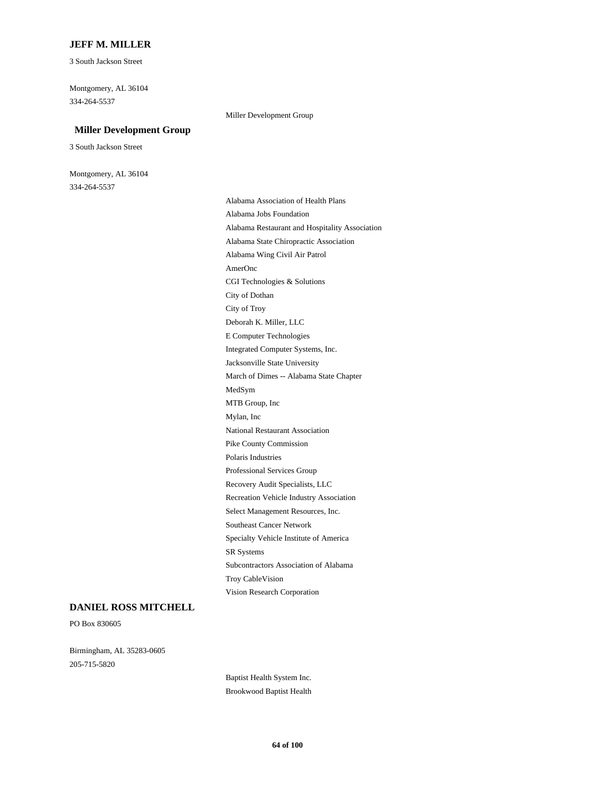#### **JEFF M. MILLER**

3 South Jackson Street

334-264-5537 Montgomery, AL 36104

#### Miller Development Group

### **Miller Development Group**

3 South Jackson Street

334-264-5537 Montgomery, AL 36104

> Professional Services Group Recovery Audit Specialists, LLC Recreation Vehicle Industry Association Polaris Industries Mylan, Inc National Restaurant Association Pike County Commission Subcontractors Association of Alabama Troy CableVision Vision Research Corporation SR Systems Select Management Resources, Inc. Southeast Cancer Network Specialty Vehicle Institute of America AmerOnc Alabama Wing Civil Air Patrol City of Dothan CGI Technologies & Solutions Alabama Jobs Foundation Alabama Association of Health Plans Alabama State Chiropractic Association Alabama Restaurant and Hospitality Association March of Dimes -- Alabama State Chapter Jacksonville State University MTB Group, Inc MedSym Deborah K. Miller, LLC City of Troy Integrated Computer Systems, Inc. E Computer Technologies

#### **DANIEL ROSS MITCHELL**

PO Box 830605

205-715-5820 Birmingham, AL 35283-0605

> Baptist Health System Inc. Brookwood Baptist Health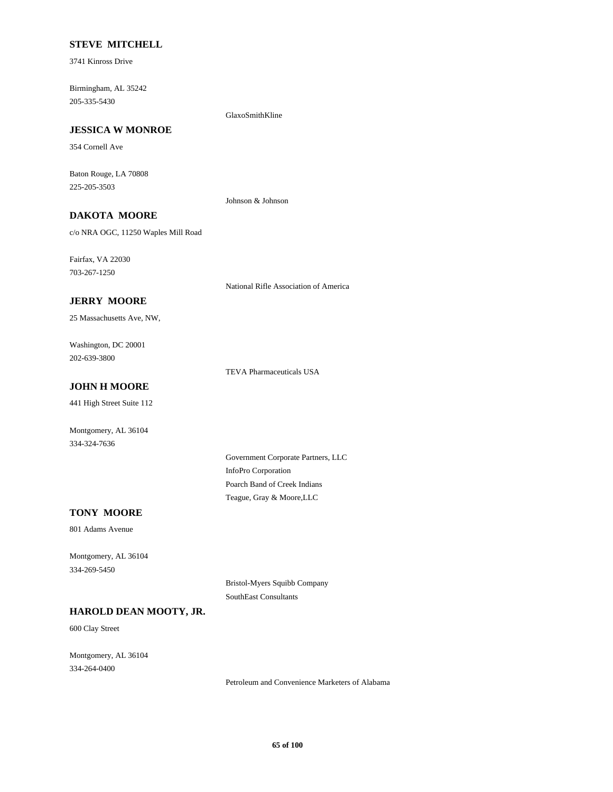### **STEVE MITCHELL**

3741 Kinross Drive

205-335-5430 Birmingham, AL 35242

GlaxoSmithKline

# **JESSICA W MONROE**

354 Cornell Ave

225-205-3503 Baton Rouge, LA 70808

Johnson & Johnson

# **DAKOTA MOORE**

c/o NRA OGC, 11250 Waples Mill Road

703-267-1250 Fairfax, VA 22030

National Rifle Association of America

### **JERRY MOORE**

25 Massachusetts Ave, NW,

202-639-3800 Washington, DC 20001

TEVA Pharmaceuticals USA

# **JOHN H MOORE**

441 High Street Suite 112

Montgomery, AL 36104 334-324-7636

> InfoPro Corporation Government Corporate Partners, LLC Teague, Gray & Moore,LLC Poarch Band of Creek Indians

### **TONY MOORE**

801 Adams Avenue

334-269-5450 Montgomery, AL 36104

> Bristol-Myers Squibb Company SouthEast Consultants

### **HAROLD DEAN MOOTY, JR.**

600 Clay Street

334-264-0400 Montgomery, AL 36104

Petroleum and Convenience Marketers of Alabama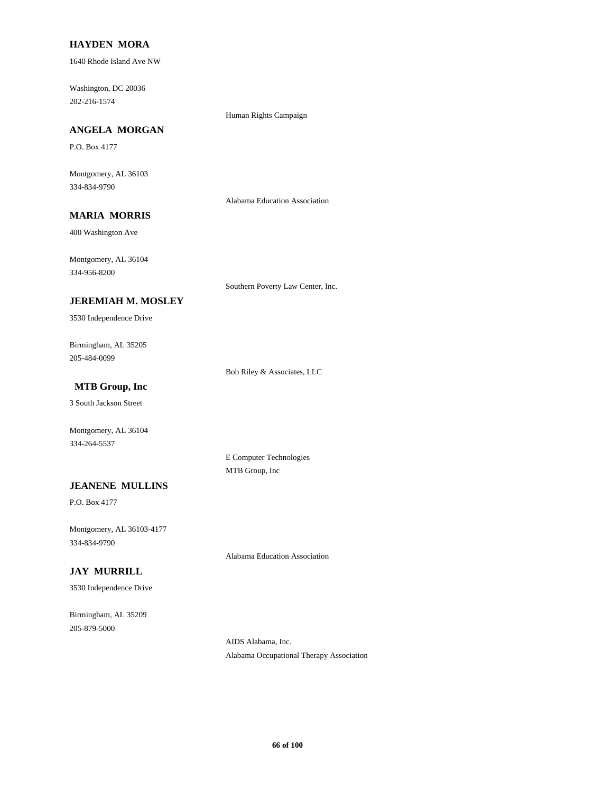#### **HAYDEN MORA**

1640 Rhode Island Ave NW

202-216-1574 Washington, DC 20036

#### Human Rights Campaign

# **ANGELA MORGAN**

P.O. Box 4177

334-834-9790 Montgomery, AL 36103

Alabama Education Association

# **MARIA MORRIS**

400 Washington Ave

334-956-8200 Montgomery, AL 36104

Southern Poverty Law Center, Inc.

### **JEREMIAH M. MOSLEY**

3530 Independence Drive

205-484-0099 Birmingham, AL 35205

Bob Riley & Associates, LLC

# **MTB Group, Inc**

3 South Jackson Street

Montgomery, AL 36104 334-264-5537

> E Computer Technologies MTB Group, Inc

#### **JEANENE MULLINS**

P.O. Box 4177

334-834-9790 Montgomery, AL 36103-4177

Alabama Education Association

# **JAY MURRILL**

3530 Independence Drive

205-879-5000 Birmingham, AL 35209

> AIDS Alabama, Inc. Alabama Occupational Therapy Association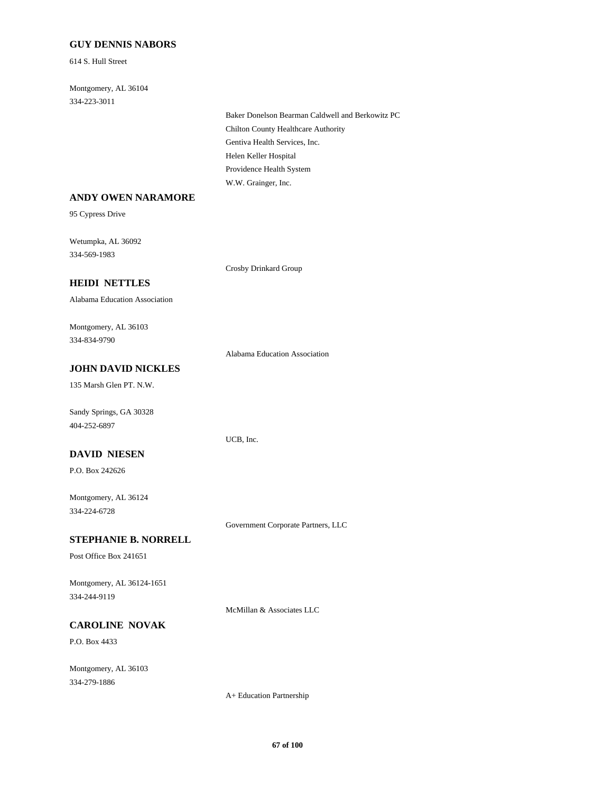### **GUY DENNIS NABORS**

614 S. Hull Street

334-223-3011 Montgomery, AL 36104

> Gentiva Health Services, Inc. Chilton County Healthcare Authority Baker Donelson Bearman Caldwell and Berkowitz PC W.W. Grainger, Inc. Providence Health System Helen Keller Hospital

#### **ANDY OWEN NARAMORE**

95 Cypress Drive

334-569-1983 Wetumpka, AL 36092

Crosby Drinkard Group

### **HEIDI NETTLES**

Alabama Education Association

334-834-9790 Montgomery, AL 36103

Alabama Education Association

UCB, Inc.

# **JOHN DAVID NICKLES**

135 Marsh Glen PT. N.W.

404-252-6897 Sandy Springs, GA 30328

# **DAVID NIESEN**

P.O. Box 242626

334-224-6728 Montgomery, AL 36124

Government Corporate Partners, LLC

### **STEPHANIE B. NORRELL**

Post Office Box 241651

334-244-9119 Montgomery, AL 36124-1651

McMillan & Associates LLC

# **CAROLINE NOVAK**

P.O. Box 4433

334-279-1886 Montgomery, AL 36103

A+ Education Partnership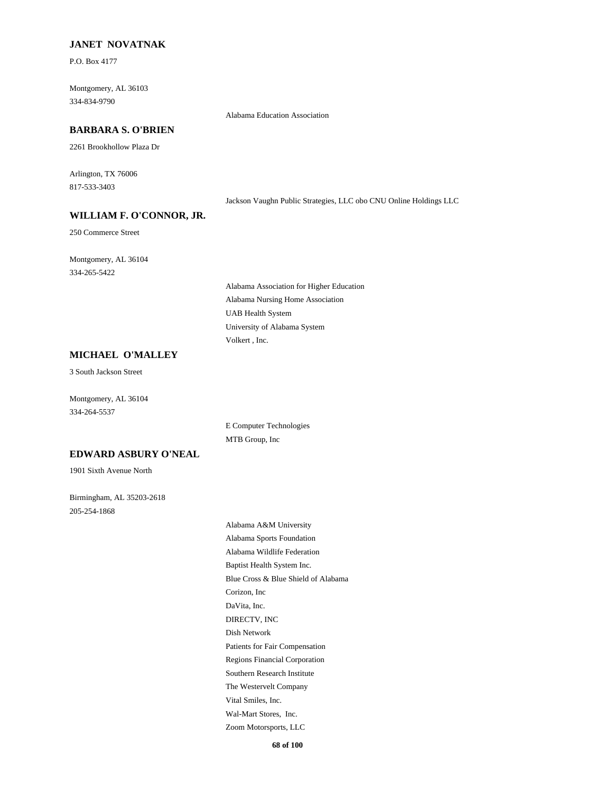#### **JANET NOVATNAK**

P.O. Box 4177

334-834-9790 Montgomery, AL 36103

# **BARBARA S. O'BRIEN**

2261 Brookhollow Plaza Dr

817-533-3403 Arlington, TX 76006

Jackson Vaughn Public Strategies, LLC obo CNU Online Holdings LLC

#### **WILLIAM F. O'CONNOR, JR.**

250 Commerce Street

334-265-5422 Montgomery, AL 36104

> Alabama Nursing Home Association Alabama Association for Higher Education UAB Health System Volkert , Inc. University of Alabama System

Alabama Education Association

### **MICHAEL O'MALLEY**

3 South Jackson Street

334-264-5537 Montgomery, AL 36104

> MTB Group, Inc E Computer Technologies

#### **EDWARD ASBURY O'NEAL**

1901 Sixth Avenue North

205-254-1868 Birmingham, AL 35203-2618

> Corizon, Inc Blue Cross & Blue Shield of Alabama DIRECTV, INC DaVita, Inc. Alabama Sports Foundation Alabama A&M University Baptist Health System Inc. Alabama Wildlife Federation Vital Smiles, Inc. The Westervelt Company Zoom Motorsports, LLC Wal-Mart Stores, Inc. Patients for Fair Compensation Dish Network Southern Research Institute Regions Financial Corporation

> > **68 of 100**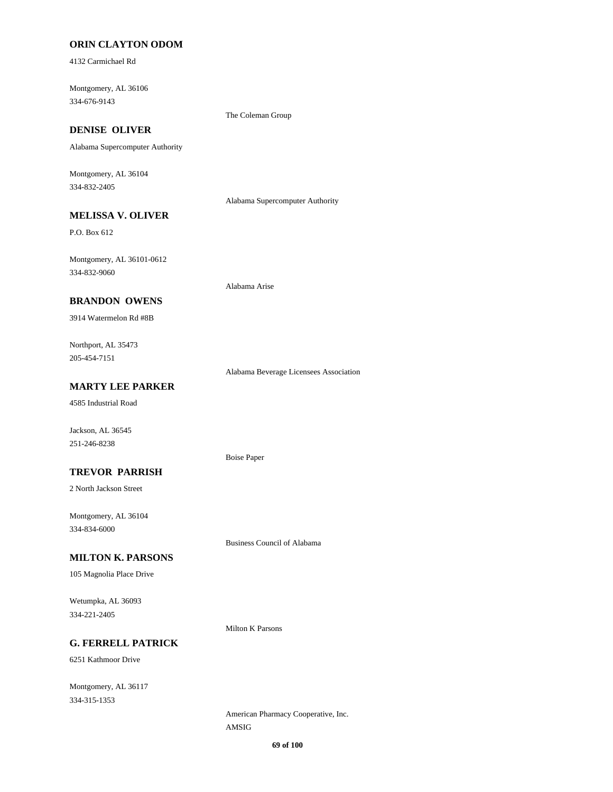### **ORIN CLAYTON ODOM**

4132 Carmichael Rd

334-676-9143 Montgomery, AL 36106

The Coleman Group

# **DENISE OLIVER**

Alabama Supercomputer Authority

334-832-2405 Montgomery, AL 36104

Alabama Supercomputer Authority

# **MELISSA V. OLIVER**

P.O. Box 612

334-832-9060 Montgomery, AL 36101-0612

#### **BRANDON OWENS**

3914 Watermelon Rd #8B

205-454-7151 Northport, AL 35473

Alabama Beverage Licensees Association

# **MARTY LEE PARKER**

4585 Industrial Road

Jackson, AL 36545 251-246-8238

### **TREVOR PARRISH**

2 North Jackson Street

334-834-6000 Montgomery, AL 36104

#### **MILTON K. PARSONS**

105 Magnolia Place Drive

334-221-2405 Wetumpka, AL 36093

Milton K Parsons

Boise Paper

Alabama Arise

Business Council of Alabama

# **G. FERRELL PATRICK**

6251 Kathmoor Drive

334-315-1353 Montgomery, AL 36117

> AMSIG American Pharmacy Cooperative, Inc.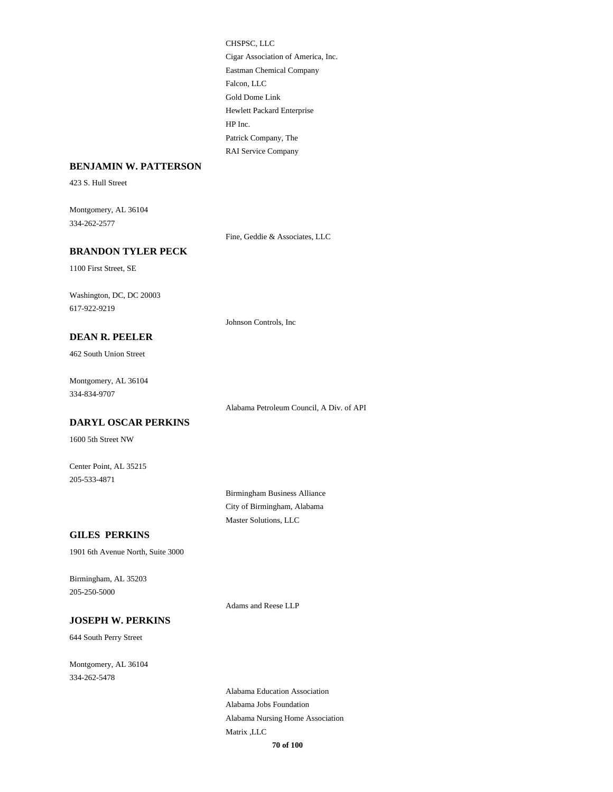Eastman Chemical Company Falcon, LLC CHSPSC, LLC Cigar Association of America, Inc. Gold Dome Link Patrick Company, The RAI Service Company Hewlett Packard Enterprise HP Inc.

#### **BENJAMIN W. PATTERSON**

423 S. Hull Street

334-262-2577 Montgomery, AL 36104

Fine, Geddie & Associates, LLC

Johnson Controls, Inc

### **BRANDON TYLER PECK**

1100 First Street, SE

617-922-9219 Washington, DC, DC 20003

#### **DEAN R. PEELER**

462 South Union Street

334-834-9707 Montgomery, AL 36104

Alabama Petroleum Council, A Div. of API

#### **DARYL OSCAR PERKINS**

1600 5th Street NW

205-533-4871 Center Point, AL 35215

> Birmingham Business Alliance City of Birmingham, Alabama Master Solutions, LLC

#### **GILES PERKINS**

1901 6th Avenue North, Suite 3000

205-250-5000 Birmingham, AL 35203

Adams and Reese LLP

### **JOSEPH W. PERKINS**

644 South Perry Street

334-262-5478 Montgomery, AL 36104

> Alabama Jobs Foundation Alabama Education Association Matrix ,LLC Alabama Nursing Home Association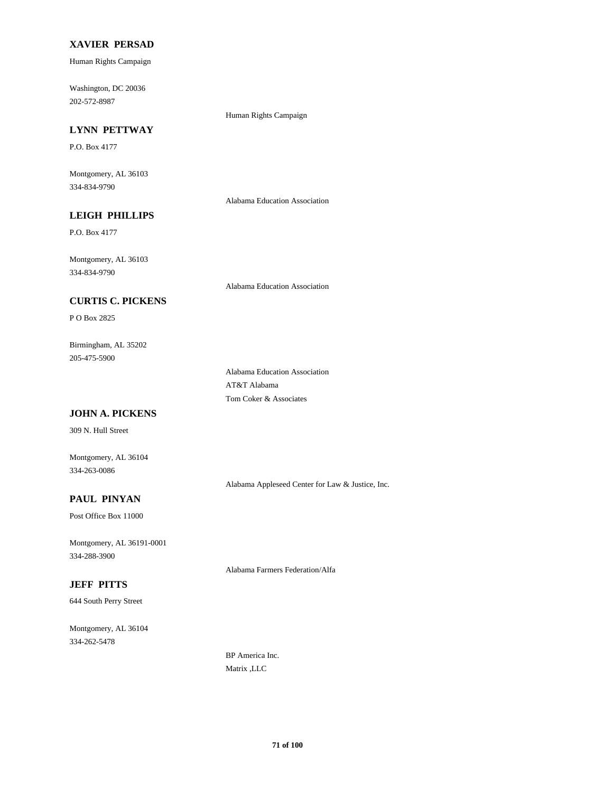### **XAVIER PERSAD**

Human Rights Campaign

202-572-8987 Washington, DC 20036

Human Rights Campaign

# **LYNN PETTWAY**

P.O. Box 4177

334-834-9790 Montgomery, AL 36103

Alabama Education Association

Alabama Education Association

# **LEIGH PHILLIPS**

P.O. Box 4177

334-834-9790 Montgomery, AL 36103

### **CURTIS C. PICKENS**

P O Box 2825

205-475-5900 Birmingham, AL 35202

> Tom Coker & Associates Alabama Education Association AT&T Alabama

### **JOHN A. PICKENS**

309 N. Hull Street

334-263-0086 Montgomery, AL 36104

Alabama Appleseed Center for Law & Justice, Inc.

# **PAUL PINYAN**

Post Office Box 11000

334-288-3900 Montgomery, AL 36191-0001

Alabama Farmers Federation/Alfa

# **JEFF PITTS**

644 South Perry Street

334-262-5478 Montgomery, AL 36104

> BP America Inc. Matrix ,LLC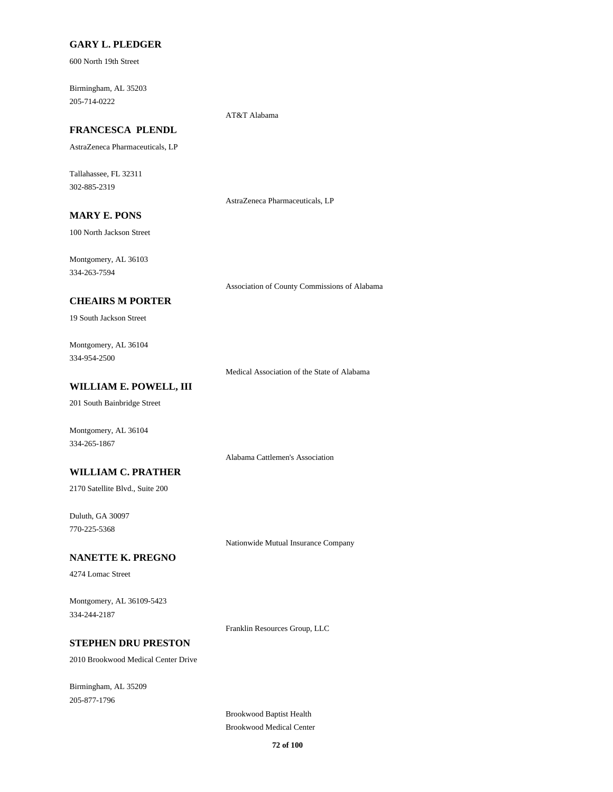#### **GARY L. PLEDGER**

600 North 19th Street

205-714-0222 Birmingham, AL 35203

# **FRANCESCA PLENDL**

AstraZeneca Pharmaceuticals, LP

302-885-2319 Tallahassee, FL 32311

AstraZeneca Pharmaceuticals, LP

AT&T Alabama

# **MARY E. PONS**

100 North Jackson Street

334-263-7594 Montgomery, AL 36103

Association of County Commissions of Alabama

### **CHEAIRS M PORTER**

19 South Jackson Street

334-954-2500 Montgomery, AL 36104

Medical Association of the State of Alabama

## **WILLIAM E. POWELL, III**

201 South Bainbridge Street

334-265-1867 Montgomery, AL 36104

Alabama Cattlemen's Association

### **WILLIAM C. PRATHER**

2170 Satellite Blvd., Suite 200

770-225-5368 Duluth, GA 30097

Nationwide Mutual Insurance Company

#### **NANETTE K. PREGNO**

4274 Lomac Street

334-244-2187 Montgomery, AL 36109-5423

Franklin Resources Group, LLC

# **STEPHEN DRU PRESTON**

2010 Brookwood Medical Center Drive

205-877-1796 Birmingham, AL 35209

> Brookwood Baptist Health Brookwood Medical Center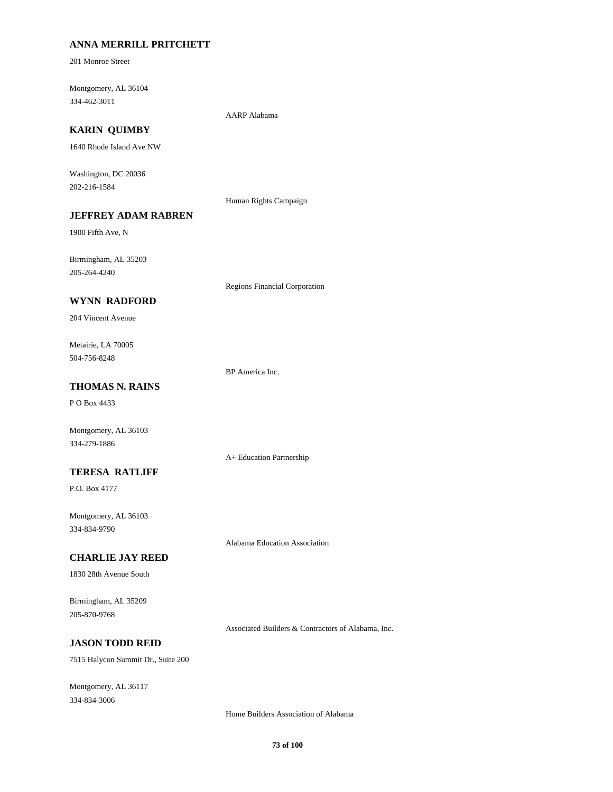## **ANNA MERRILL PRITCHETT**

201 Monroe Street

334-462-3011 Montgomery, AL 36104

AARP Alabama

# **KARIN QUIMBY**

1640 Rhode Island Ave NW

202-216-1584 Washington, DC 20036

Human Rights Campaign

# **JEFFREY ADAM RABREN**

1900 Fifth Ave, N

205-264-4240 Birmingham, AL 35203

Regions Financial Corporation

### **WYNN RADFORD**

204 Vincent Avenue

504-756-8248 Metairie, LA 70005

BP America Inc.

# **THOMAS N. RAINS**

P O Box 4433

Montgomery, AL 36103 334-279-1886

#### **TERESA RATLIFF**

P.O. Box 4177

334-834-9790 Montgomery, AL 36103

**CHARLIE JAY REED**

1830 28th Avenue South

205-870-9768 Birmingham, AL 35209

Associated Builders & Contractors of Alabama, Inc.

Alabama Education Association

A+ Education Partnership

### **JASON TODD REID**

7515 Halycon Summit Dr., Suite 200

334-834-3006 Montgomery, AL 36117

Home Builders Association of Alabama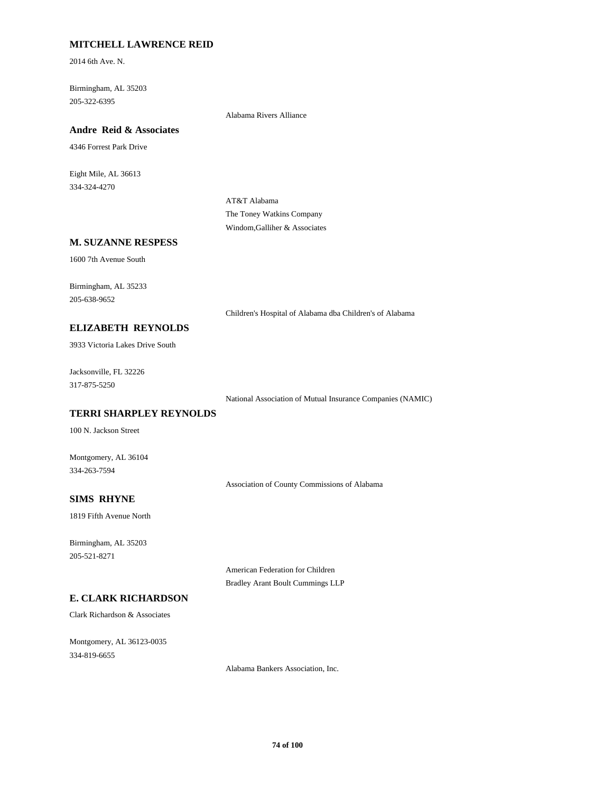## **MITCHELL LAWRENCE REID**

2014 6th Ave. N.

205-322-6395 Birmingham, AL 35203

Alabama Rivers Alliance

# **Andre Reid & Associates**

4346 Forrest Park Drive

334-324-4270 Eight Mile, AL 36613

> AT&T Alabama The Toney Watkins Company Windom,Galliher & Associates

#### **M. SUZANNE RESPESS**

1600 7th Avenue South

205-638-9652 Birmingham, AL 35233

Children's Hospital of Alabama dba Children's of Alabama

#### **ELIZABETH REYNOLDS**

3933 Victoria Lakes Drive South

317-875-5250 Jacksonville, FL 32226

National Association of Mutual Insurance Companies (NAMIC)

### **TERRI SHARPLEY REYNOLDS**

100 N. Jackson Street

334-263-7594 Montgomery, AL 36104

Association of County Commissions of Alabama

## **SIMS RHYNE**

1819 Fifth Avenue North

205-521-8271 Birmingham, AL 35203

> American Federation for Children Bradley Arant Boult Cummings LLP

# **E. CLARK RICHARDSON**

Clark Richardson & Associates

334-819-6655 Montgomery, AL 36123-0035

Alabama Bankers Association, Inc.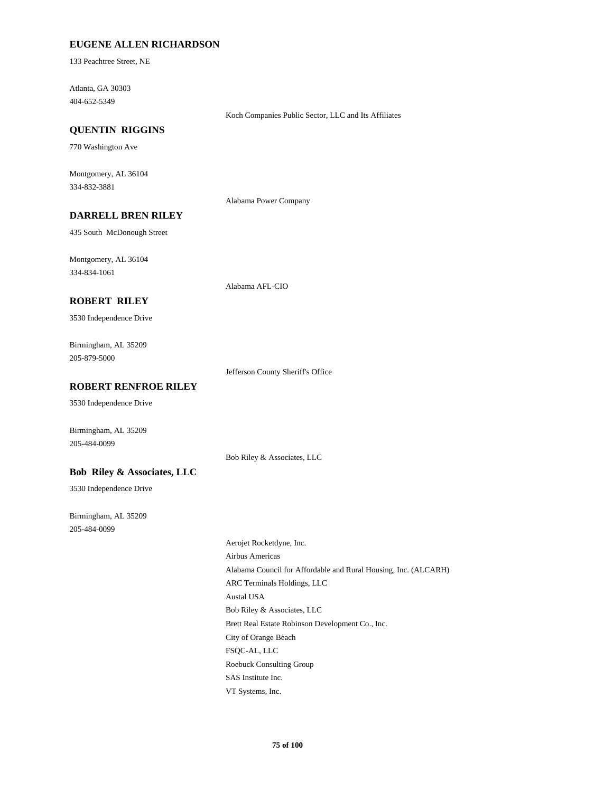### **EUGENE ALLEN RICHARDSON**

133 Peachtree Street, NE

404-652-5349 Atlanta, GA 30303

Koch Companies Public Sector, LLC and Its Affiliates

# **QUENTIN RIGGINS**

770 Washington Ave

334-832-3881 Montgomery, AL 36104

Alabama Power Company

# **DARRELL BREN RILEY**

435 South McDonough Street

334-834-1061 Montgomery, AL 36104

Alabama AFL-CIO

# **ROBERT RILEY**

3530 Independence Drive

205-879-5000 Birmingham, AL 35209

Jefferson County Sheriff's Office

## **ROBERT RENFROE RILEY**

3530 Independence Drive

Birmingham, AL 35209 205-484-0099

Bob Riley & Associates, LLC

#### **Bob Riley & Associates, LLC**

3530 Independence Drive

205-484-0099 Birmingham, AL 35209

> ARC Terminals Holdings, LLC Austal USA Bob Riley & Associates, LLC Aerojet Rocketdyne, Inc. Airbus Americas Alabama Council for Affordable and Rural Housing, Inc. (ALCARH) Roebuck Consulting Group SAS Institute Inc. VT Systems, Inc. Brett Real Estate Robinson Development Co., Inc. City of Orange Beach FSQC-AL, LLC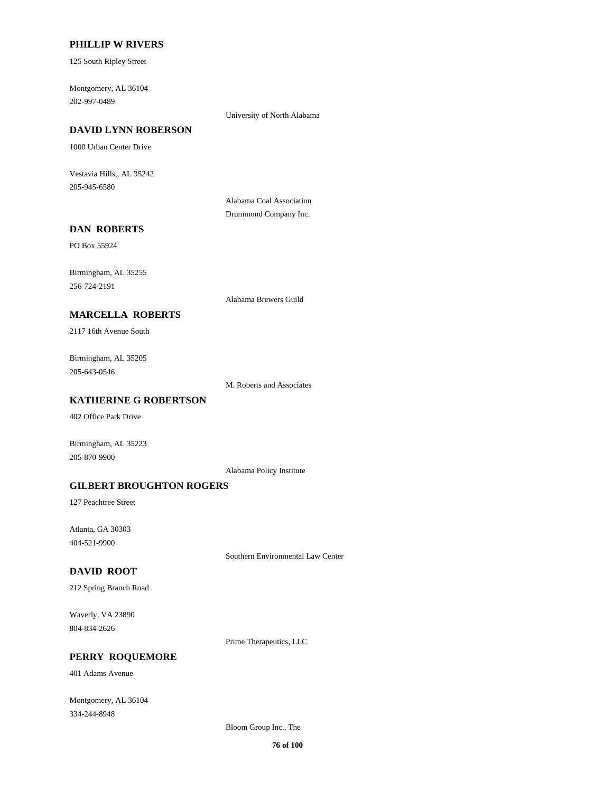#### **PHILLIP W RIVERS**

125 South Ripley Street

202-997-0489 Montgomery, AL 36104

University of North Alabama

# **DAVID LYNN ROBERSON**

1000 Urban Center Drive

205-945-6580 Vestavia Hills,, AL 35242

> Alabama Coal Association Drummond Company Inc.

# **DAN ROBERTS**

PO Box 55924

256-724-2191 Birmingham, AL 35255

Alabama Brewers Guild

# **MARCELLA ROBERTS**

2117 16th Avenue South

205-643-0546 Birmingham, AL 35205

M. Roberts and Associates

# **KATHERINE G ROBERTSON**

402 Office Park Drive

Birmingham, AL 35223 205-870-9900

Alabama Policy Institute

#### **GILBERT BROUGHTON ROGERS**

127 Peachtree Street

404-521-9900 Atlanta, GA 30303

Southern Environmental Law Center

# **DAVID ROOT**

212 Spring Branch Road

804-834-2626 Waverly, VA 23890

Prime Therapeutics, LLC

#### **PERRY ROQUEMORE**

401 Adams Avenue

334-244-8948 Montgomery, AL 36104

Bloom Group Inc., The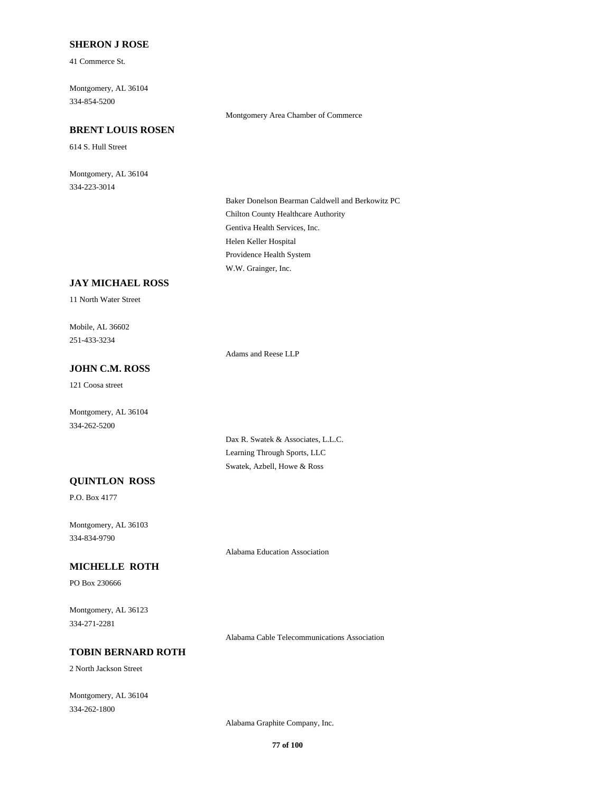### **SHERON J ROSE**

41 Commerce St.

334-854-5200 Montgomery, AL 36104

# **BRENT LOUIS ROSEN**

614 S. Hull Street

334-223-3014 Montgomery, AL 36104

#### Montgomery Area Chamber of Commerce

Gentiva Health Services, Inc. Chilton County Healthcare Authority Baker Donelson Bearman Caldwell and Berkowitz PC W.W. Grainger, Inc. Providence Health System Helen Keller Hospital

# **JAY MICHAEL ROSS**

11 North Water Street

251-433-3234 Mobile, AL 36602

Adams and Reese LLP

# **JOHN C.M. ROSS**

121 Coosa street

Montgomery, AL 36104 334-262-5200

> Dax R. Swatek & Associates, L.L.C. Learning Through Sports, LLC Swatek, Azbell, Howe & Ross

# **QUINTLON ROSS**

P.O. Box 4177

334-834-9790 Montgomery, AL 36103

Alabama Education Association

### **MICHELLE ROTH**

PO Box 230666

334-271-2281 Montgomery, AL 36123

Alabama Cable Telecommunications Association

# **TOBIN BERNARD ROTH**

2 North Jackson Street

334-262-1800 Montgomery, AL 36104

Alabama Graphite Company, Inc.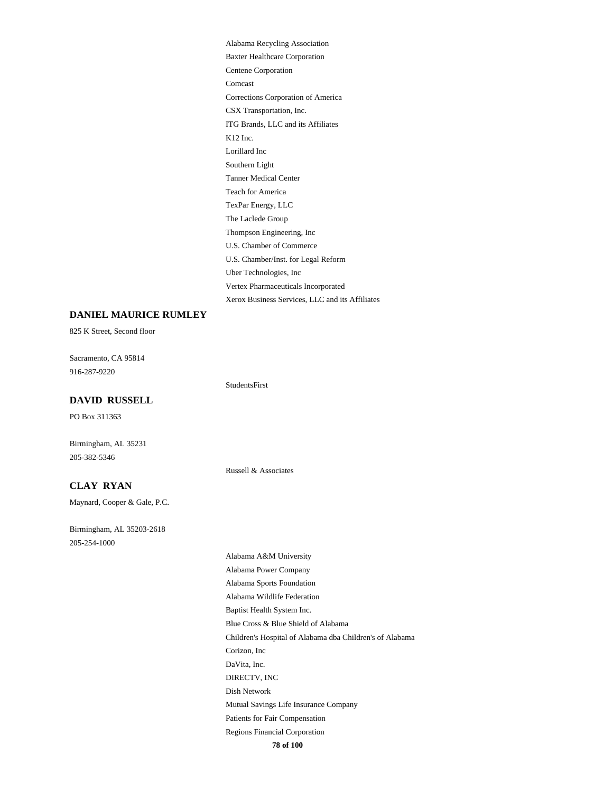ITG Brands, LLC and its Affiliates CSX Transportation, Inc. K12 Inc. Southern Light Lorillard Inc Baxter Healthcare Corporation Alabama Recycling Association Centene Corporation Corrections Corporation of America Comcast U.S. Chamber/Inst. for Legal Reform U.S. Chamber of Commerce Uber Technologies, Inc Xerox Business Services, LLC and its Affiliates Vertex Pharmaceuticals Incorporated Teach for America Tanner Medical Center TexPar Energy, LLC Thompson Engineering, Inc The Laclede Group

## **DANIEL MAURICE RUMLEY**

825 K Street, Second floor

916-287-9220 Sacramento, CA 95814

StudentsFirst

#### **DAVID RUSSELL**

PO Box 311363

205-382-5346 Birmingham, AL 35231

Russell & Associates

#### **CLAY RYAN**

Maynard, Cooper & Gale, P.C.

205-254-1000 Birmingham, AL 35203-2618

**78 of 100** Blue Cross & Blue Shield of Alabama Baptist Health System Inc. Corizon, Inc Children's Hospital of Alabama dba Children's of Alabama Alabama Power Company Alabama A&M University Alabama Wildlife Federation Alabama Sports Foundation Regions Financial Corporation Patients for Fair Compensation DIRECTV, INC DaVita, Inc. Mutual Savings Life Insurance Company Dish Network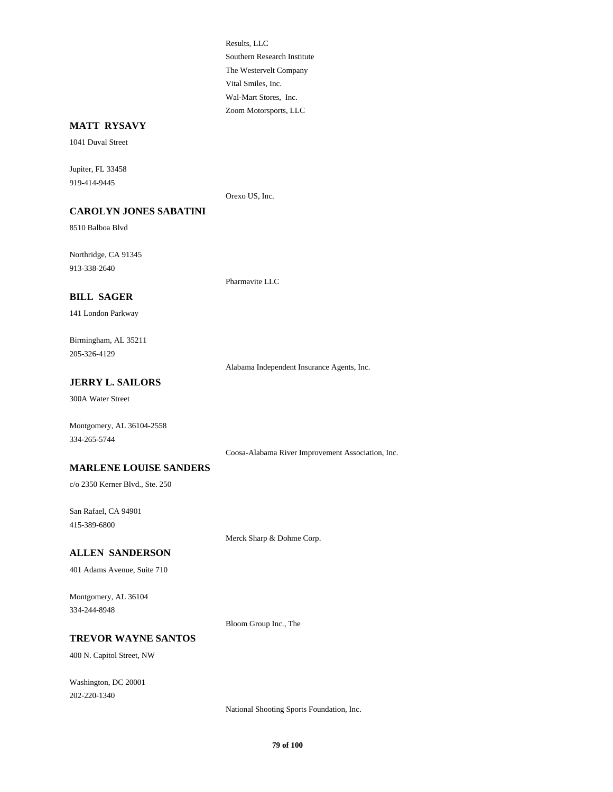The Westervelt Company Southern Research Institute Results, LLC Zoom Motorsports, LLC Wal-Mart Stores, Inc. Vital Smiles, Inc.

## **MATT RYSAVY**

1041 Duval Street

919-414-9445 Jupiter, FL 33458

Orexo US, Inc.

#### **CAROLYN JONES SABATINI**

8510 Balboa Blvd

913-338-2640 Northridge, CA 91345

Pharmavite LLC

# **BILL SAGER**

141 London Parkway

205-326-4129 Birmingham, AL 35211

Alabama Independent Insurance Agents, Inc.

# **JERRY L. SAILORS**

300A Water Street

Montgomery, AL 36104-2558 334-265-5744

Coosa-Alabama River Improvement Association, Inc.

## **MARLENE LOUISE SANDERS**

c/o 2350 Kerner Blvd., Ste. 250

415-389-6800 San Rafael, CA 94901

Merck Sharp & Dohme Corp.

# **ALLEN SANDERSON**

401 Adams Avenue, Suite 710

334-244-8948 Montgomery, AL 36104

Bloom Group Inc., The

#### **TREVOR WAYNE SANTOS**

400 N. Capitol Street, NW

202-220-1340 Washington, DC 20001

National Shooting Sports Foundation, Inc.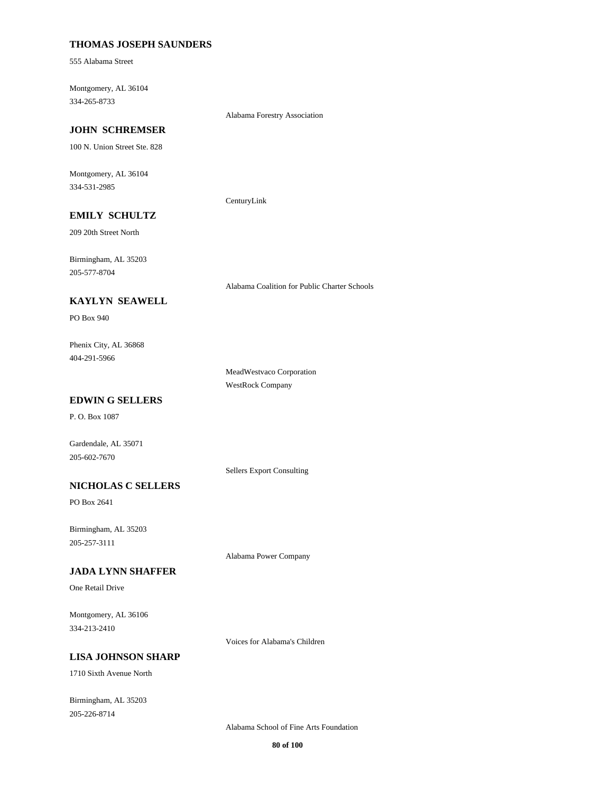### **THOMAS JOSEPH SAUNDERS**

555 Alabama Street

334-265-8733 Montgomery, AL 36104

Alabama Forestry Association

# **JOHN SCHREMSER**

100 N. Union Street Ste. 828

334-531-2985 Montgomery, AL 36104

CenturyLink

# **EMILY SCHULTZ**

209 20th Street North

205-577-8704 Birmingham, AL 35203

## **KAYLYN SEAWELL**

PO Box 940

## 404-291-5966 Phenix City, AL 36868

MeadWestvaco Corporation WestRock Company

Alabama Coalition for Public Charter Schools

# **EDWIN G SELLERS**

P. O. Box 1087

Gardendale, AL 35071 205-602-7670

Sellers Export Consulting

### **NICHOLAS C SELLERS**

PO Box 2641

205-257-3111 Birmingham, AL 35203

Alabama Power Company

### **JADA LYNN SHAFFER**

One Retail Drive

334-213-2410 Montgomery, AL 36106

Voices for Alabama's Children

#### **LISA JOHNSON SHARP**

1710 Sixth Avenue North

205-226-8714 Birmingham, AL 35203

Alabama School of Fine Arts Foundation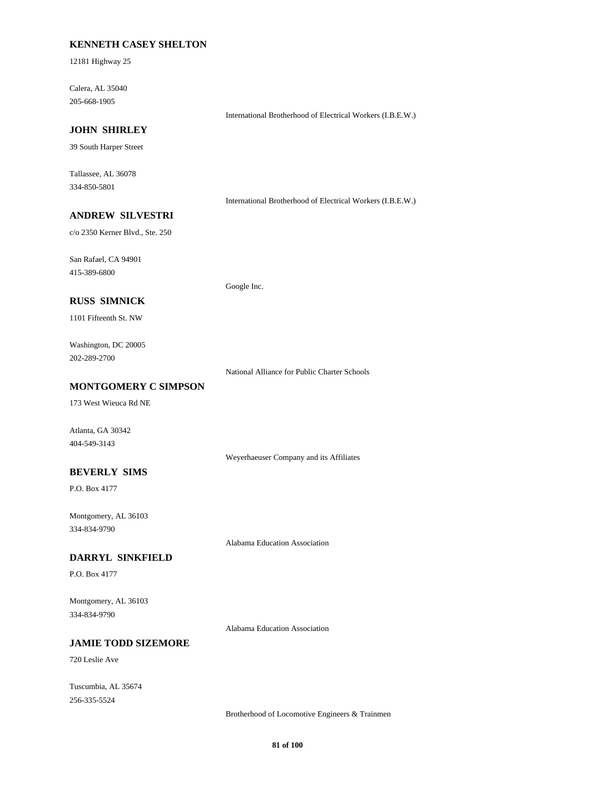# **KENNETH CASEY SHELTON**

12181 Highway 25

205-668-1905 Calera, AL 35040

International Brotherhood of Electrical Workers (I.B.E.W.)

# **JOHN SHIRLEY**

39 South Harper Street

334-850-5801 Tallassee, AL 36078

International Brotherhood of Electrical Workers (I.B.E.W.)

# **ANDREW SILVESTRI**

c/o 2350 Kerner Blvd., Ste. 250

415-389-6800 San Rafael, CA 94901

Google Inc.

# **RUSS SIMNICK**

1101 Fifteenth St. NW

202-289-2700 Washington, DC 20005

National Alliance for Public Charter Schools

### **MONTGOMERY C SIMPSON**

173 West Wieuca Rd NE

Atlanta, GA 30342 404-549-3143

Weyerhaeuser Company and its Affiliates

# **BEVERLY SIMS**

P.O. Box 4177

334-834-9790 Montgomery, AL 36103

Alabama Education Association

#### **DARRYL SINKFIELD**

P.O. Box 4177

334-834-9790 Montgomery, AL 36103

Alabama Education Association

# **JAMIE TODD SIZEMORE**

720 Leslie Ave

256-335-5524 Tuscumbia, AL 35674

Brotherhood of Locomotive Engineers & Trainmen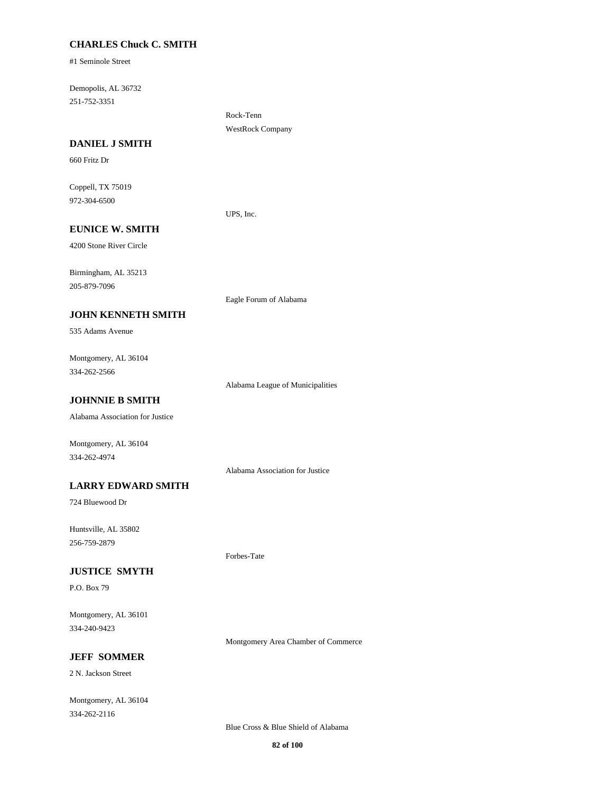## **CHARLES Chuck C. SMITH**

#1 Seminole Street

251-752-3351 Demopolis, AL 36732

> Rock-Tenn WestRock Company

#### **DANIEL J SMITH**

660 Fritz Dr

972-304-6500 Coppell, TX 75019

UPS, Inc.

# **EUNICE W. SMITH**

4200 Stone River Circle

205-879-7096 Birmingham, AL 35213

#### **JOHN KENNETH SMITH**

535 Adams Avenue

334-262-2566 Montgomery, AL 36104

Alabama League of Municipalities

Eagle Forum of Alabama

# **JOHNNIE B SMITH**

Alabama Association for Justice

Montgomery, AL 36104 334-262-4974

Alabama Association for Justice

Forbes-Tate

### **LARRY EDWARD SMITH**

724 Bluewood Dr

256-759-2879 Huntsville, AL 35802

### **JUSTICE SMYTH**

P.O. Box 79

334-240-9423 Montgomery, AL 36101

Montgomery Area Chamber of Commerce

## **JEFF SOMMER**

2 N. Jackson Street

334-262-2116 Montgomery, AL 36104

Blue Cross & Blue Shield of Alabama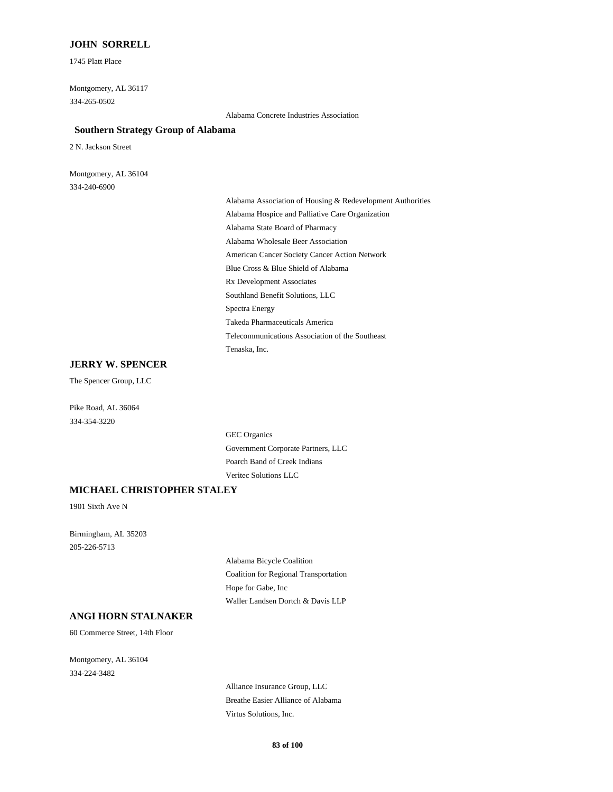### **JOHN SORRELL**

1745 Platt Place

334-265-0502 Montgomery, AL 36117

Alabama Concrete Industries Association

#### **Southern Strategy Group of Alabama**

2 N. Jackson Street

334-240-6900 Montgomery, AL 36104

> Alabama Wholesale Beer Association American Cancer Society Cancer Action Network Blue Cross & Blue Shield of Alabama Alabama Association of Housing & Redevelopment Authorities Alabama Hospice and Palliative Care Organization Alabama State Board of Pharmacy Takeda Pharmaceuticals America Telecommunications Association of the Southeast Tenaska, Inc. Rx Development Associates Southland Benefit Solutions, LLC Spectra Energy

#### **JERRY W. SPENCER**

The Spencer Group, LLC

334-354-3220 Pike Road, AL 36064

> Government Corporate Partners, LLC GEC Organics Veritec Solutions LLC Poarch Band of Creek Indians

#### **MICHAEL CHRISTOPHER STALEY**

1901 Sixth Ave N

205-226-5713 Birmingham, AL 35203

> Coalition for Regional Transportation Alabama Bicycle Coalition Waller Landsen Dortch & Davis LLP Hope for Gabe, Inc

# **ANGI HORN STALNAKER**

60 Commerce Street, 14th Floor

334-224-3482 Montgomery, AL 36104

> Alliance Insurance Group, LLC Breathe Easier Alliance of Alabama Virtus Solutions, Inc.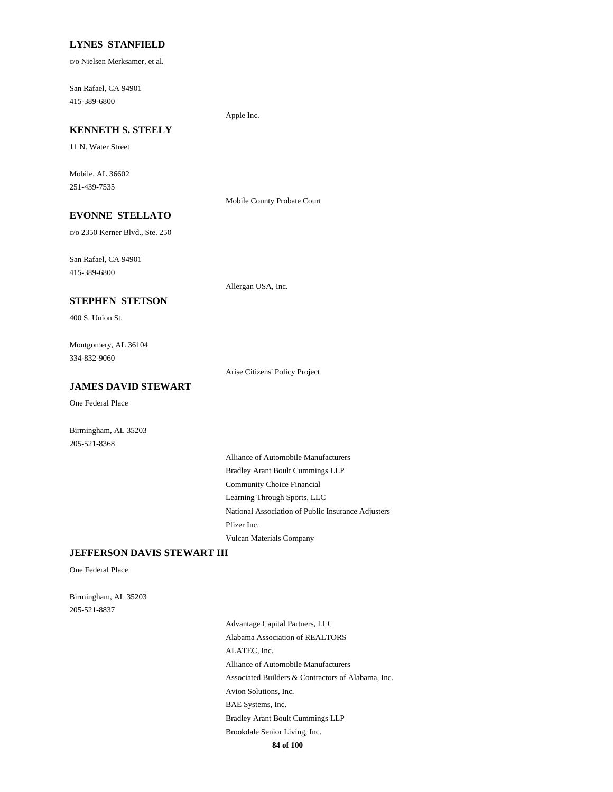#### **LYNES STANFIELD**

c/o Nielsen Merksamer, et al.

415-389-6800 San Rafael, CA 94901

Apple Inc.

# **KENNETH S. STEELY**

11 N. Water Street

251-439-7535 Mobile, AL 36602

Mobile County Probate Court

Allergan USA, Inc.

# **EVONNE STELLATO**

c/o 2350 Kerner Blvd., Ste. 250

415-389-6800 San Rafael, CA 94901

**STEPHEN STETSON**

400 S. Union St.

334-832-9060 Montgomery, AL 36104

Arise Citizens' Policy Project

# **JAMES DAVID STEWART**

One Federal Place

Birmingham, AL 35203 205-521-8368

> Community Choice Financial Bradley Arant Boult Cummings LLP Alliance of Automobile Manufacturers Learning Through Sports, LLC Vulcan Materials Company Pfizer Inc. National Association of Public Insurance Adjusters

### **JEFFERSON DAVIS STEWART III**

One Federal Place

205-521-8837 Birmingham, AL 35203

> Alliance of Automobile Manufacturers Associated Builders & Contractors of Alabama, Inc. ALATEC, Inc. Advantage Capital Partners, LLC Alabama Association of REALTORS Avion Solutions, Inc. Brookdale Senior Living, Inc. BAE Systems, Inc. Bradley Arant Boult Cummings LLP

**84 of 100**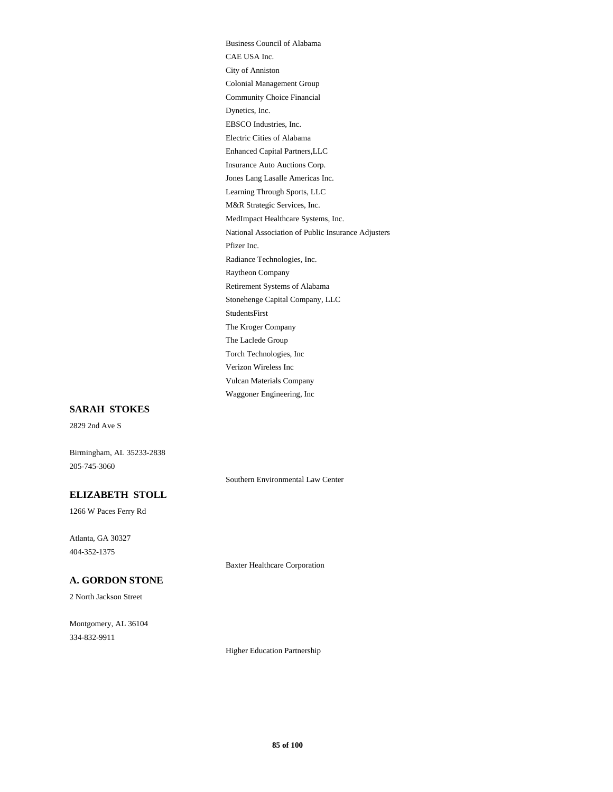Insurance Auto Auctions Corp. Enhanced Capital Partners,LLC Electric Cities of Alabama M&R Strategic Services, Inc. Learning Through Sports, LLC Jones Lang Lasalle Americas Inc. EBSCO Industries, Inc. City of Anniston CAE USA Inc. Business Council of Alabama Dynetics, Inc. Community Choice Financial Colonial Management Group MedImpact Healthcare Systems, Inc. Torch Technologies, Inc The Laclede Group The Kroger Company Waggoner Engineering, Inc Vulcan Materials Company Verizon Wireless Inc StudentsFirst Radiance Technologies, Inc. Pfizer Inc. National Association of Public Insurance Adjusters Stonehenge Capital Company, LLC Retirement Systems of Alabama Raytheon Company

### **SARAH STOKES**

2829 2nd Ave S

Birmingham, AL 35233-2838 205-745-3060

Southern Environmental Law Center

# **ELIZABETH STOLL**

1266 W Paces Ferry Rd

404-352-1375 Atlanta, GA 30327

Baxter Healthcare Corporation

# **A. GORDON STONE**

2 North Jackson Street

334-832-9911 Montgomery, AL 36104

Higher Education Partnership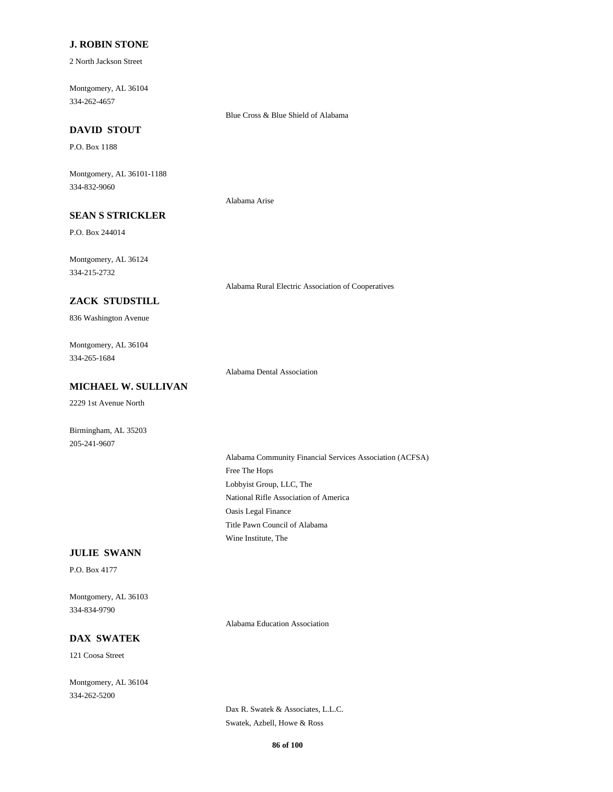### **J. ROBIN STONE**

2 North Jackson Street

334-262-4657 Montgomery, AL 36104

Blue Cross & Blue Shield of Alabama

# **DAVID STOUT**

P.O. Box 1188

334-832-9060 Montgomery, AL 36101-1188

Alabama Arise

# **SEAN S STRICKLER**

P.O. Box 244014

334-215-2732 Montgomery, AL 36124

Alabama Rural Electric Association of Cooperatives

### **ZACK STUDSTILL**

836 Washington Avenue

334-265-1684 Montgomery, AL 36104

Alabama Dental Association

# **MICHAEL W. SULLIVAN**

2229 1st Avenue North

205-241-9607 Birmingham, AL 35203

> Lobbyist Group, LLC, The Free The Hops Alabama Community Financial Services Association (ACFSA) National Rifle Association of America Wine Institute, The Title Pawn Council of Alabama Oasis Legal Finance

#### **JULIE SWANN**

P.O. Box 4177

334-834-9790 Montgomery, AL 36103

Alabama Education Association

# **DAX SWATEK**

121 Coosa Street

334-262-5200 Montgomery, AL 36104

> Dax R. Swatek & Associates, L.L.C. Swatek, Azbell, Howe & Ross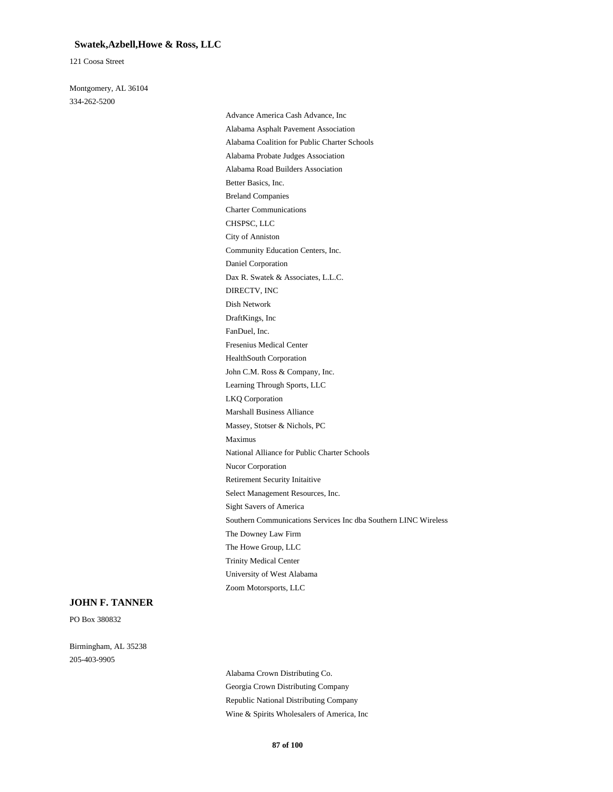#### **Swatek,Azbell,Howe & Ross, LLC**

121 Coosa Street

334-262-5200 Montgomery, AL 36104

> Nucor Corporation Retirement Security Initaitive Select Management Resources, Inc. Massey, Stotser & Nichols, PC Maximus National Alliance for Public Charter Schools Sight Savers of America Trinity Medical Center University of West Alabama Zoom Motorsports, LLC Southern Communications Services Inc dba Southern LINC Wireless The Downey Law Firm The Howe Group, LLC Charter Communications Breland Companies CHSPSC, LLC Community Education Centers, Inc. City of Anniston Better Basics, Inc. Alabama Asphalt Pavement Association Advance America Cash Advance, Inc Alabama Coalition for Public Charter Schools Alabama Road Builders Association Alabama Probate Judges Association Daniel Corporation John C.M. Ross & Company, Inc. HealthSouth Corporation Learning Through Sports, LLC Marshall Business Alliance LKQ Corporation Fresenius Medical Center DIRECTV, INC Dax R. Swatek & Associates, L.L.C. Dish Network FanDuel, Inc. DraftKings, Inc

#### **JOHN F. TANNER**

PO Box 380832

205-403-9905 Birmingham, AL 35238

> Georgia Crown Distributing Company Alabama Crown Distributing Co. Wine & Spirits Wholesalers of America, Inc Republic National Distributing Company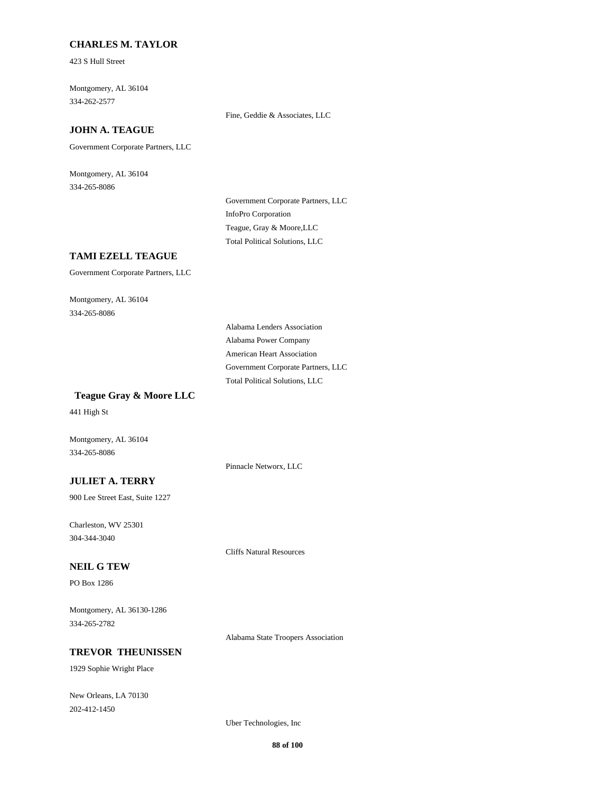### **CHARLES M. TAYLOR**

423 S Hull Street

334-262-2577 Montgomery, AL 36104

Fine, Geddie & Associates, LLC

# **JOHN A. TEAGUE**

Government Corporate Partners, LLC

334-265-8086 Montgomery, AL 36104

> InfoPro Corporation Government Corporate Partners, LLC Total Political Solutions, LLC Teague, Gray & Moore,LLC

### **TAMI EZELL TEAGUE**

Government Corporate Partners, LLC

334-265-8086 Montgomery, AL 36104

> Alabama Power Company Alabama Lenders Association American Heart Association Total Political Solutions, LLC Government Corporate Partners, LLC

#### **Teague Gray & Moore LLC**

441 High St

Montgomery, AL 36104 334-265-8086

Pinnacle Networx, LLC

Cliffs Natural Resources

# **JULIET A. TERRY**

900 Lee Street East, Suite 1227

304-344-3040 Charleston, WV 25301

#### **NEIL G TEW**

PO Box 1286

334-265-2782 Montgomery, AL 36130-1286

Alabama State Troopers Association

# **TREVOR THEUNISSEN**

1929 Sophie Wright Place

202-412-1450 New Orleans, LA 70130

Uber Technologies, Inc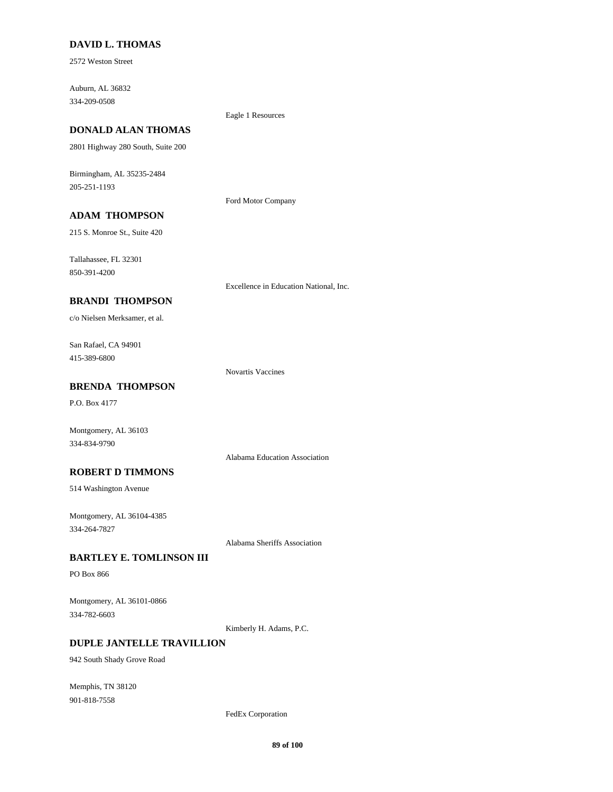### **DAVID L. THOMAS**

2572 Weston Street

334-209-0508 Auburn, AL 36832

### Eagle 1 Resources

Ford Motor Company

**DONALD ALAN THOMAS**

2801 Highway 280 South, Suite 200

205-251-1193 Birmingham, AL 35235-2484

# **ADAM THOMPSON**

215 S. Monroe St., Suite 420

850-391-4200 Tallahassee, FL 32301

Excellence in Education National, Inc.

# **BRANDI THOMPSON**

c/o Nielsen Merksamer, et al.

415-389-6800 San Rafael, CA 94901

Novartis Vaccines

# **BRENDA THOMPSON**

P.O. Box 4177

Montgomery, AL 36103 334-834-9790

# Alabama Education Association

**ROBERT D TIMMONS**

514 Washington Avenue

334-264-7827 Montgomery, AL 36104-4385

Alabama Sheriffs Association

### **BARTLEY E. TOMLINSON III**

PO Box 866

334-782-6603 Montgomery, AL 36101-0866

Kimberly H. Adams, P.C.

# **DUPLE JANTELLE TRAVILLION**

942 South Shady Grove Road

901-818-7558 Memphis, TN 38120

FedEx Corporation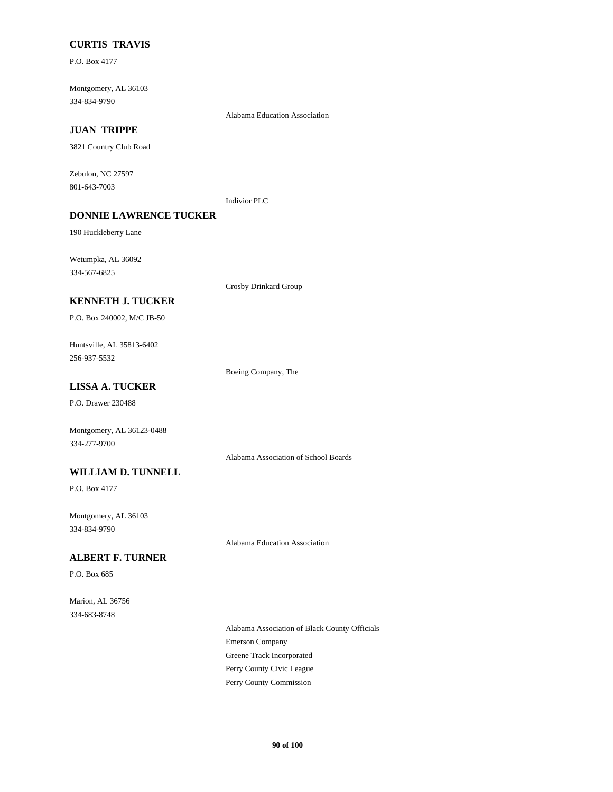# **CURTIS TRAVIS**

P.O. Box 4177

334-834-9790 Montgomery, AL 36103

Alabama Education Association

# **JUAN TRIPPE**

3821 Country Club Road

801-643-7003 Zebulon, NC 27597

Indivior PLC

# **DONNIE LAWRENCE TUCKER**

190 Huckleberry Lane

334-567-6825 Wetumpka, AL 36092

Crosby Drinkard Group

### **KENNETH J. TUCKER**

P.O. Box 240002, M/C JB-50

256-937-5532 Huntsville, AL 35813-6402

Boeing Company, The

# **LISSA A. TUCKER**

P.O. Drawer 230488

Montgomery, AL 36123-0488 334-277-9700

Alabama Association of School Boards

# **WILLIAM D. TUNNELL**

P.O. Box 4177

334-834-9790 Montgomery, AL 36103

Alabama Education Association

### **ALBERT F. TURNER**

P.O. Box 685

334-683-8748 Marion, AL 36756

> Emerson Company Alabama Association of Black County Officials Greene Track Incorporated Perry County Commission Perry County Civic League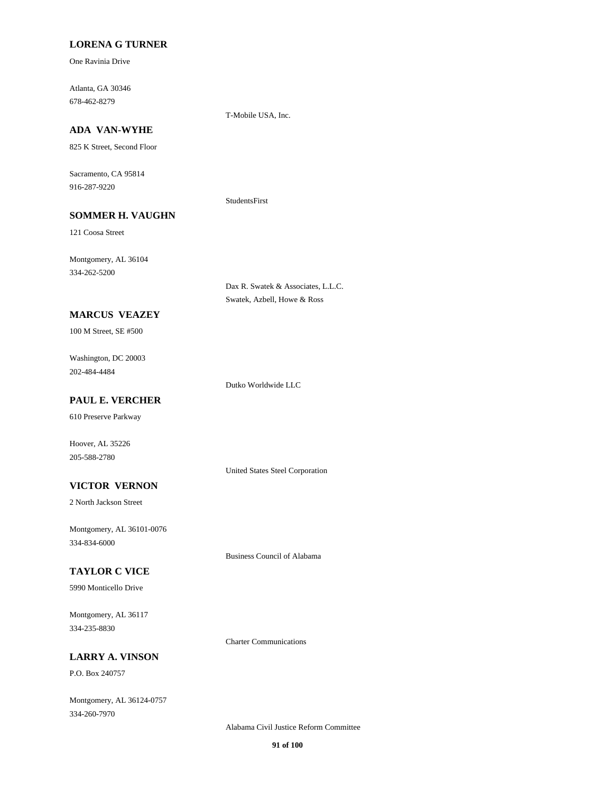### **LORENA G TURNER**

One Ravinia Drive

678-462-8279 Atlanta, GA 30346

T-Mobile USA, Inc.

# **ADA VAN-WYHE**

825 K Street, Second Floor

916-287-9220 Sacramento, CA 95814

**SOMMER H. VAUGHN**

#### StudentsFirst

121 Coosa Street

334-262-5200 Montgomery, AL 36104

> Dax R. Swatek & Associates, L.L.C. Swatek, Azbell, Howe & Ross

# **MARCUS VEAZEY**

100 M Street, SE #500

202-484-4484 Washington, DC 20003

Dutko Worldwide LLC

# **PAUL E. VERCHER**

610 Preserve Parkway

205-588-2780 Hoover, AL 35226

United States Steel Corporation

# **VICTOR VERNON**

2 North Jackson Street

334-834-6000 Montgomery, AL 36101-0076

Business Council of Alabama

Charter Communications

# **TAYLOR C VICE**

5990 Monticello Drive

334-235-8830 Montgomery, AL 36117

**LARRY A. VINSON**

P.O. Box 240757

334-260-7970 Montgomery, AL 36124-0757

Alabama Civil Justice Reform Committee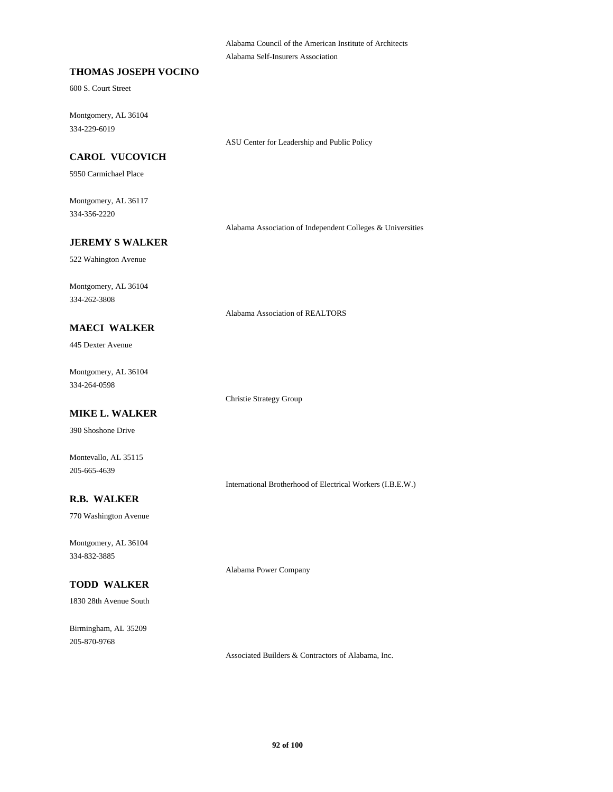Alabama Council of the American Institute of Architects Alabama Self-Insurers Association

### **THOMAS JOSEPH VOCINO**

600 S. Court Street

334-229-6019 Montgomery, AL 36104

ASU Center for Leadership and Public Policy

## **CAROL VUCOVICH**

5950 Carmichael Place

334-356-2220 Montgomery, AL 36117

Alabama Association of Independent Colleges & Universities

### **JEREMY S WALKER**

522 Wahington Avenue

334-262-3808 Montgomery, AL 36104

Alabama Association of REALTORS

#### **MAECI WALKER**

445 Dexter Avenue

334-264-0598 Montgomery, AL 36104

Christie Strategy Group

# **MIKE L. WALKER**

390 Shoshone Drive

Montevallo, AL 35115 205-665-4639

International Brotherhood of Electrical Workers (I.B.E.W.)

## **R.B. WALKER**

770 Washington Avenue

334-832-3885 Montgomery, AL 36104

# **TODD WALKER**

1830 28th Avenue South

205-870-9768 Birmingham, AL 35209 Alabama Power Company

Associated Builders & Contractors of Alabama, Inc.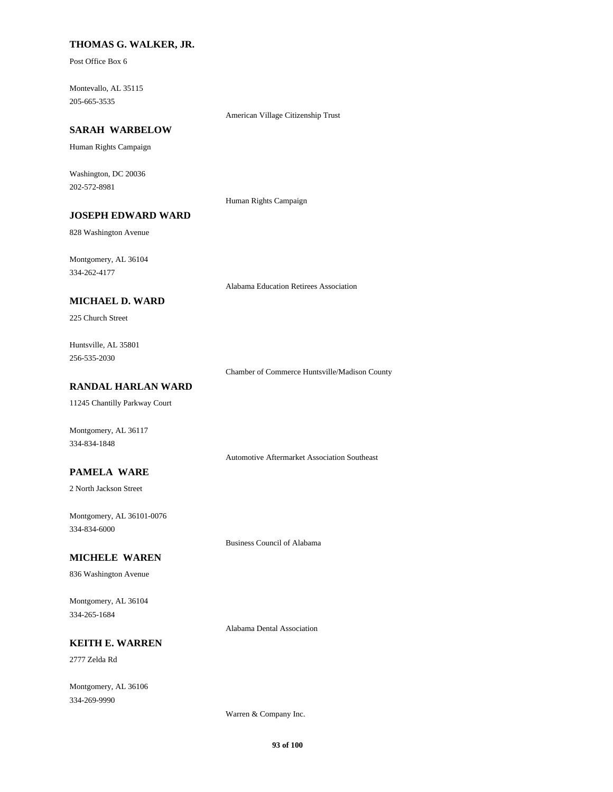### **THOMAS G. WALKER, JR.**

Post Office Box 6

205-665-3535 Montevallo, AL 35115

American Village Citizenship Trust

### **SARAH WARBELOW**

Human Rights Campaign

202-572-8981 Washington, DC 20036

Human Rights Campaign

# **JOSEPH EDWARD WARD**

828 Washington Avenue

334-262-4177 Montgomery, AL 36104

Alabama Education Retirees Association

# **MICHAEL D. WARD**

225 Church Street

256-535-2030 Huntsville, AL 35801

Chamber of Commerce Huntsville/Madison County

# **RANDAL HARLAN WARD**

11245 Chantilly Parkway Court

Montgomery, AL 36117 334-834-1848

Automotive Aftermarket Association Southeast

### **PAMELA WARE**

2 North Jackson Street

334-834-6000 Montgomery, AL 36101-0076

### **MICHELE WAREN**

836 Washington Avenue

334-265-1684 Montgomery, AL 36104

Alabama Dental Association

Business Council of Alabama

# **KEITH E. WARREN**

2777 Zelda Rd

334-269-9990 Montgomery, AL 36106

Warren & Company Inc.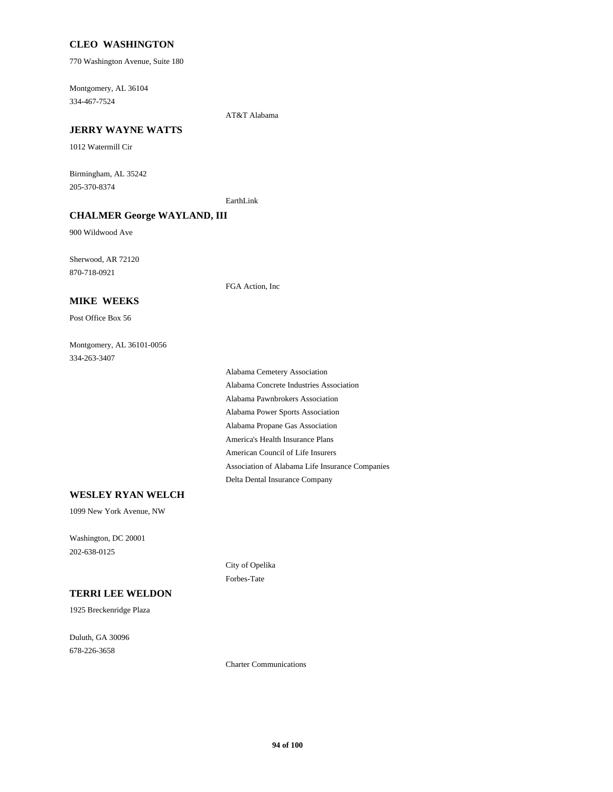### **CLEO WASHINGTON**

770 Washington Avenue, Suite 180

334-467-7524 Montgomery, AL 36104

AT&T Alabama

#### **JERRY WAYNE WATTS**

1012 Watermill Cir

205-370-8374 Birmingham, AL 35242

EarthLink

### **CHALMER George WAYLAND, III**

900 Wildwood Ave

870-718-0921 Sherwood, AR 72120

FGA Action, Inc

#### **MIKE WEEKS**

Post Office Box 56

### 334-263-3407 Montgomery, AL 36101-0056

America's Health Insurance Plans Alabama Propane Gas Association Alabama Power Sports Association Delta Dental Insurance Company Association of Alabama Life Insurance Companies American Council of Life Insurers Alabama Pawnbrokers Association Alabama Cemetery Association Alabama Concrete Industries Association

#### **WESLEY RYAN WELCH**

1099 New York Avenue, NW

202-638-0125 Washington, DC 20001

#### **TERRI LEE WELDON**

1925 Breckenridge Plaza

678-226-3658 Duluth, GA 30096 City of Opelika Forbes-Tate

Charter Communications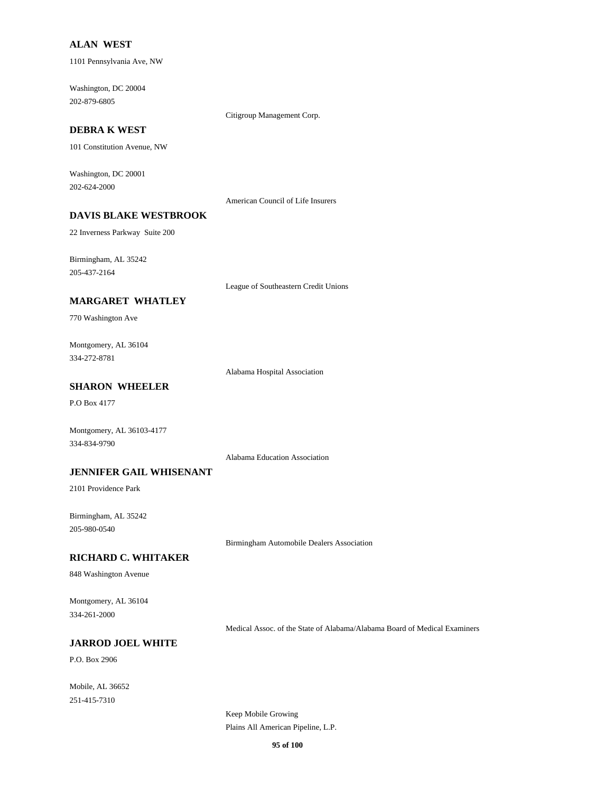#### **ALAN WEST**

1101 Pennsylvania Ave, NW

202-879-6805 Washington, DC 20004

Citigroup Management Corp.

# **DEBRA K WEST**

101 Constitution Avenue, NW

202-624-2000 Washington, DC 20001

American Council of Life Insurers

# **DAVIS BLAKE WESTBROOK**

22 Inverness Parkway Suite 200

205-437-2164 Birmingham, AL 35242

League of Southeastern Credit Unions

### **MARGARET WHATLEY**

770 Washington Ave

334-272-8781 Montgomery, AL 36104

Alabama Hospital Association

# **SHARON WHEELER**

P.O Box 4177

334-834-9790 Montgomery, AL 36103-4177

Alabama Education Association

### **JENNIFER GAIL WHISENANT**

2101 Providence Park

205-980-0540 Birmingham, AL 35242

Birmingham Automobile Dealers Association

#### **RICHARD C. WHITAKER**

848 Washington Avenue

334-261-2000 Montgomery, AL 36104

Medical Assoc. of the State of Alabama/Alabama Board of Medical Examiners

# **JARROD JOEL WHITE**

P.O. Box 2906

251-415-7310 Mobile, AL 36652

> Keep Mobile Growing Plains All American Pipeline, L.P.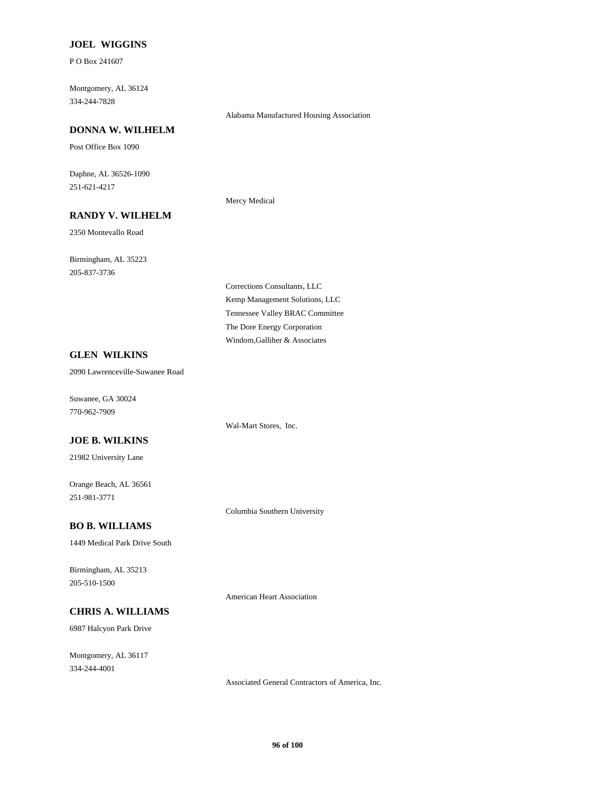#### **JOEL WIGGINS**

P O Box 241607

334-244-7828 Montgomery, AL 36124

#### **DONNA W. WILHELM**

Post Office Box 1090

251-621-4217 Daphne, AL 36526-1090

## **RANDY V. WILHELM**

2350 Montevallo Road

205-837-3736 Birmingham, AL 35223 Mercy Medical

Kemp Management Solutions, LLC Corrections Consultants, LLC Tennessee Valley BRAC Committee Windom,Galliher & Associates The Dore Energy Corporation

Alabama Manufactured Housing Association

### **GLEN WILKINS**

2090 Lawrenceville-Suwanee Road

770-962-7909 Suwanee, GA 30024

### **JOE B. WILKINS**

21982 University Lane

251-981-3771 Orange Beach, AL 36561

# **BO B. WILLIAMS**

1449 Medical Park Drive South

205-510-1500 Birmingham, AL 35213

American Heart Association

Columbia Southern University

Wal-Mart Stores, Inc.

# **CHRIS A. WILLIAMS**

6987 Halcyon Park Drive

334-244-4001 Montgomery, AL 36117

Associated General Contractors of America, Inc.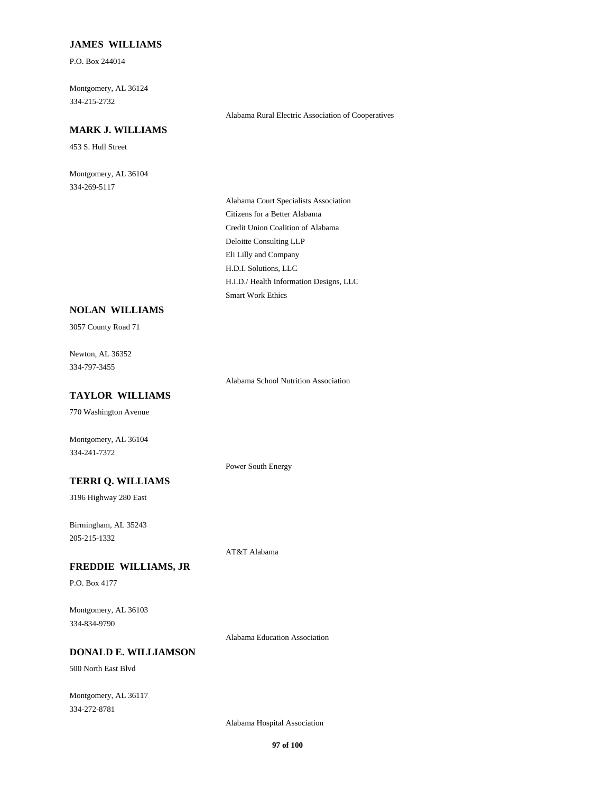### **JAMES WILLIAMS**

P.O. Box 244014

334-215-2732 Montgomery, AL 36124

# **MARK J. WILLIAMS**

453 S. Hull Street

334-269-5117 Montgomery, AL 36104 Alabama Rural Electric Association of Cooperatives

Credit Union Coalition of Alabama Deloitte Consulting LLP Alabama Court Specialists Association Citizens for a Better Alabama H.I.D./ Health Information Designs, LLC Smart Work Ethics Eli Lilly and Company H.D.I. Solutions, LLC

# **NOLAN WILLIAMS**

3057 County Road 71

334-797-3455 Newton, AL 36352

Alabama School Nutrition Association

# **TAYLOR WILLIAMS**

770 Washington Avenue

Montgomery, AL 36104 334-241-7372

# Power South Energy

AT&T Alabama

3196 Highway 280 East

**TERRI Q. WILLIAMS**

205-215-1332 Birmingham, AL 35243

# **FREDDIE WILLIAMS, JR**

P.O. Box 4177

334-834-9790 Montgomery, AL 36103

Alabama Education Association

# **DONALD E. WILLIAMSON**

500 North East Blvd

334-272-8781 Montgomery, AL 36117

Alabama Hospital Association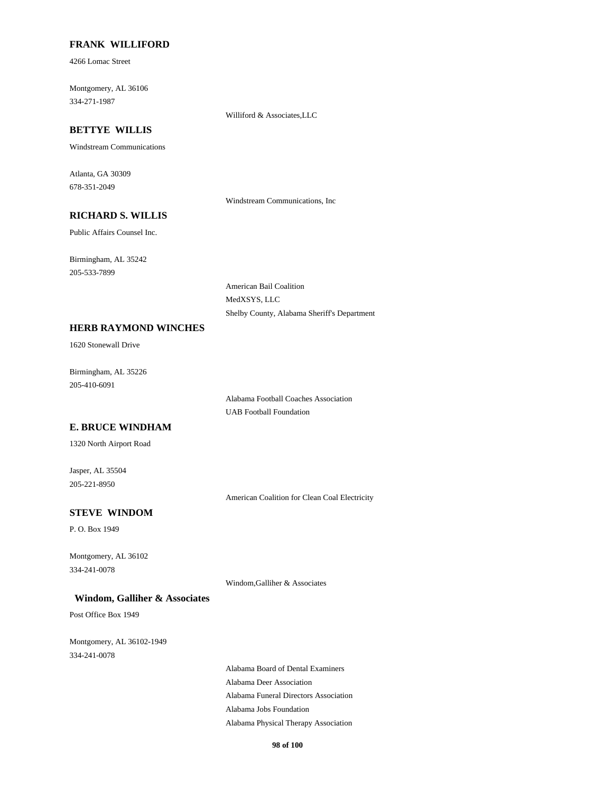#### **FRANK WILLIFORD**

4266 Lomac Street

334-271-1987 Montgomery, AL 36106

#### Williford  $&$  Associates, LLC

# **BETTYE WILLIS**

Windstream Communications

678-351-2049 Atlanta, GA 30309

Windstream Communications, Inc

# **RICHARD S. WILLIS**

Public Affairs Counsel Inc.

205-533-7899 Birmingham, AL 35242

> American Bail Coalition MedXSYS, LLC Shelby County, Alabama Sheriff's Department

#### **HERB RAYMOND WINCHES**

1620 Stonewall Drive

205-410-6091 Birmingham, AL 35226

> UAB Football Foundation Alabama Football Coaches Association

#### **E. BRUCE WINDHAM**

1320 North Airport Road

205-221-8950 Jasper, AL 35504

American Coalition for Clean Coal Electricity

# **STEVE WINDOM**

P. O. Box 1949

334-241-0078 Montgomery, AL 36102

Windom,Galliher & Associates

#### **Windom, Galliher & Associates**

Post Office Box 1949

334-241-0078 Montgomery, AL 36102-1949

> Alabama Funeral Directors Association Alabama Deer Association Alabama Board of Dental Examiners Alabama Jobs Foundation Alabama Physical Therapy Association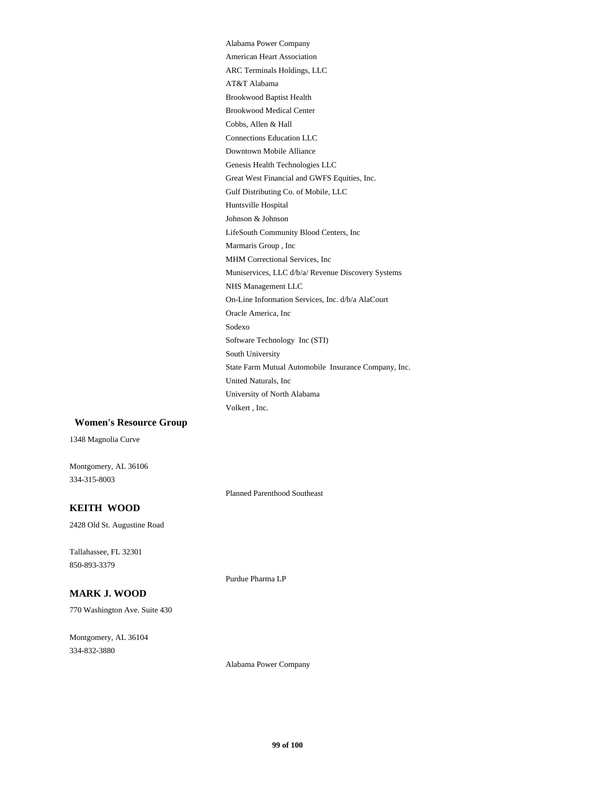Volkert , Inc. Alabama Power Company University of North Alabama Genesis Health Technologies LLC Downtown Mobile Alliance Connections Education LLC Huntsville Hospital Gulf Distributing Co. of Mobile, LLC Great West Financial and GWFS Equities, Inc. AT&T Alabama ARC Terminals Holdings, LLC American Heart Association Cobbs, Allen & Hall Brookwood Medical Center Brookwood Baptist Health Johnson & Johnson Software Technology Inc (STI) Sodexo Oracle America, Inc United Naturals, Inc State Farm Mutual Automobile Insurance Company, Inc. South University MHM Correctional Services, Inc Marmaris Group , Inc LifeSouth Community Blood Centers, Inc On-Line Information Services, Inc. d/b/a AlaCourt NHS Management LLC Muniservices, LLC d/b/a/ Revenue Discovery Systems

#### **Women's Resource Group**

1348 Magnolia Curve

334-315-8003 Montgomery, AL 36106

Planned Parenthood Southeast

### **KEITH WOOD**

2428 Old St. Augustine Road

850-893-3379 Tallahassee, FL 32301

# **MARK J. WOOD**

770 Washington Ave. Suite 430

334-832-3880 Montgomery, AL 36104 Purdue Pharma LP

Alabama Power Company